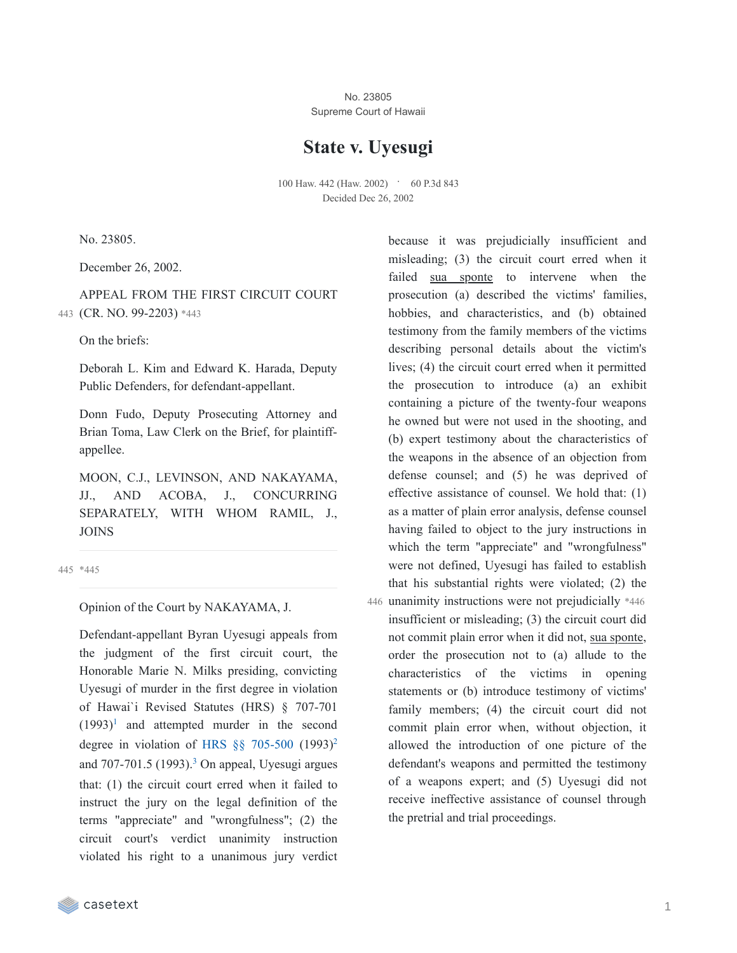No. 23805 Supreme Court of Hawaii

# **State v. Uyesugi**

100 Haw. 442 (Haw. 2002) • 60 P.3d 843 Decided Dec 26, 2002

No. 23805.

December 26, 2002.

APPEAL FROM THE FIRST CIRCUIT COURT 443 (CR. NO. 99-2203) \*443

On the briefs:

Deborah L. Kim and Edward K. Harada, Deputy Public Defenders, for defendant-appellant.

Donn Fudo, Deputy Prosecuting Attorney and Brian Toma, Law Clerk on the Brief, for plaintiffappellee.

MOON, C.J., LEVINSON, AND NAKAYAMA, JJ., AND ACOBA, J., CONCURRING SEPARATELY, WITH WHOM RAMIL, J., JOINS

445 \*445

Opinion of the Court by NAKAYAMA, J.

Defendant-appellant Byran Uyesugi appeals from the judgment of the first circuit court, the Honorable Marie N. Milks presiding, convicting Uyesugi of murder in the first degree in violation of Hawai`i Revised Statutes (HRS) § 707-701  $(1993)^1$  $(1993)^1$  $(1993)^1$  and attempted murder in the second degree in violation of HRS  $\S$ § [705-500](https://casetext.com/statute/hawaii-revised-statutes/division-5-crimes-and-criminal-proceedings/title-37-hawaii-penal-code/chapter-705-inchoate-crimes/part-i-criminal-attempt/section-705-500-criminal-attempt) (1993)<sup>[2](https://casetext.com/_print/doc/state-v-uyesugi?_printIncludeHighlights=false&_printIncludeKeyPassages=false&_printIsTwoColumn=true&_printEmail=&_printHighlightsKey=#3fcbf7e8-1d48-478a-bef5-2ba0021a24c1-fn2)</sup> and  $707-701.5$   $(1993).$  $(1993).$  $(1993).$ <sup>3</sup> On appeal, Uyesugi argues that: (1) the circuit court erred when it failed to instruct the jury on the legal definition of the terms "appreciate" and "wrongfulness"; (2) the circuit court's verdict unanimity instruction violated his right to a unanimous jury verdict

because it was prejudicially insufficient and misleading; (3) the circuit court erred when it failed sua sponte to intervene when the prosecution (a) described the victims' families, hobbies, and characteristics, and (b) obtained testimony from the family members of the victims describing personal details about the victim's lives; (4) the circuit court erred when it permitted the prosecution to introduce (a) an exhibit containing a picture of the twenty-four weapons he owned but were not used in the shooting, and (b) expert testimony about the characteristics of the weapons in the absence of an objection from defense counsel; and (5) he was deprived of effective assistance of counsel. We hold that: (1) as a matter of plain error analysis, defense counsel having failed to object to the jury instructions in which the term "appreciate" and "wrongfulness" were not defined, Uyesugi has failed to establish that his substantial rights were violated; (2) the 446 unanimity instructions were not prejudicially \*446 insufficient or misleading; (3) the circuit court did not commit plain error when it did not, sua sponte, order the prosecution not to (a) allude to the characteristics of the victims in opening statements or (b) introduce testimony of victims' family members; (4) the circuit court did not commit plain error when, without objection, it allowed the introduction of one picture of the defendant's weapons and permitted the testimony of a weapons expert; and (5) Uyesugi did not receive ineffective assistance of counsel through the pretrial and trial proceedings.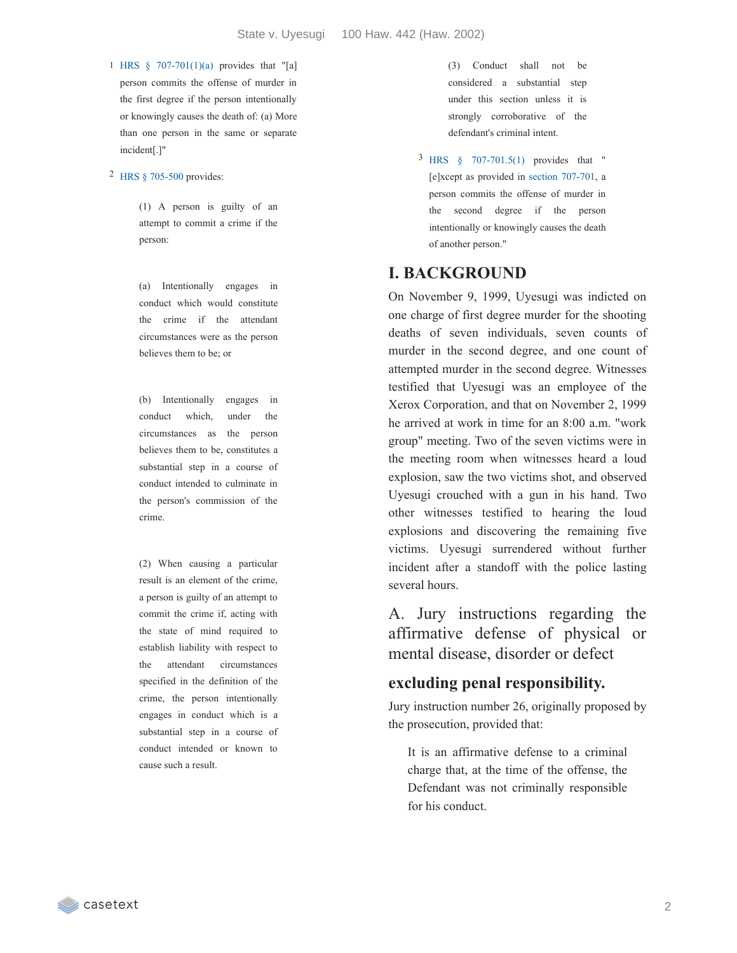1 HRS § [707-701\(1\)\(a\)](https://casetext.com/statute/hawaii-revised-statutes/division-5-crimes-and-criminal-proceedings/title-37-hawaii-penal-code/chapter-707-offenses-against-the-person/part-ii-criminal-homicide/section-707-701-murder-in-the-first-degree) provides that "[a] person commits the offense of murder in the first degree if the person intentionally or knowingly causes the death of: (a) More than one person in the same or separate incident[.]"

2 HRS § [705-500](https://casetext.com/statute/hawaii-revised-statutes/division-5-crimes-and-criminal-proceedings/title-37-hawaii-penal-code/chapter-705-inchoate-crimes/part-i-criminal-attempt/section-705-500-criminal-attempt) provides:

(1) A person is guilty of an attempt to commit a crime if the person:

(a) Intentionally engages in conduct which would constitute the crime if the attendant circumstances were as the person believes them to be; or

(b) Intentionally engages in conduct which, under the circumstances as the person believes them to be, constitutes a substantial step in a course of conduct intended to culminate in the person's commission of the crime.

(2) When causing a particular result is an element of the crime, a person is guilty of an attempt to commit the crime if, acting with the state of mind required to establish liability with respect to the attendant circumstances specified in the definition of the crime, the person intentionally engages in conduct which is a substantial step in a course of conduct intended or known to cause such a result.

(3) Conduct shall not be considered a substantial step under this section unless it is strongly corroborative of the defendant's criminal intent.

3 HRS § [707-701.5\(1\)](https://casetext.com/statute/hawaii-revised-statutes/division-5-crimes-and-criminal-proceedings/title-37-hawaii-penal-code/chapter-707-offenses-against-the-person/part-ii-criminal-homicide/section-707-7015-murder-in-the-second-degree) provides that " [e]xcept as provided in section [707-701,](https://casetext.com/statute/hawaii-revised-statutes/division-5-crimes-and-criminal-proceedings/title-37-hawaii-penal-code/chapter-707-offenses-against-the-person/part-ii-criminal-homicide/section-707-701-murder-in-the-first-degree) a person commits the offense of murder in the second degree if the person intentionally or knowingly causes the death of another person."

## **I. BACKGROUND**

On November 9, 1999, Uyesugi was indicted on one charge of first degree murder for the shooting deaths of seven individuals, seven counts of murder in the second degree, and one count of attempted murder in the second degree. Witnesses testified that Uyesugi was an employee of the Xerox Corporation, and that on November 2, 1999 he arrived at work in time for an 8:00 a.m. "work group" meeting. Two of the seven victims were in the meeting room when witnesses heard a loud explosion, saw the two victims shot, and observed Uyesugi crouched with a gun in his hand. Two other witnesses testified to hearing the loud explosions and discovering the remaining five victims. Uyesugi surrendered without further incident after a standoff with the police lasting several hours.

A. Jury instructions regarding the affirmative defense of physical or mental disease, disorder or defect

### **excluding penal responsibility.**

Jury instruction number 26, originally proposed by the prosecution, provided that:

It is an affirmative defense to a criminal charge that, at the time of the offense, the Defendant was not criminally responsible for his conduct.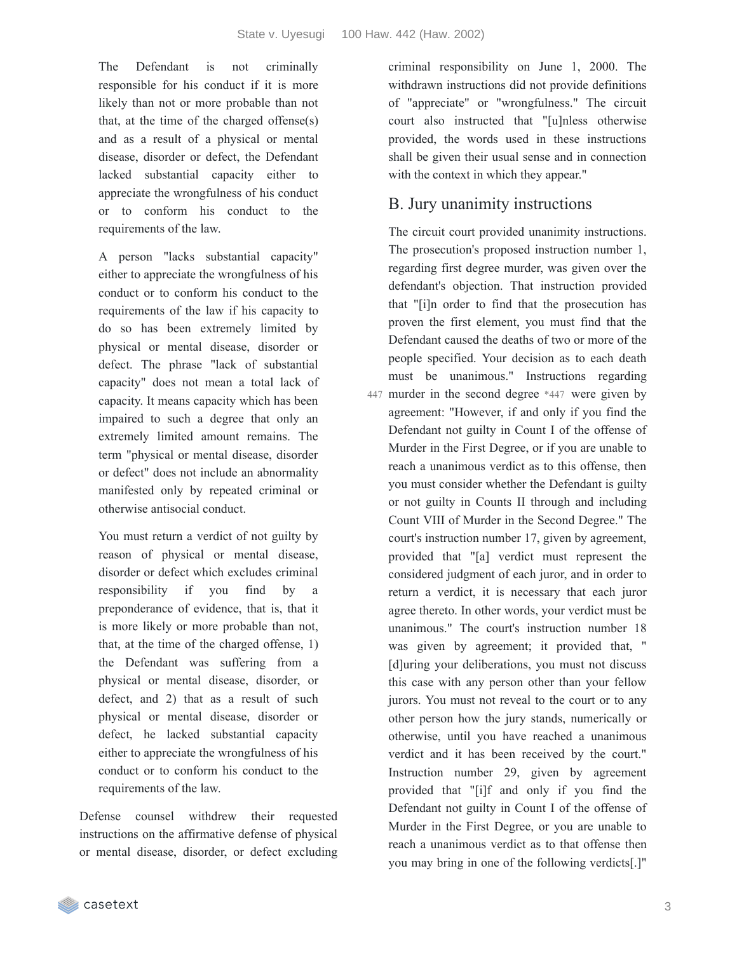The Defendant is not criminally responsible for his conduct if it is more likely than not or more probable than not that, at the time of the charged offense(s) and as a result of a physical or mental disease, disorder or defect, the Defendant lacked substantial capacity either to appreciate the wrongfulness of his conduct or to conform his conduct to the requirements of the law.

A person "lacks substantial capacity" either to appreciate the wrongfulness of his conduct or to conform his conduct to the requirements of the law if his capacity to do so has been extremely limited by physical or mental disease, disorder or defect. The phrase "lack of substantial capacity" does not mean a total lack of capacity. It means capacity which has been impaired to such a degree that only an extremely limited amount remains. The term "physical or mental disease, disorder or defect" does not include an abnormality manifested only by repeated criminal or otherwise antisocial conduct.

You must return a verdict of not guilty by reason of physical or mental disease, disorder or defect which excludes criminal responsibility if you find by a preponderance of evidence, that is, that it is more likely or more probable than not, that, at the time of the charged offense, 1) the Defendant was suffering from a physical or mental disease, disorder, or defect, and 2) that as a result of such physical or mental disease, disorder or defect, he lacked substantial capacity either to appreciate the wrongfulness of his conduct or to conform his conduct to the requirements of the law.

Defense counsel withdrew their requested instructions on the affirmative defense of physical or mental disease, disorder, or defect excluding criminal responsibility on June 1, 2000. The withdrawn instructions did not provide definitions of "appreciate" or "wrongfulness." The circuit court also instructed that "[u]nless otherwise provided, the words used in these instructions shall be given their usual sense and in connection with the context in which they appear."

# B. Jury unanimity instructions

The circuit court provided unanimity instructions. The prosecution's proposed instruction number 1, regarding first degree murder, was given over the defendant's objection. That instruction provided that "[i]n order to find that the prosecution has proven the first element, you must find that the Defendant caused the deaths of two or more of the people specified. Your decision as to each death must be unanimous." Instructions regarding murder in the second degree \*447 were given by 447 agreement: "However, if and only if you find the Defendant not guilty in Count I of the offense of Murder in the First Degree, or if you are unable to reach a unanimous verdict as to this offense, then you must consider whether the Defendant is guilty or not guilty in Counts II through and including Count VIII of Murder in the Second Degree." The court's instruction number 17, given by agreement, provided that "[a] verdict must represent the considered judgment of each juror, and in order to return a verdict, it is necessary that each juror agree thereto. In other words, your verdict must be unanimous." The court's instruction number 18 was given by agreement; it provided that, " [d]uring your deliberations, you must not discuss this case with any person other than your fellow jurors. You must not reveal to the court or to any other person how the jury stands, numerically or otherwise, until you have reached a unanimous verdict and it has been received by the court." Instruction number 29, given by agreement provided that "[i]f and only if you find the Defendant not guilty in Count I of the offense of Murder in the First Degree, or you are unable to reach a unanimous verdict as to that offense then you may bring in one of the following verdicts[.]"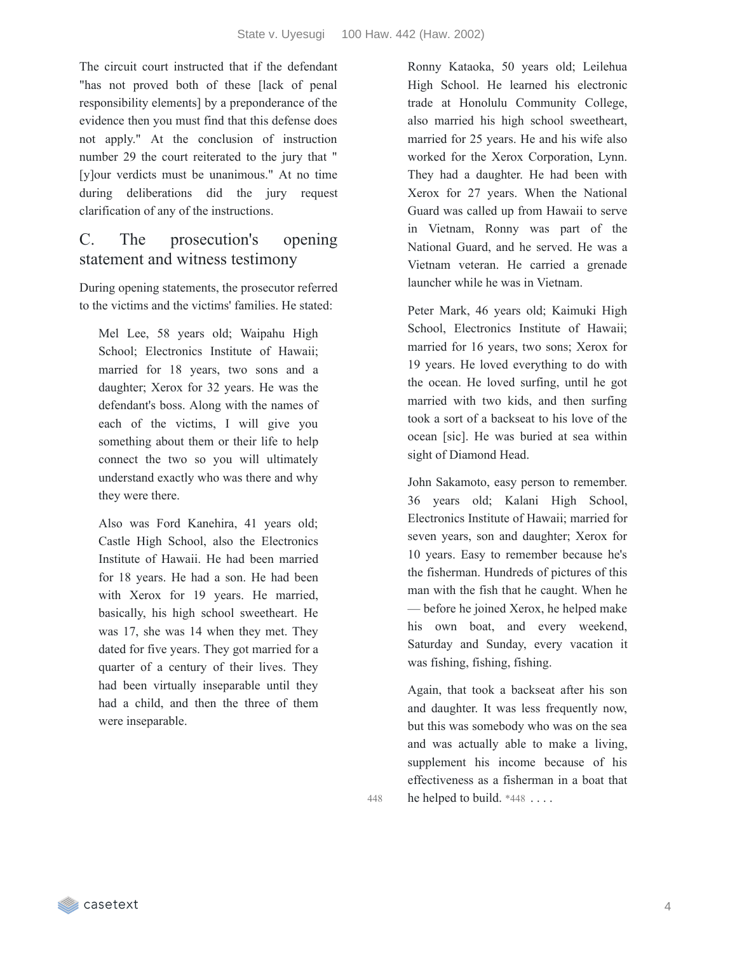The circuit court instructed that if the defendant "has not proved both of these [lack of penal responsibility elements] by a preponderance of the evidence then you must find that this defense does not apply." At the conclusion of instruction number 29 the court reiterated to the jury that " [y]our verdicts must be unanimous." At no time during deliberations did the jury request clarification of any of the instructions.

# C. The prosecution's opening statement and witness testimony

During opening statements, the prosecutor referred to the victims and the victims' families. He stated:

Mel Lee, 58 years old; Waipahu High School; Electronics Institute of Hawaii; married for 18 years, two sons and a daughter; Xerox for 32 years. He was the defendant's boss. Along with the names of each of the victims, I will give you something about them or their life to help connect the two so you will ultimately understand exactly who was there and why they were there.

Also was Ford Kanehira, 41 years old; Castle High School, also the Electronics Institute of Hawaii. He had been married for 18 years. He had a son. He had been with Xerox for 19 years. He married, basically, his high school sweetheart. He was 17, she was 14 when they met. They dated for five years. They got married for a quarter of a century of their lives. They had been virtually inseparable until they had a child, and then the three of them were inseparable.

Ronny Kataoka, 50 years old; Leilehua High School. He learned his electronic trade at Honolulu Community College, also married his high school sweetheart, married for 25 years. He and his wife also worked for the Xerox Corporation, Lynn. They had a daughter. He had been with Xerox for 27 years. When the National Guard was called up from Hawaii to serve in Vietnam, Ronny was part of the National Guard, and he served. He was a Vietnam veteran. He carried a grenade launcher while he was in Vietnam.

Peter Mark, 46 years old; Kaimuki High School, Electronics Institute of Hawaii; married for 16 years, two sons; Xerox for 19 years. He loved everything to do with the ocean. He loved surfing, until he got married with two kids, and then surfing took a sort of a backseat to his love of the ocean [sic]. He was buried at sea within sight of Diamond Head.

John Sakamoto, easy person to remember. 36 years old; Kalani High School, Electronics Institute of Hawaii; married for seven years, son and daughter; Xerox for 10 years. Easy to remember because he's the fisherman. Hundreds of pictures of this man with the fish that he caught. When he — before he joined Xerox, he helped make his own boat, and every weekend, Saturday and Sunday, every vacation it was fishing, fishing, fishing.

Again, that took a backseat after his son and daughter. It was less frequently now, but this was somebody who was on the sea and was actually able to make a living, supplement his income because of his effectiveness as a fisherman in a boat that 448 he helped to build. \*448 . . . .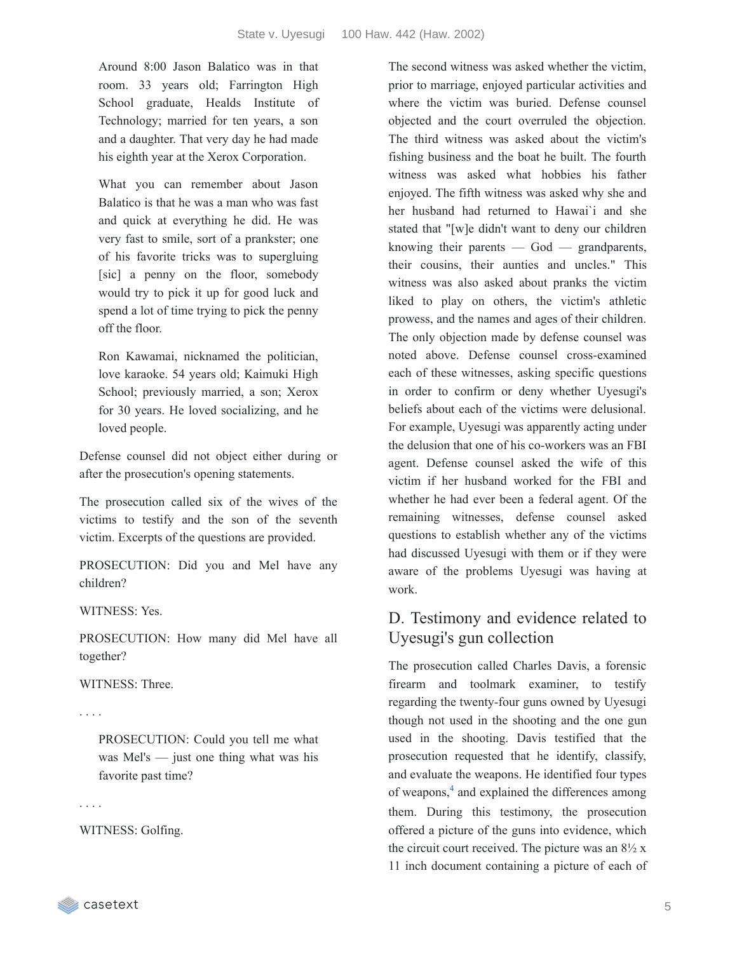Around 8:00 Jason Balatico was in that room. 33 years old; Farrington High School graduate, Healds Institute of Technology; married for ten years, a son and a daughter. That very day he had made his eighth year at the Xerox Corporation.

What you can remember about Jason Balatico is that he was a man who was fast and quick at everything he did. He was very fast to smile, sort of a prankster; one of his favorite tricks was to supergluing [sic] a penny on the floor, somebody would try to pick it up for good luck and spend a lot of time trying to pick the penny off the floor.

Ron Kawamai, nicknamed the politician, love karaoke. 54 years old; Kaimuki High School; previously married, a son; Xerox for 30 years. He loved socializing, and he loved people.

Defense counsel did not object either during or after the prosecution's opening statements.

The prosecution called six of the wives of the victims to testify and the son of the seventh victim. Excerpts of the questions are provided.

PROSECUTION: Did you and Mel have any children?

WITNESS: Yes.

PROSECUTION: How many did Mel have all together?

WITNESS: Three.

. . . .

PROSECUTION: Could you tell me what was Mel's — just one thing what was his favorite past time?

. . . .

WITNESS: Golfing.

The second witness was asked whether the victim, prior to marriage, enjoyed particular activities and where the victim was buried. Defense counsel objected and the court overruled the objection. The third witness was asked about the victim's fishing business and the boat he built. The fourth witness was asked what hobbies his father enjoyed. The fifth witness was asked why she and her husband had returned to Hawai`i and she stated that "[w]e didn't want to deny our children knowing their parents  $-$  God  $-$  grandparents, their cousins, their aunties and uncles." This witness was also asked about pranks the victim liked to play on others, the victim's athletic prowess, and the names and ages of their children. The only objection made by defense counsel was noted above. Defense counsel cross-examined each of these witnesses, asking specific questions in order to confirm or deny whether Uyesugi's beliefs about each of the victims were delusional. For example, Uyesugi was apparently acting under the delusion that one of his co-workers was an FBI agent. Defense counsel asked the wife of this victim if her husband worked for the FBI and whether he had ever been a federal agent. Of the remaining witnesses, defense counsel asked questions to establish whether any of the victims had discussed Uyesugi with them or if they were aware of the problems Uyesugi was having at work.

# D. Testimony and evidence related to Uyesugi's gun collection

The prosecution called Charles Davis, a forensic firearm and toolmark examiner, to testify regarding the twenty-four guns owned by Uyesugi though not used in the shooting and the one gun used in the shooting. Davis testified that the prosecution requested that he identify, classify, and evaluate the weapons. He identified four types of weapons, $4$  and explained the differences among them. During this testimony, the prosecution offered a picture of the guns into evidence, which the circuit court received. The picture was an  $8\frac{1}{2}x$ 11 inch document containing a picture of each of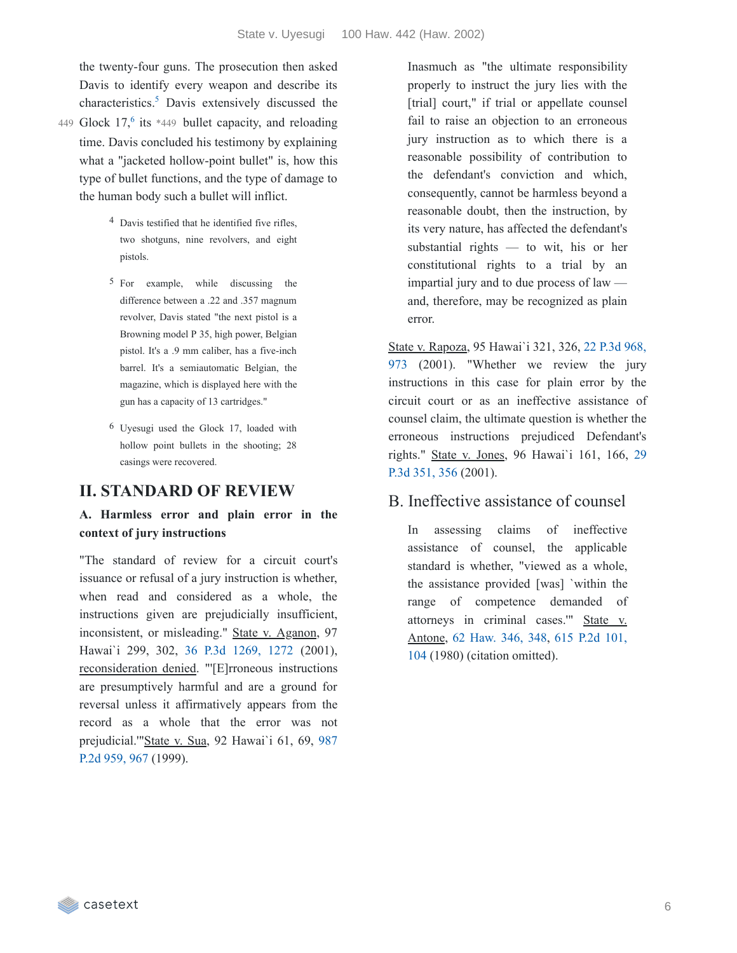the twenty-four guns. The prosecution then asked Davis to identify every weapon and describe its characteristics.<sup>[5](https://casetext.com/_print/doc/state-v-uyesugi?_printIncludeHighlights=false&_printIncludeKeyPassages=false&_printIsTwoColumn=true&_printEmail=&_printHighlightsKey=#fa407510-e7bd-44a4-8ac0-71656f9c7900-fn5)</sup> Davis extensively discussed the

- 449 Glock  $17<sup>6</sup>$  $17<sup>6</sup>$  $17<sup>6</sup>$  its \*449 bullet capacity, and reloading time. Davis concluded his testimony by explaining what a "jacketed hollow-point bullet" is, how this type of bullet functions, and the type of damage to the human body such a bullet will inflict.
	- 4 Davis testified that he identified five rifles, two shotguns, nine revolvers, and eight pistols.
	- 5 For example, while discussing the difference between a .22 and .357 magnum revolver, Davis stated "the next pistol is a Browning model P 35, high power, Belgian pistol. It's a .9 mm caliber, has a five-inch barrel. It's a semiautomatic Belgian, the magazine, which is displayed here with the gun has a capacity of 13 cartridges."
	- 6 Uyesugi used the Glock 17, loaded with hollow point bullets in the shooting; 28 casings were recovered.

#### **II. STANDARD OF REVIEW**

### **A. Harmless error and plain error in the context of jury instructions**

"The standard of review for a circuit court's issuance or refusal of a jury instruction is whether, when read and considered as a whole, the instructions given are prejudicially insufficient, inconsistent, or misleading." State v. Aganon, 97 Hawai`i 299, 302, 36 P.3d [1269,](https://casetext.com/case/state-v-aganon-1#p1272) 1272 (2001), reconsideration denied. "'[E]rroneous instructions are presumptively harmful and are a ground for reversal unless it affirmatively appears from the record as a whole that the error was not [prejudicial.'"State](https://casetext.com/case/state-v-sua-1#p967) v. Sua, 92 Hawai`i 61, 69, 987 P.2d 959, 967 (1999).

Inasmuch as "the ultimate responsibility properly to instruct the jury lies with the [trial] court," if trial or appellate counsel fail to raise an objection to an erroneous jury instruction as to which there is a reasonable possibility of contribution to the defendant's conviction and which, consequently, cannot be harmless beyond a reasonable doubt, then the instruction, by its very nature, has affected the defendant's substantial rights — to wit, his or her constitutional rights to a trial by an impartial jury and to due process of law and, therefore, may be recognized as plain error.

State v. Rapoza, 95 Hawai`i 321, 326, 22 P.3d 968, 973 (2001). ["Whether](https://casetext.com/case/state-v-rapoza-3#p973) we review the jury instructions in this case for plain error by the circuit court or as an ineffective assistance of counsel claim, the ultimate question is whether the erroneous instructions prejudiced Defendant's rights." State v. Jones, 96 [Hawai`i](https://casetext.com/case/state-v-jones-3262#p356) 161, 166, 29 P.3d 351, 356 (2001).

### B. Ineffective assistance of counsel

In assessing claims of ineffective assistance of counsel, the applicable standard is whether, "viewed as a whole, the assistance provided [was] `within the range of competence demanded of attorneys in criminal cases.'" State v. Antone, 62 [Haw.](https://casetext.com/case/state-v-antone-2#p348) 346, 348, 615 P.2d 101, 104 (1980) (citation [omitted\).](https://casetext.com/case/state-v-antone-2#p104)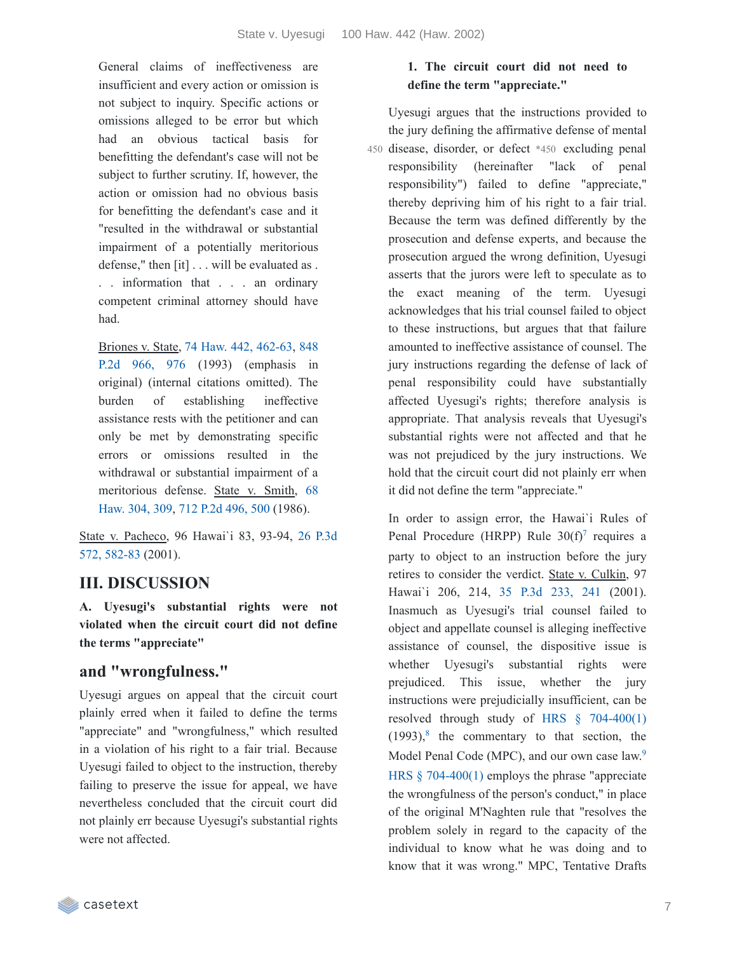General claims of ineffectiveness are insufficient and every action or omission is not subject to inquiry. Specific actions or omissions alleged to be error but which had an obvious tactical basis for benefitting the defendant's case will not be subject to further scrutiny. If, however, the action or omission had no obvious basis for benefitting the defendant's case and it "resulted in the withdrawal or substantial impairment of a potentially meritorious defense," then [it] . . . will be evaluated as . . . information that . . . an ordinary competent criminal attorney should have had.

Briones v. State, 74 Haw. 442, [462-63](https://casetext.com/case/briones-v-state-19#p462), 848 P.2d 966, 976 (1993) [\(emphasis](https://casetext.com/case/briones-v-state-19#p976) in original) (internal citations omitted). The burden of establishing ineffective assistance rests with the petitioner and can only be met by demonstrating specific errors or omissions resulted in the withdrawal or substantial impairment of a [meritorious](https://casetext.com/case/state-v-smith-2821#p309) defense. State v. Smith, 68 Haw. 304, 309, 712 P.2d [496,](https://casetext.com/case/state-v-smith-2821#p500) 500 (1986).

State v. [Pacheco,](https://casetext.com/case/state-v-pacheco-23152-haw-7-24-2001#p582) 96 Hawai`i 83, 93-94, 26 P.3d 572, 582-83 (2001).

# **III. DISCUSSION**

**A. Uyesugi's substantial rights were not violated when the circuit court did not define the terms "appreciate"**

# **and "wrongfulness."**

Uyesugi argues on appeal that the circuit court plainly erred when it failed to define the terms "appreciate" and "wrongfulness," which resulted in a violation of his right to a fair trial. Because Uyesugi failed to object to the instruction, thereby failing to preserve the issue for appeal, we have nevertheless concluded that the circuit court did not plainly err because Uyesugi's substantial rights were not affected.

### **1. The circuit court did not need to define the term "appreciate."**

Uyesugi argues that the instructions provided to the jury defining the affirmative defense of mental

disease, disorder, or defect \*450 excluding penal 450 responsibility (hereinafter "lack of penal responsibility") failed to define "appreciate," thereby depriving him of his right to a fair trial. Because the term was defined differently by the prosecution and defense experts, and because the prosecution argued the wrong definition, Uyesugi asserts that the jurors were left to speculate as to the exact meaning of the term. Uyesugi acknowledges that his trial counsel failed to object to these instructions, but argues that that failure amounted to ineffective assistance of counsel. The jury instructions regarding the defense of lack of penal responsibility could have substantially affected Uyesugi's rights; therefore analysis is appropriate. That analysis reveals that Uyesugi's substantial rights were not affected and that he was not prejudiced by the jury instructions. We hold that the circuit court did not plainly err when it did not define the term "appreciate."

In order to assign error, the Hawai`i Rules of Penal Procedure (HRPP) Rule  $30(f)$ <sup>[7](https://casetext.com/_print/doc/state-v-uyesugi?_printIncludeHighlights=false&_printIncludeKeyPassages=false&_printIsTwoColumn=true&_printEmail=&_printHighlightsKey=#e564edb8-3d56-4351-b924-4932c71774e6-fn7)</sup> requires a party to object to an instruction before the jury retires to consider the verdict. State v. Culkin, 97 Hawai`i 206, 214, 35 P.3d [233,](https://casetext.com/case/state-v-culkin-1#p241) 241 (2001). Inasmuch as Uyesugi's trial counsel failed to object and appellate counsel is alleging ineffective assistance of counsel, the dispositive issue is whether Uyesugi's substantial rights were prejudiced. This issue, whether the jury instructions were prejudicially insufficient, can be resolved through study of HRS  $\S$  [704-400\(1\)](https://casetext.com/statute/hawaii-revised-statutes/division-5-crimes-and-criminal-proceedings/title-37-hawaii-penal-code/chapter-704-penal-responsibility-and-fitness-to-proceed/section-704-400-physical-or-mental-disease-disorder-or-defect-excluding-penal-responsibility)  $(1993)$ <sup>[8](https://casetext.com/_print/doc/state-v-uyesugi?_printIncludeHighlights=false&_printIncludeKeyPassages=false&_printIsTwoColumn=true&_printEmail=&_printHighlightsKey=#da7816cd-16a3-402c-99aa-27532ac8feac-fn8)</sup>, the commentary to that section, the Model Penal Code (MPC), and our own case law.<sup>[9](https://casetext.com/_print/doc/state-v-uyesugi?_printIncludeHighlights=false&_printIncludeKeyPassages=false&_printIsTwoColumn=true&_printEmail=&_printHighlightsKey=#99e9a6dd-66e4-4a73-bbec-334f1194ee39-fn9)</sup> HRS § [704-400\(1\)](https://casetext.com/statute/hawaii-revised-statutes/division-5-crimes-and-criminal-proceedings/title-37-hawaii-penal-code/chapter-704-penal-responsibility-and-fitness-to-proceed/section-704-400-physical-or-mental-disease-disorder-or-defect-excluding-penal-responsibility) employs the phrase "appreciate the wrongfulness of the person's conduct," in place of the original M'Naghten rule that "resolves the problem solely in regard to the capacity of the individual to know what he was doing and to know that it was wrong." MPC, Tentative Drafts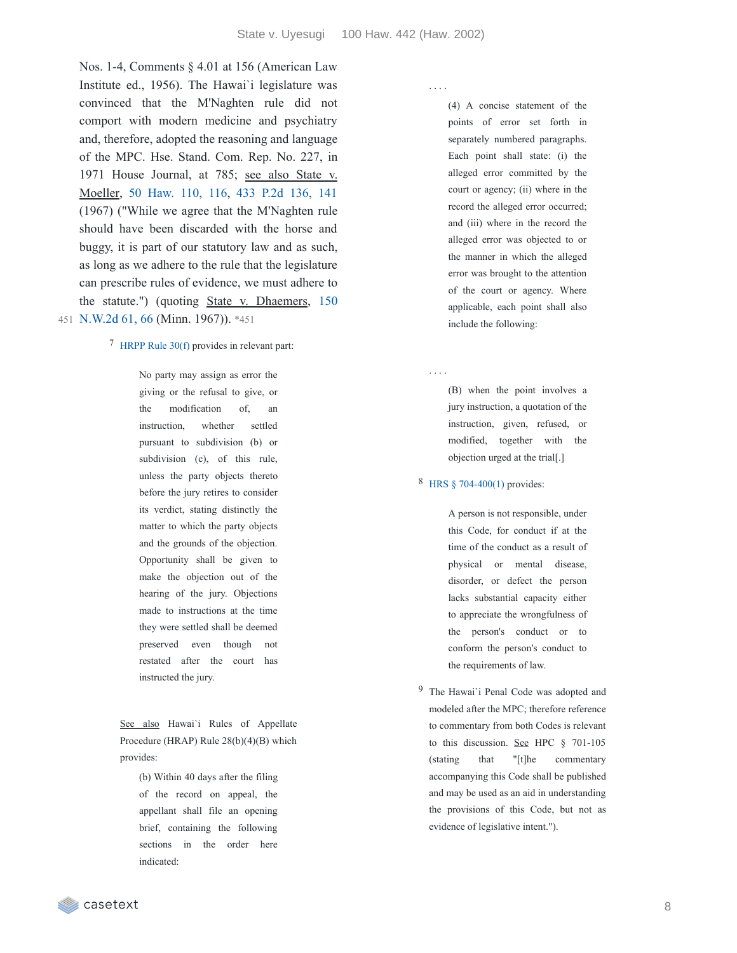Nos. 1-4, Comments § 4.01 at 156 (American Law Institute ed., 1956). The Hawai`i legislature was convinced that the M'Naghten rule did not comport with modern medicine and psychiatry and, therefore, adopted the reasoning and language of the MPC. Hse. Stand. Com. Rep. No. 227, in 1971 House Journal, at 785; see also State v. Moeller, 50 [Haw.](https://casetext.com/case/state-v-moeller-12#p116) 110, 116, 433 P.2d [136,](https://casetext.com/case/state-v-moeller-12#p141) 141 (1967) ("While we agree that the M'Naghten rule should have been discarded with the horse and buggy, it is part of our statutory law and as such, as long as we adhere to the rule that the legislature can prescribe rules of evidence, we must adhere to the statute.") (quoting State v. [Dhaemers,](https://casetext.com/case/state-v-dhaemers#p66) 150 451 N.W.2d 61, 66 (Minn. 1967)). \*451

#### 7 [HRPP](https://casetext.com/rule/hawaii-court-rules/hawaii-rules-of-penal-procedure/vi-trial/rule-30-instructions-to-the-jury) Rule 30(f) provides in relevant part:

No party may assign as error the giving or the refusal to give, or the modification of, an instruction, whether settled pursuant to subdivision (b) or subdivision (c), of this rule, unless the party objects thereto before the jury retires to consider its verdict, stating distinctly the matter to which the party objects and the grounds of the objection. Opportunity shall be given to make the objection out of the hearing of the jury. Objections made to instructions at the time they were settled shall be deemed preserved even though not restated after the court has instructed the jury.

See also Hawai'i Rules of Appellate Procedure (HRAP) Rule 28(b)(4)(B) which provides:

> (b) Within 40 days after the filing of the record on appeal, the appellant shall file an opening brief, containing the following sections in the order here indicated:

. . . .

. . . .

(4) A concise statement of the points of error set forth in separately numbered paragraphs. Each point shall state: (i) the alleged error committed by the court or agency; (ii) where in the record the alleged error occurred; and (iii) where in the record the alleged error was objected to or the manner in which the alleged error was brought to the attention of the court or agency. Where applicable, each point shall also include the following:

(B) when the point involves a jury instruction, a quotation of the instruction, given, refused, or modified, together with the objection urged at the trial[.]

#### 8 HRS § [704-400\(1\)](https://casetext.com/statute/hawaii-revised-statutes/division-5-crimes-and-criminal-proceedings/title-37-hawaii-penal-code/chapter-704-penal-responsibility-and-fitness-to-proceed/section-704-400-physical-or-mental-disease-disorder-or-defect-excluding-penal-responsibility) provides:

A person is not responsible, under this Code, for conduct if at the time of the conduct as a result of physical or mental disease, disorder, or defect the person lacks substantial capacity either to appreciate the wrongfulness of the person's conduct or to conform the person's conduct to the requirements of law.

9 The Hawai`i Penal Code was adopted and modeled after the MPC; therefore reference to commentary from both Codes is relevant to this discussion. See HPC § 701-105 (stating that "[t]he commentary accompanying this Code shall be published and may be used as an aid in understanding the provisions of this Code, but not as evidence of legislative intent.").

casetext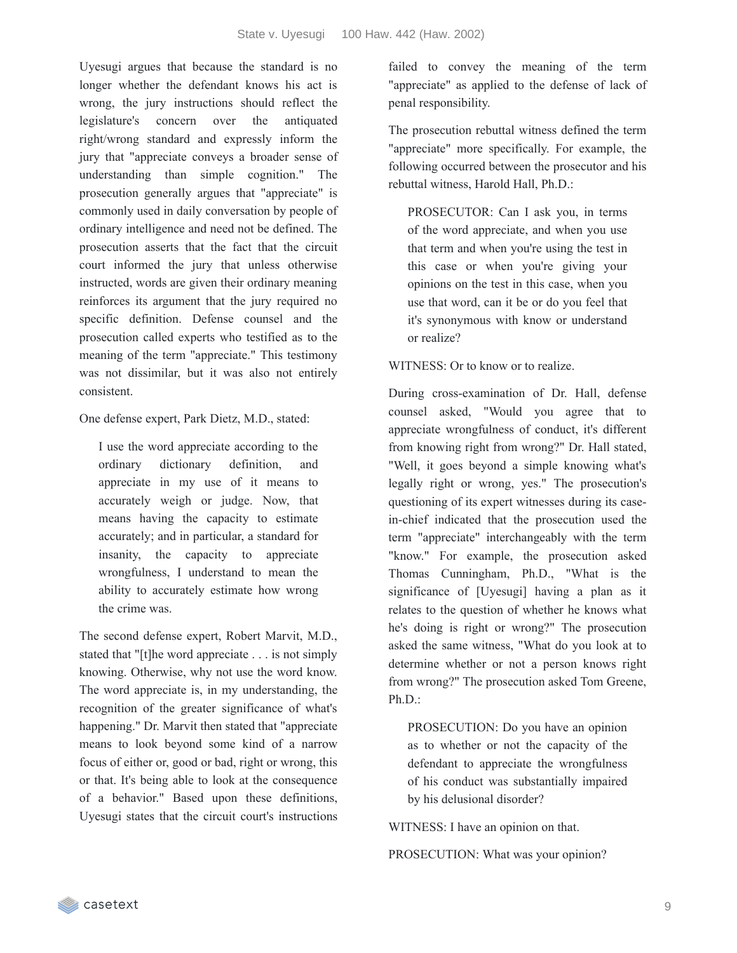Uyesugi argues that because the standard is no longer whether the defendant knows his act is wrong, the jury instructions should reflect the legislature's concern over the antiquated right/wrong standard and expressly inform the jury that "appreciate conveys a broader sense of understanding than simple cognition." The prosecution generally argues that "appreciate" is commonly used in daily conversation by people of ordinary intelligence and need not be defined. The prosecution asserts that the fact that the circuit court informed the jury that unless otherwise instructed, words are given their ordinary meaning reinforces its argument that the jury required no specific definition. Defense counsel and the prosecution called experts who testified as to the meaning of the term "appreciate." This testimony was not dissimilar, but it was also not entirely consistent.

One defense expert, Park Dietz, M.D., stated:

I use the word appreciate according to the ordinary dictionary definition, and appreciate in my use of it means to accurately weigh or judge. Now, that means having the capacity to estimate accurately; and in particular, a standard for insanity, the capacity to appreciate wrongfulness, I understand to mean the ability to accurately estimate how wrong the crime was.

The second defense expert, Robert Marvit, M.D., stated that "[t]he word appreciate . . . is not simply knowing. Otherwise, why not use the word know. The word appreciate is, in my understanding, the recognition of the greater significance of what's happening." Dr. Marvit then stated that "appreciate means to look beyond some kind of a narrow focus of either or, good or bad, right or wrong, this or that. It's being able to look at the consequence of a behavior." Based upon these definitions, Uyesugi states that the circuit court's instructions failed to convey the meaning of the term "appreciate" as applied to the defense of lack of penal responsibility.

The prosecution rebuttal witness defined the term "appreciate" more specifically. For example, the following occurred between the prosecutor and his rebuttal witness, Harold Hall, Ph.D.:

PROSECUTOR: Can I ask you, in terms of the word appreciate, and when you use that term and when you're using the test in this case or when you're giving your opinions on the test in this case, when you use that word, can it be or do you feel that it's synonymous with know or understand or realize?

WITNESS: Or to know or to realize.

During cross-examination of Dr. Hall, defense counsel asked, "Would you agree that to appreciate wrongfulness of conduct, it's different from knowing right from wrong?" Dr. Hall stated, "Well, it goes beyond a simple knowing what's legally right or wrong, yes." The prosecution's questioning of its expert witnesses during its casein-chief indicated that the prosecution used the term "appreciate" interchangeably with the term "know." For example, the prosecution asked Thomas Cunningham, Ph.D., "What is the significance of [Uyesugi] having a plan as it relates to the question of whether he knows what he's doing is right or wrong?" The prosecution asked the same witness, "What do you look at to determine whether or not a person knows right from wrong?" The prosecution asked Tom Greene, Ph.D.:

PROSECUTION: Do you have an opinion as to whether or not the capacity of the defendant to appreciate the wrongfulness of his conduct was substantially impaired by his delusional disorder?

WITNESS: I have an opinion on that.

PROSECUTION: What was your opinion?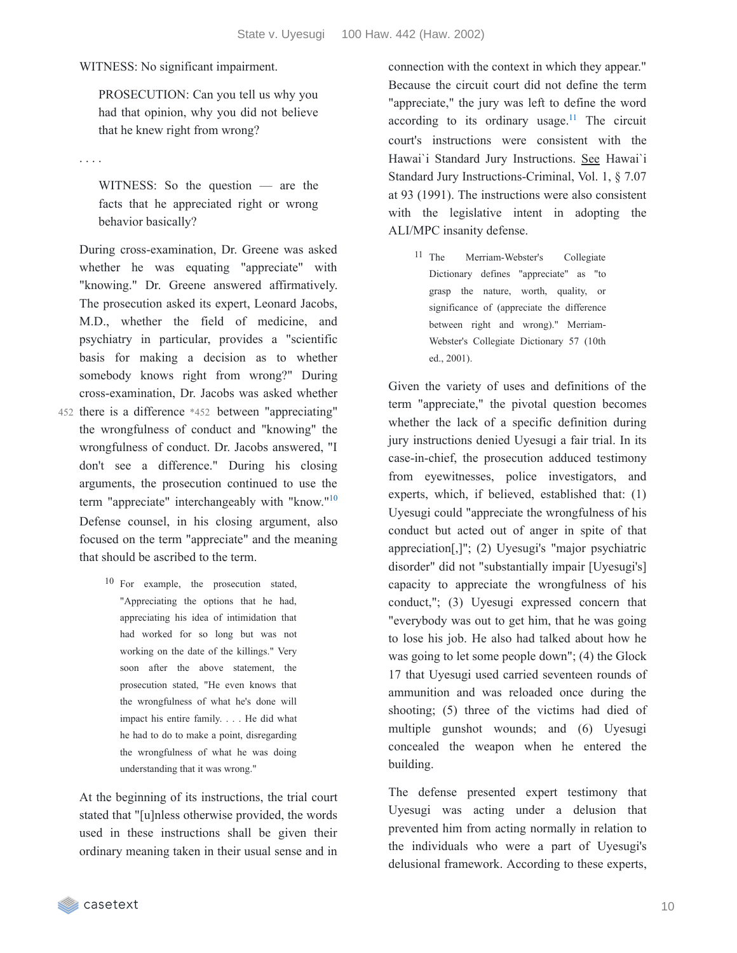WITNESS: No significant impairment.

PROSECUTION: Can you tell us why you had that opinion, why you did not believe that he knew right from wrong?

. . . .

WITNESS: So the question — are the facts that he appreciated right or wrong behavior basically?

During cross-examination, Dr. Greene was asked whether he was equating "appreciate" with "knowing." Dr. Greene answered affirmatively. The prosecution asked its expert, Leonard Jacobs, M.D., whether the field of medicine, and psychiatry in particular, provides a "scientific basis for making a decision as to whether somebody knows right from wrong?" During cross-examination, Dr. Jacobs was asked whether

- 452 there is a difference \*452 between "appreciating" the wrongfulness of conduct and "knowing" the wrongfulness of conduct. Dr. Jacobs answered, "I don't see a difference." During his closing arguments, the prosecution continued to use the term "appreciate" interchangeably with "know."<sup>[10](https://casetext.com/_print/doc/state-v-uyesugi?_printIncludeHighlights=false&_printIncludeKeyPassages=false&_printIsTwoColumn=true&_printEmail=&_printHighlightsKey=#035bee5f-8024-40b4-9bba-e267370b4d42-fn10)</sup> Defense counsel, in his closing argument, also focused on the term "appreciate" and the meaning that should be ascribed to the term.
	- 10 For example, the prosecution stated, "Appreciating the options that he had, appreciating his idea of intimidation that had worked for so long but was not working on the date of the killings." Very soon after the above statement, the prosecution stated, "He even knows that the wrongfulness of what he's done will impact his entire family. . . . He did what he had to do to make a point, disregarding the wrongfulness of what he was doing understanding that it was wrong."

At the beginning of its instructions, the trial court stated that "[u]nless otherwise provided, the words used in these instructions shall be given their ordinary meaning taken in their usual sense and in connection with the context in which they appear." Because the circuit court did not define the term "appreciate," the jury was left to define the word according to its ordinary usage.<sup>[11](https://casetext.com/_print/doc/state-v-uyesugi?_printIncludeHighlights=false&_printIncludeKeyPassages=false&_printIsTwoColumn=true&_printEmail=&_printHighlightsKey=#4a293dfc-7e8f-4a3c-b475-52cf6047cd33-fn11)</sup> The circuit court's instructions were consistent with the Hawai`i Standard Jury Instructions. See Hawai`i Standard Jury Instructions-Criminal, Vol. 1, § 7.07 at 93 (1991). The instructions were also consistent with the legislative intent in adopting the ALI/MPC insanity defense.

11 The Merriam-Webster's Collegiate Dictionary defines "appreciate" as "to grasp the nature, worth, quality, or significance of (appreciate the difference between right and wrong)." Merriam-Webster's Collegiate Dictionary 57 (10th ed., 2001).

Given the variety of uses and definitions of the term "appreciate," the pivotal question becomes whether the lack of a specific definition during jury instructions denied Uyesugi a fair trial. In its case-in-chief, the prosecution adduced testimony from eyewitnesses, police investigators, and experts, which, if believed, established that: (1) Uyesugi could "appreciate the wrongfulness of his conduct but acted out of anger in spite of that appreciation[,]"; (2) Uyesugi's "major psychiatric disorder" did not "substantially impair [Uyesugi's] capacity to appreciate the wrongfulness of his conduct,"; (3) Uyesugi expressed concern that "everybody was out to get him, that he was going to lose his job. He also had talked about how he was going to let some people down"; (4) the Glock 17 that Uyesugi used carried seventeen rounds of ammunition and was reloaded once during the shooting; (5) three of the victims had died of multiple gunshot wounds; and (6) Uyesugi concealed the weapon when he entered the building.

The defense presented expert testimony that Uyesugi was acting under a delusion that prevented him from acting normally in relation to the individuals who were a part of Uyesugi's delusional framework. According to these experts,

casetext

10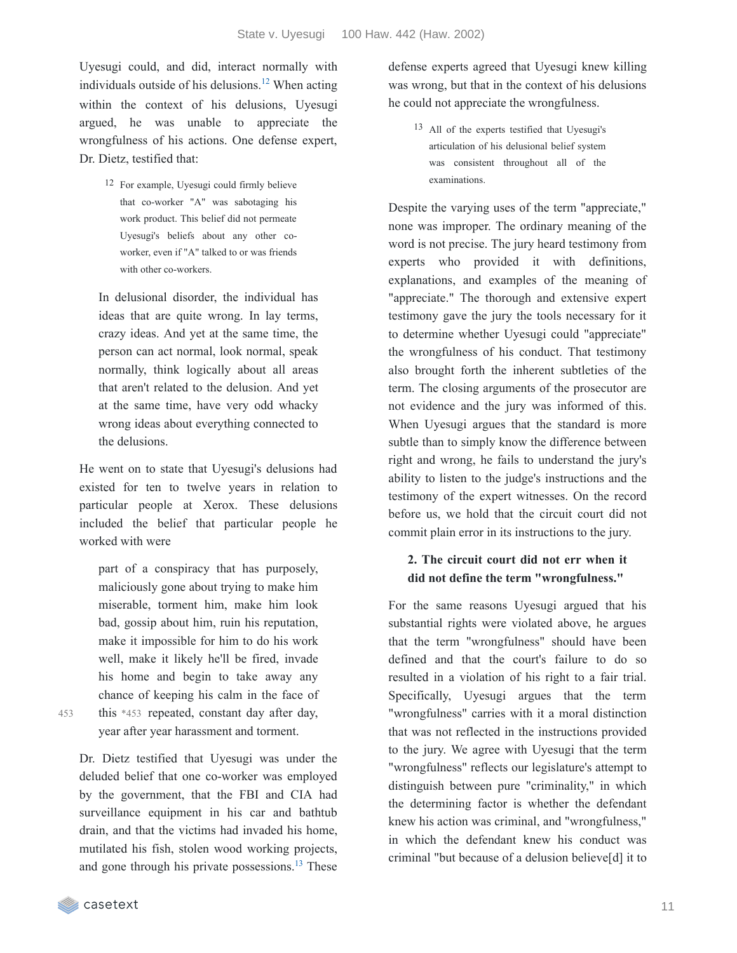Uyesugi could, and did, interact normally with individuals outside of his delusions.<sup>[12](https://casetext.com/_print/doc/state-v-uyesugi?_printIncludeHighlights=false&_printIncludeKeyPassages=false&_printIsTwoColumn=true&_printEmail=&_printHighlightsKey=#405e1484-551d-467f-a0dc-ce1b06ae4b2e-fn12)</sup> When acting within the context of his delusions, Uyesugi argued, he was unable to appreciate the wrongfulness of his actions. One defense expert, Dr. Dietz, testified that:

> 12 For example, Uyesugi could firmly believe that co-worker "A" was sabotaging his work product. This belief did not permeate Uyesugi's beliefs about any other coworker, even if "A" talked to or was friends with other co-workers.

In delusional disorder, the individual has ideas that are quite wrong. In lay terms, crazy ideas. And yet at the same time, the person can act normal, look normal, speak normally, think logically about all areas that aren't related to the delusion. And yet at the same time, have very odd whacky wrong ideas about everything connected to the delusions.

He went on to state that Uyesugi's delusions had existed for ten to twelve years in relation to particular people at Xerox. These delusions included the belief that particular people he worked with were

part of a conspiracy that has purposely, maliciously gone about trying to make him miserable, torment him, make him look bad, gossip about him, ruin his reputation, make it impossible for him to do his work well, make it likely he'll be fired, invade his home and begin to take away any chance of keeping his calm in the face of this \*453 repeated, constant day after day, year after year harassment and torment.

Dr. Dietz testified that Uyesugi was under the deluded belief that one co-worker was employed by the government, that the FBI and CIA had surveillance equipment in his car and bathtub drain, and that the victims had invaded his home, mutilated his fish, stolen wood working projects, and gone through his private possessions.<sup>[13](https://casetext.com/_print/doc/state-v-uyesugi?_printIncludeHighlights=false&_printIncludeKeyPassages=false&_printIsTwoColumn=true&_printEmail=&_printHighlightsKey=#014892ee-ad6d-4fe3-a57c-ba57261b2da9-fn13)</sup> These defense experts agreed that Uyesugi knew killing was wrong, but that in the context of his delusions he could not appreciate the wrongfulness.

13 All of the experts testified that Uyesugi's articulation of his delusional belief system was consistent throughout all of the examinations.

Despite the varying uses of the term "appreciate," none was improper. The ordinary meaning of the word is not precise. The jury heard testimony from experts who provided it with definitions, explanations, and examples of the meaning of "appreciate." The thorough and extensive expert testimony gave the jury the tools necessary for it to determine whether Uyesugi could "appreciate" the wrongfulness of his conduct. That testimony also brought forth the inherent subtleties of the term. The closing arguments of the prosecutor are not evidence and the jury was informed of this. When Uyesugi argues that the standard is more subtle than to simply know the difference between right and wrong, he fails to understand the jury's ability to listen to the judge's instructions and the testimony of the expert witnesses. On the record before us, we hold that the circuit court did not commit plain error in its instructions to the jury.

#### **2. The circuit court did not err when it did not define the term "wrongfulness."**

For the same reasons Uyesugi argued that his substantial rights were violated above, he argues that the term "wrongfulness" should have been defined and that the court's failure to do so resulted in a violation of his right to a fair trial. Specifically, Uyesugi argues that the term "wrongfulness" carries with it a moral distinction that was not reflected in the instructions provided to the jury. We agree with Uyesugi that the term "wrongfulness" reflects our legislature's attempt to distinguish between pure "criminality," in which the determining factor is whether the defendant knew his action was criminal, and "wrongfulness," in which the defendant knew his conduct was criminal "but because of a delusion believe[d] it to

453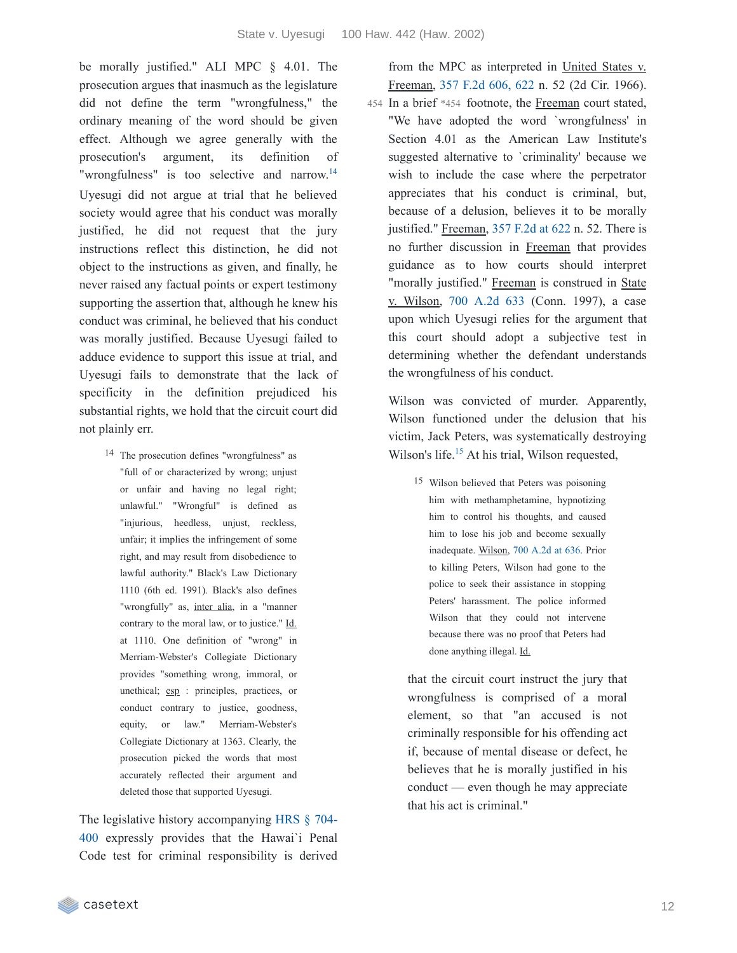be morally justified." ALI MPC § 4.01. The prosecution argues that inasmuch as the legislature did not define the term "wrongfulness," the ordinary meaning of the word should be given effect. Although we agree generally with the prosecution's argument, its definition of "wrongfulness" is too selective and narrow.<sup>[14](https://casetext.com/_print/doc/state-v-uyesugi?_printIncludeHighlights=false&_printIncludeKeyPassages=false&_printIsTwoColumn=true&_printEmail=&_printHighlightsKey=#644e2fe6-9c63-41c0-a91a-43dc7b07a2f1-fn14)</sup> Uyesugi did not argue at trial that he believed society would agree that his conduct was morally justified, he did not request that the jury instructions reflect this distinction, he did not object to the instructions as given, and finally, he never raised any factual points or expert testimony supporting the assertion that, although he knew his conduct was criminal, he believed that his conduct was morally justified. Because Uyesugi failed to adduce evidence to support this issue at trial, and Uyesugi fails to demonstrate that the lack of specificity in the definition prejudiced his substantial rights, we hold that the circuit court did not plainly err.

14 The prosecution defines "wrongfulness" as "full of or characterized by wrong; unjust or unfair and having no legal right; unlawful." "Wrongful" is defined as "injurious, heedless, unjust, reckless, unfair; it implies the infringement of some right, and may result from disobedience to lawful authority." Black's Law Dictionary 1110 (6th ed. 1991). Black's also defines "wrongfully" as, inter alia, in a "manner contrary to the moral law, or to justice." Id. at 1110. One definition of "wrong" in Merriam-Webster's Collegiate Dictionary provides "something wrong, immoral, or unethical; esp : principles, practices, or conduct contrary to justice, goodness, equity, or law." Merriam-Webster's Collegiate Dictionary at 1363. Clearly, the prosecution picked the words that most accurately reflected their argument and deleted those that supported Uyesugi.

The legislative history [accompanying](https://casetext.com/statute/hawaii-revised-statutes/division-5-crimes-and-criminal-proceedings/title-37-hawaii-penal-code/chapter-704-penal-responsibility-and-fitness-to-proceed/section-704-400-physical-or-mental-disease-disorder-or-defect-excluding-penal-responsibility) HRS § 704- 400 expressly provides that the Hawai`i Penal Code test for criminal responsibility is derived

from the MPC as interpreted in United States v. Freeman, 357 F.2d [606,](https://casetext.com/case/united-states-v-freeman-27#p622) 622 n. 52 (2d Cir. 1966). 454 In a brief \*454 footnote, the Freeman court stated, "We have adopted the word `wrongfulness' in Section 4.01 as the American Law Institute's suggested alternative to `criminality' because we wish to include the case where the perpetrator appreciates that his conduct is criminal, but, because of a delusion, believes it to be morally justified." Freeman, 357 [F.2d](https://casetext.com/case/united-states-v-freeman-27#p622) at 622 n. 52. There is no further discussion in Freeman that provides guidance as to how courts should interpret "morally justified." Freeman is construed in State v. Wilson, 700 [A.2d](https://casetext.com/case/state-v-wilson-1091) 633 (Conn. 1997), a case upon which Uyesugi relies for the argument that this court should adopt a subjective test in determining whether the defendant understands the wrongfulness of his conduct.

Wilson was convicted of murder. Apparently, Wilson functioned under the delusion that his victim, Jack Peters, was systematically destroying Wilson's life. $15$  At his trial, Wilson requested,

15 Wilson believed that Peters was poisoning him with methamphetamine, hypnotizing him to control his thoughts, and caused him to lose his job and become sexually inadequate. Wilson, 700 [A.2d](https://casetext.com/case/state-v-wilson-1091#p636) at 636. Prior to killing Peters, Wilson had gone to the police to seek their assistance in stopping Peters' harassment. The police informed Wilson that they could not intervene because there was no proof that Peters had done anything illegal. Id.

that the circuit court instruct the jury that wrongfulness is comprised of a moral element, so that "an accused is not criminally responsible for his offending act if, because of mental disease or defect, he believes that he is morally justified in his conduct — even though he may appreciate that his act is criminal."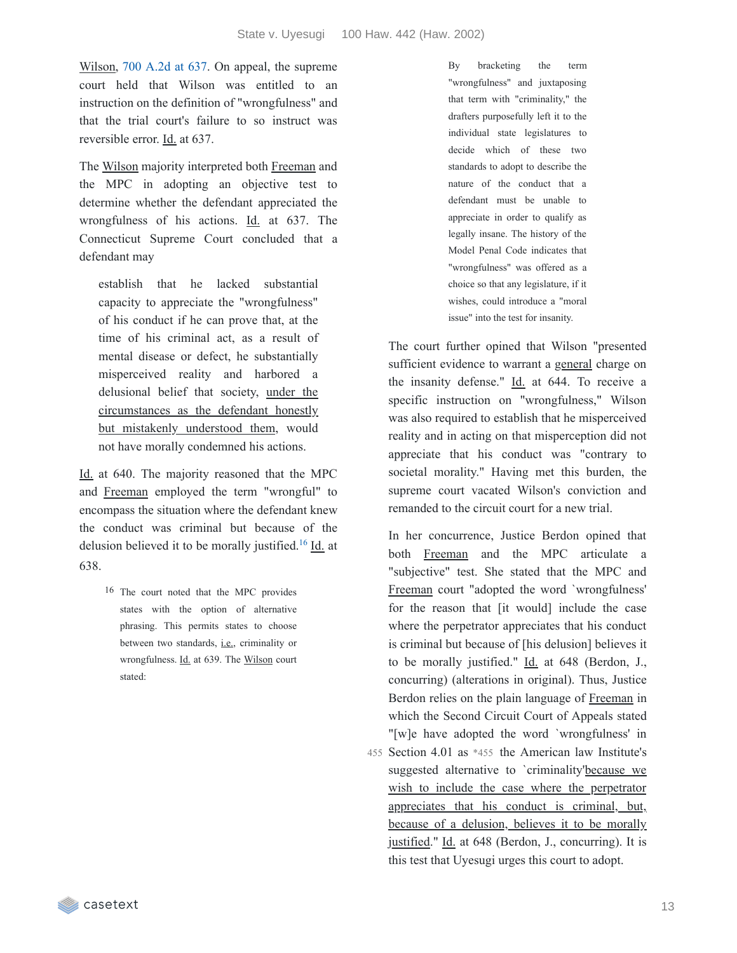Wilson, 700 [A.2d](https://casetext.com/case/state-v-wilson-1091#p637) at 637. On appeal, the supreme court held that Wilson was entitled to an instruction on the definition of "wrongfulness" and that the trial court's failure to so instruct was reversible error. Id. at 637.

The Wilson majority interpreted both Freeman and the MPC in adopting an objective test to determine whether the defendant appreciated the wrongfulness of his actions. Id. at 637. The Connecticut Supreme Court concluded that a defendant may

establish that he lacked substantial capacity to appreciate the "wrongfulness" of his conduct if he can prove that, at the time of his criminal act, as a result of mental disease or defect, he substantially misperceived reality and harbored a delusional belief that society, under the circumstances as the defendant honestly but mistakenly understood them, would not have morally condemned his actions.

Id. at 640. The majority reasoned that the MPC and Freeman employed the term "wrongful" to encompass the situation where the defendant knew the conduct was criminal but because of the delusion believed it to be morally justified.<sup>[16](https://casetext.com/_print/doc/state-v-uyesugi?_printIncludeHighlights=false&_printIncludeKeyPassages=false&_printIsTwoColumn=true&_printEmail=&_printHighlightsKey=#5b1d5499-fd30-4232-b719-bbfd75b032f6-fn16)</sup>  $Id$  at 638.

> 16 The court noted that the MPC provides states with the option of alternative phrasing. This permits states to choose between two standards, i.e., criminality or wrongfulness. Id. at 639. The Wilson court stated:

By bracketing the term "wrongfulness" and juxtaposing that term with "criminality," the drafters purposefully left it to the individual state legislatures to decide which of these two standards to adopt to describe the nature of the conduct that a defendant must be unable to appreciate in order to qualify as legally insane. The history of the Model Penal Code indicates that "wrongfulness" was offered as a choice so that any legislature, if it wishes, could introduce a "moral issue" into the test for insanity.

The court further opined that Wilson "presented sufficient evidence to warrant a general charge on the insanity defense." Id. at 644. To receive a specific instruction on "wrongfulness," Wilson was also required to establish that he misperceived reality and in acting on that misperception did not appreciate that his conduct was "contrary to societal morality." Having met this burden, the supreme court vacated Wilson's conviction and remanded to the circuit court for a new trial.

In her concurrence, Justice Berdon opined that both Freeman and the MPC articulate a "subjective" test. She stated that the MPC and Freeman court "adopted the word `wrongfulness' for the reason that [it would] include the case where the perpetrator appreciates that his conduct is criminal but because of [his delusion] believes it to be morally justified." Id. at 648 (Berdon, J., concurring) (alterations in original). Thus, Justice Berdon relies on the plain language of Freeman in which the Second Circuit Court of Appeals stated "[w]e have adopted the word `wrongfulness' in 455 Section 4.01 as \*455 the American law Institute's suggested alternative to `criminality'because we wish to include the case where the perpetrator appreciates that his conduct is criminal, but, because of a delusion, believes it to be morally justified." Id. at 648 (Berdon, J., concurring). It is this test that Uyesugi urges this court to adopt.

casetext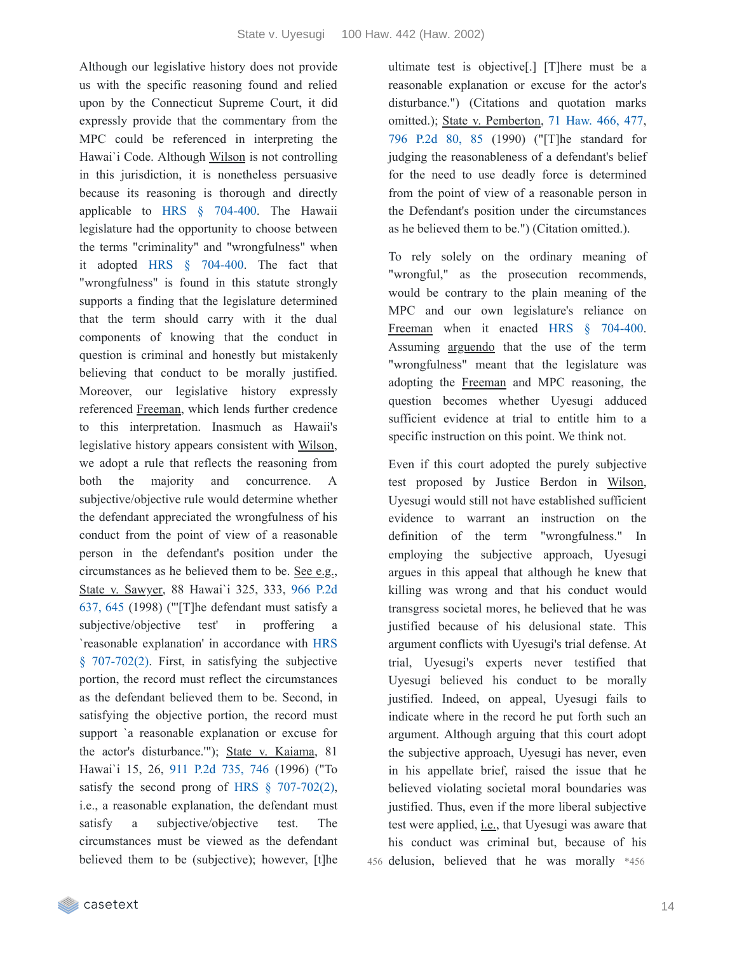Although our legislative history does not provide us with the specific reasoning found and relied upon by the Connecticut Supreme Court, it did expressly provide that the commentary from the MPC could be referenced in interpreting the Hawai'i Code. Although Wilson is not controlling in this jurisdiction, it is nonetheless persuasive because its reasoning is thorough and directly applicable to HRS § [704-400](https://casetext.com/statute/hawaii-revised-statutes/division-5-crimes-and-criminal-proceedings/title-37-hawaii-penal-code/chapter-704-penal-responsibility-and-fitness-to-proceed/section-704-400-physical-or-mental-disease-disorder-or-defect-excluding-penal-responsibility). The Hawaii legislature had the opportunity to choose between the terms "criminality" and "wrongfulness" when it adopted HRS § [704-400.](https://casetext.com/statute/hawaii-revised-statutes/division-5-crimes-and-criminal-proceedings/title-37-hawaii-penal-code/chapter-704-penal-responsibility-and-fitness-to-proceed/section-704-400-physical-or-mental-disease-disorder-or-defect-excluding-penal-responsibility) The fact that "wrongfulness" is found in this statute strongly supports a finding that the legislature determined that the term should carry with it the dual components of knowing that the conduct in question is criminal and honestly but mistakenly believing that conduct to be morally justified. Moreover, our legislative history expressly referenced Freeman, which lends further credence to this interpretation. Inasmuch as Hawaii's legislative history appears consistent with Wilson, we adopt a rule that reflects the reasoning from both the majority and concurrence. A subjective/objective rule would determine whether the defendant appreciated the wrongfulness of his conduct from the point of view of a reasonable person in the defendant's position under the circumstances as he believed them to be. See e.g., State v. Sawyer, 88 Hawai`i 325, 333, 966 P.2d 637, 645 (1998) ("'[T]he [defendant](https://casetext.com/case/state-v-sawyer-75#p645) must satisfy a subjective/objective test' in proffering `reasonable [explanation'](https://casetext.com/statute/hawaii-revised-statutes/division-5-crimes-and-criminal-proceedings/title-37-hawaii-penal-code/chapter-707-offenses-against-the-person/part-ii-criminal-homicide/section-707-702-manslaughter) in accordance with HRS § 707-702(2). First, in satisfying the subjective portion, the record must reflect the circumstances as the defendant believed them to be. Second, in satisfying the objective portion, the record must support `a reasonable explanation or excuse for the actor's disturbance.'"); State v. Kaiama, 81 Hawai`i 15, 26, 911 P.2d [735,](https://casetext.com/case/state-v-kaiama#p746) 746 (1996) ("To satisfy the second prong of HRS § [707-702\(2\),](https://casetext.com/statute/hawaii-revised-statutes/division-5-crimes-and-criminal-proceedings/title-37-hawaii-penal-code/chapter-707-offenses-against-the-person/part-ii-criminal-homicide/section-707-702-manslaughter) i.e., a reasonable explanation, the defendant must satisfy a subjective/objective test. The circumstances must be viewed as the defendant believed them to be (subjective); however, [t]he ultimate test is objective[.] [T]here must be a reasonable explanation or excuse for the actor's disturbance.") (Citations and quotation marks omitted.); State v. Pemberton, 71 [Haw.](https://casetext.com/case/state-v-pemberton-11#p477) 466, 477, 796 [P.2d](https://casetext.com/case/state-v-pemberton-11#p85) 80, 85 (1990) ("[T]he standard for judging the reasonableness of a defendant's belief for the need to use deadly force is determined from the point of view of a reasonable person in the Defendant's position under the circumstances as he believed them to be.") (Citation omitted.).

To rely solely on the ordinary meaning of "wrongful," as the prosecution recommends, would be contrary to the plain meaning of the MPC and our own legislature's reliance on Freeman when it enacted HRS § [704-400.](https://casetext.com/statute/hawaii-revised-statutes/division-5-crimes-and-criminal-proceedings/title-37-hawaii-penal-code/chapter-704-penal-responsibility-and-fitness-to-proceed/section-704-400-physical-or-mental-disease-disorder-or-defect-excluding-penal-responsibility) Assuming arguendo that the use of the term "wrongfulness" meant that the legislature was adopting the Freeman and MPC reasoning, the question becomes whether Uyesugi adduced sufficient evidence at trial to entitle him to a specific instruction on this point. We think not.

Even if this court adopted the purely subjective test proposed by Justice Berdon in Wilson, Uyesugi would still not have established sufficient evidence to warrant an instruction on the definition of the term "wrongfulness." In employing the subjective approach, Uyesugi argues in this appeal that although he knew that killing was wrong and that his conduct would transgress societal mores, he believed that he was justified because of his delusional state. This argument conflicts with Uyesugi's trial defense. At trial, Uyesugi's experts never testified that Uyesugi believed his conduct to be morally justified. Indeed, on appeal, Uyesugi fails to indicate where in the record he put forth such an argument. Although arguing that this court adopt the subjective approach, Uyesugi has never, even in his appellate brief, raised the issue that he believed violating societal moral boundaries was justified. Thus, even if the more liberal subjective test were applied, i.e., that Uyesugi was aware that his conduct was criminal but, because of his 456 delusion, believed that he was morally \*456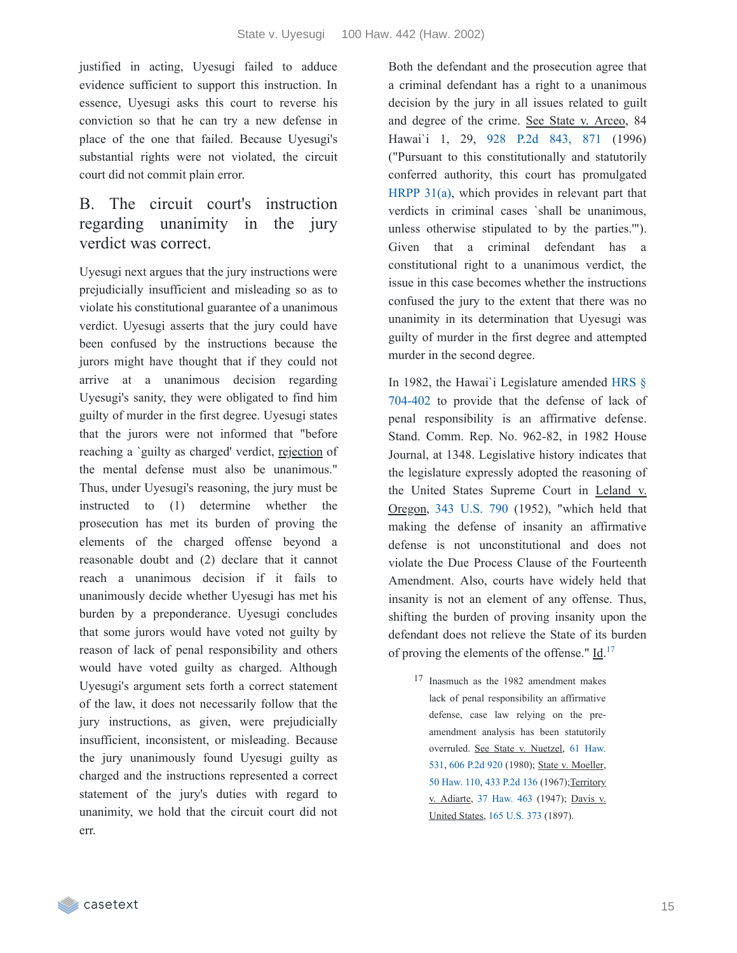justified in acting, Uyesugi failed to adduce evidence sufficient to support this instruction. In essence, Uyesugi asks this court to reverse his conviction so that he can try a new defense in place of the one that failed. Because Uyesugi's substantial rights were not violated, the circuit court did not commit plain error.

# B. The circuit court's instruction regarding unanimity in the jury verdict was correct.

Uyesugi next argues that the jury instructions were prejudicially insufficient and misleading so as to violate his constitutional guarantee of a unanimous verdict. Uyesugi asserts that the jury could have been confused by the instructions because the jurors might have thought that if they could not arrive at a unanimous decision regarding Uyesugi's sanity, they were obligated to find him guilty of murder in the first degree. Uyesugi states that the jurors were not informed that "before reaching a `guilty as charged' verdict, rejection of the mental defense must also be unanimous." Thus, under Uyesugi's reasoning, the jury must be instructed to (1) determine whether the prosecution has met its burden of proving the elements of the charged offense beyond a reasonable doubt and (2) declare that it cannot reach a unanimous decision if it fails to unanimously decide whether Uyesugi has met his burden by a preponderance. Uyesugi concludes that some jurors would have voted not guilty by reason of lack of penal responsibility and others would have voted guilty as charged. Although Uyesugi's argument sets forth a correct statement of the law, it does not necessarily follow that the jury instructions, as given, were prejudicially insufficient, inconsistent, or misleading. Because the jury unanimously found Uyesugi guilty as charged and the instructions represented a correct statement of the jury's duties with regard to unanimity, we hold that the circuit court did not err.

Both the defendant and the prosecution agree that a criminal defendant has a right to a unanimous decision by the jury in all issues related to guilt and degree of the crime. See State v. Arceo, 84 Hawai`i 1, 29, 928 P.2d [843,](https://casetext.com/case/state-v-arceo-1#p871) 871 (1996) ("Pursuant to this constitutionally and statutorily conferred authority, this court has promulgated [HRPP](https://casetext.com/rule/hawaii-court-rules/hawaii-rules-of-penal-procedure/vi-trial/rule-31-verdict) 31(a), which provides in relevant part that verdicts in criminal cases `shall be unanimous, unless otherwise stipulated to by the parties.'"). Given that a criminal defendant has a constitutional right to a unanimous verdict, the issue in this case becomes whether the instructions confused the jury to the extent that there was no unanimity in its determination that Uyesugi was guilty of murder in the first degree and attempted murder in the second degree.

In 1982, the Hawai`i [Legislature](https://casetext.com/statute/hawaii-revised-statutes/division-5-crimes-and-criminal-proceedings/title-37-hawaii-penal-code/chapter-704-penal-responsibility-and-fitness-to-proceed/section-704-402-physical-or-mental-disease-disorder-or-defect-excluding-responsibility-is-an-affirmative-defense-form-of-verdict-and-judgment-when-finding-of-irresponsibility-is-made) amended HRS § 704-402 to provide that the defense of lack of penal responsibility is an affirmative defense. Stand. Comm. Rep. No. 962-82, in 1982 House Journal, at 1348. Legislative history indicates that the legislature expressly adopted the reasoning of the United States Supreme Court in Leland v. Oregon, 343 [U.S.](https://casetext.com/case/leland-v-oregon) 790 (1952), "which held that making the defense of insanity an affirmative defense is not unconstitutional and does not violate the Due Process Clause of the Fourteenth Amendment. Also, courts have widely held that insanity is not an element of any offense. Thus, shifting the burden of proving insanity upon the defendant does not relieve the State of its burden of proving the elements of the offense."  $\underline{Id}$ .<sup>[17](https://casetext.com/_print/doc/state-v-uyesugi?_printIncludeHighlights=false&_printIncludeKeyPassages=false&_printIsTwoColumn=true&_printEmail=&_printHighlightsKey=#ba829200-d587-4657-a954-cfbe1bf665fe-fn17)</sup>

17 Inasmuch as the 1982 amendment makes lack of penal responsibility an affirmative defense, case law relying on the preamendment analysis has been statutorily [overruled.](https://casetext.com/case/state-v-nuetzel) See State v. Nuetzel, 61 Haw. 531, 606 [P.2d](https://casetext.com/case/state-v-nuetzel) 920 (1980); State v. Moeller, 50 [Haw.](https://casetext.com/case/state-v-moeller-12) 110, 433 [P.2d](https://casetext.com/case/state-v-moeller-12) 136 (1967); Territory v. Adiarte, 37 [Haw.](https://casetext.com/case/territory-v-adiarte) 463 (1947); Davis v. United States, 165 [U.S.](https://casetext.com/case/davis-v-united-states-10) 373 (1897).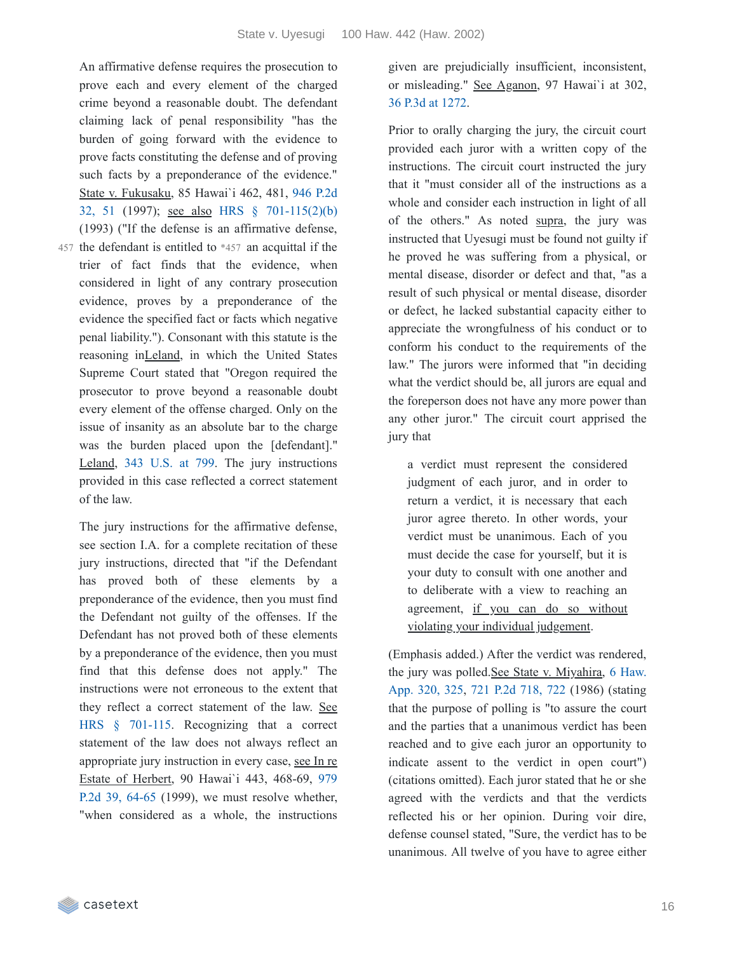An affirmative defense requires the prosecution to prove each and every element of the charged crime beyond a reasonable doubt. The defendant claiming lack of penal responsibility "has the burden of going forward with the evidence to prove facts constituting the defense and of proving such facts by a preponderance of the evidence." State v. Fukusaku, 85 Hawai`i 462, 481, 946 P.2d 32, 51 (1997); see also HRS § [701-115\(2\)\(b\)](https://casetext.com/case/state-v-fukusaku#p51) (1993) ("If the defense is an affirmative defense,

457 the defendant is entitled to  $*457$  an acquittal if the trier of fact finds that the evidence, when considered in light of any contrary prosecution evidence, proves by a preponderance of the evidence the specified fact or facts which negative penal liability."). Consonant with this statute is the reasoning inLeland, in which the United States Supreme Court stated that "Oregon required the prosecutor to prove beyond a reasonable doubt every element of the offense charged. Only on the issue of insanity as an absolute bar to the charge was the burden placed upon the [defendant]." Leland, 343 [U.S.](https://casetext.com/case/leland-v-oregon#p799) at 799. The jury instructions provided in this case reflected a correct statement of the law.

The jury instructions for the affirmative defense, see section I.A. for a complete recitation of these jury instructions, directed that "if the Defendant has proved both of these elements by a preponderance of the evidence, then you must find the Defendant not guilty of the offenses. If the Defendant has not proved both of these elements by a preponderance of the evidence, then you must find that this defense does not apply." The instructions were not erroneous to the extent that they reflect a correct statement of the law. See HRS § [701-115](https://casetext.com/statute/hawaii-revised-statutes/division-5-crimes-and-criminal-proceedings/title-37-hawaii-penal-code/chapter-701-preliminary-provisions/section-701-115-defenses). Recognizing that a correct statement of the law does not always reflect an appropriate jury instruction in every case, see In re Estate of Herbert, 90 Hawai`i 443, 468-69, 979 P.2d 39, 64-65 (1999), we must resolve [whether,](https://casetext.com/case/matter-of-herbert-7#p64) "when considered as a whole, the instructions given are prejudicially insufficient, inconsistent, or misleading." See Aganon, 97 Hawai`i at 302, 36 P.3d at [1272.](https://casetext.com/case/state-v-aganon-1#p1272)

Prior to orally charging the jury, the circuit court provided each juror with a written copy of the instructions. The circuit court instructed the jury that it "must consider all of the instructions as a whole and consider each instruction in light of all of the others." As noted supra, the jury was instructed that Uyesugi must be found not guilty if he proved he was suffering from a physical, or mental disease, disorder or defect and that, "as a result of such physical or mental disease, disorder or defect, he lacked substantial capacity either to appreciate the wrongfulness of his conduct or to conform his conduct to the requirements of the law." The jurors were informed that "in deciding what the verdict should be, all jurors are equal and the foreperson does not have any more power than any other juror." The circuit court apprised the jury that

a verdict must represent the considered judgment of each juror, and in order to return a verdict, it is necessary that each juror agree thereto. In other words, your verdict must be unanimous. Each of you must decide the case for yourself, but it is your duty to consult with one another and to deliberate with a view to reaching an agreement, if you can do so without violating your individual judgement.

(Emphasis added.) After the verdict was rendered, the jury was [polled.See](https://casetext.com/case/state-v-miyahira#p325) State v. Miyahira, 6 Haw. App. 320, 325, 721 P.2d [718,](https://casetext.com/case/state-v-miyahira#p722) 722 (1986) (stating that the purpose of polling is "to assure the court and the parties that a unanimous verdict has been reached and to give each juror an opportunity to indicate assent to the verdict in open court") (citations omitted). Each juror stated that he or she agreed with the verdicts and that the verdicts reflected his or her opinion. During voir dire, defense counsel stated, "Sure, the verdict has to be unanimous. All twelve of you have to agree either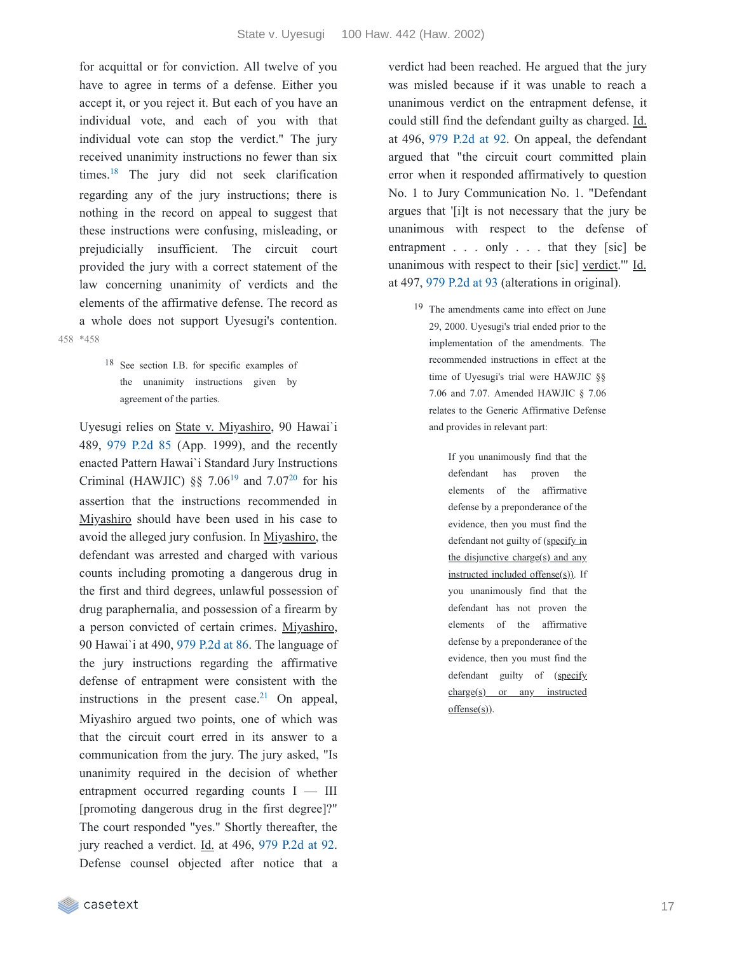for acquittal or for conviction. All twelve of you have to agree in terms of a defense. Either you accept it, or you reject it. But each of you have an individual vote, and each of you with that individual vote can stop the verdict." The jury received unanimity instructions no fewer than six times. $18$  The jury did not seek clarification regarding any of the jury instructions; there is nothing in the record on appeal to suggest that these instructions were confusing, misleading, or prejudicially insufficient. The circuit court provided the jury with a correct statement of the law concerning unanimity of verdicts and the elements of the affirmative defense. The record as a whole does not support Uyesugi's contention. \*458 458

> 18 See section I.B. for specific examples of the unanimity instructions given by agreement of the parties.

Uyesugi relies on State v. Miyashiro, 90 Hawai`i 489, 979 [P.2d](https://casetext.com/case/state-v-miyashiro) 85 (App. 1999), and the recently enacted Pattern Hawai`i Standard Jury Instructions Criminal (HAWJIC) §§ 7.06<sup>[19](https://casetext.com/_print/doc/state-v-uyesugi?_printIncludeHighlights=false&_printIncludeKeyPassages=false&_printIsTwoColumn=true&_printEmail=&_printHighlightsKey=#466073a5-9f7b-415c-bf1b-da6886d0114b-fn19)</sup> and 7.07<sup>[20](https://casetext.com/_print/doc/state-v-uyesugi?_printIncludeHighlights=false&_printIncludeKeyPassages=false&_printIsTwoColumn=true&_printEmail=&_printHighlightsKey=#593c5c80-a8b9-4e87-b7fc-aa13df0d460d-fn20)</sup> for his assertion that the instructions recommended in Miyashiro should have been used in his case to avoid the alleged jury confusion. In Miyashiro, the defendant was arrested and charged with various counts including promoting a dangerous drug in the first and third degrees, unlawful possession of drug paraphernalia, and possession of a firearm by a person convicted of certain crimes. Miyashiro, 90 Hawai`i at 490, 979 [P.2d](https://casetext.com/case/state-v-miyashiro#p86) at 86. The language of the jury instructions regarding the affirmative defense of entrapment were consistent with the instructions in the present case.<sup>[21](https://casetext.com/_print/doc/state-v-uyesugi?_printIncludeHighlights=false&_printIncludeKeyPassages=false&_printIsTwoColumn=true&_printEmail=&_printHighlightsKey=#3d32a1d0-7a7e-43db-8f69-9e0d333268a5-fn21)</sup> On appeal, Miyashiro argued two points, one of which was that the circuit court erred in its answer to a communication from the jury. The jury asked, "Is unanimity required in the decision of whether entrapment occurred regarding counts I — III [promoting dangerous drug in the first degree]?" The court responded "yes." Shortly thereafter, the jury reached a verdict. Id. at 496, 979 [P.2d](https://casetext.com/case/state-v-miyashiro#p92) at 92. Defense counsel objected after notice that a

verdict had been reached. He argued that the jury was misled because if it was unable to reach a unanimous verdict on the entrapment defense, it could still find the defendant guilty as charged. Id. at 496, 979 [P.2d](https://casetext.com/case/state-v-miyashiro#p92) at 92. On appeal, the defendant argued that "the circuit court committed plain error when it responded affirmatively to question No. 1 to Jury Communication No. 1. "Defendant argues that '[i]t is not necessary that the jury be unanimous with respect to the defense of entrapment . . . only . . . that they [sic] be unanimous with respect to their [sic] verdict." Id. at 497, 979 [P.2d](https://casetext.com/case/state-v-miyashiro#p93) at 93 (alterations in original).

19 The amendments came into effect on June 29, 2000. Uyesugi's trial ended prior to the implementation of the amendments. The recommended instructions in effect at the time of Uyesugi's trial were HAWJIC §§ 7.06 and 7.07. Amended HAWJIC § 7.06 relates to the Generic Affirmative Defense and provides in relevant part:

> If you unanimously find that the defendant has proven the elements of the affirmative defense by a preponderance of the evidence, then you must find the defendant not guilty of (specify in the disjunctive charge( $s$ ) and any instructed included offense(s)). If you unanimously find that the defendant has not proven the elements of the affirmative defense by a preponderance of the evidence, then you must find the defendant guilty of (specify charge(s) or any instructed  $offense(s)$ ).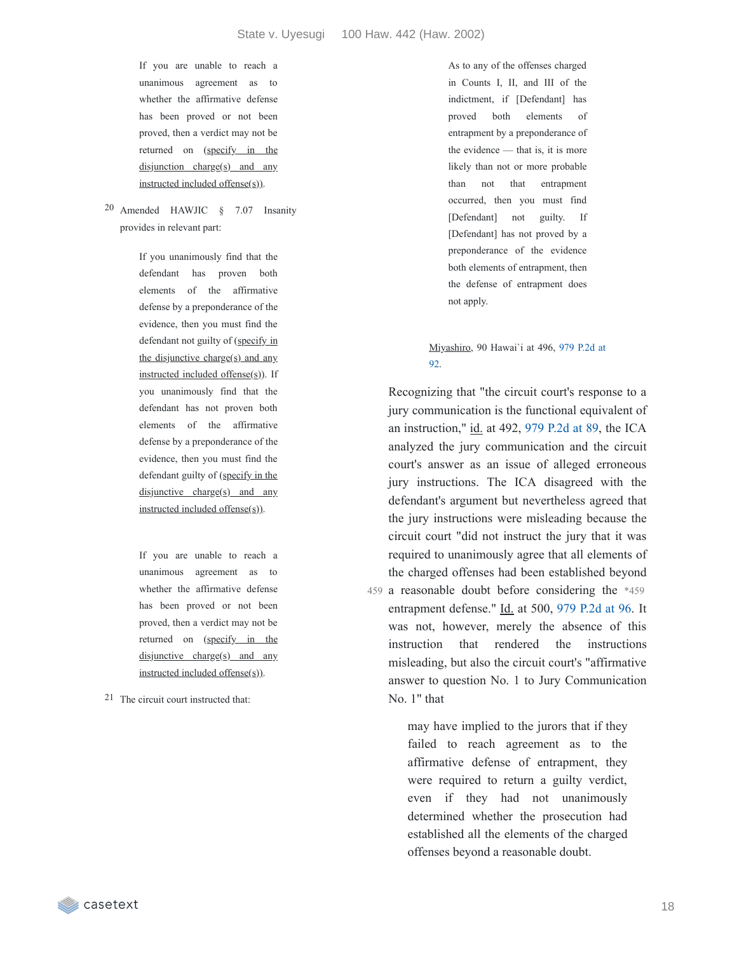If you are unable to reach a unanimous agreement as to whether the affirmative defense has been proved or not been proved, then a verdict may not be returned on (specify in the  $disjunction charge(s)$  and any instructed included offense(s)).

20 Amended HAWJIC § 7.07 Insanity provides in relevant part:

> If you unanimously find that the defendant has proven both elements of the affirmative defense by a preponderance of the evidence, then you must find the defendant not guilty of (specify in the disjunctive charge(s) and any instructed included offense $(s)$ ). If you unanimously find that the defendant has not proven both elements of the affirmative defense by a preponderance of the evidence, then you must find the defendant guilty of (specify in the disjunctive charge( $s$ ) and any instructed included offense(s)).

If you are unable to reach a unanimous agreement as to whether the affirmative defense has been proved or not been proved, then a verdict may not be returned on (specify in the disjunctive charge(s) and any instructed included offense(s)).

21 The circuit court instructed that:

As to any of the offenses charged in Counts I, II, and III of the indictment, if [Defendant] has proved both elements of entrapment by a preponderance of the evidence — that is, it is more likely than not or more probable than not that entrapment occurred, then you must find [Defendant] not guilty. If [Defendant] has not proved by a preponderance of the evidence both elements of entrapment, then the defense of entrapment does not apply.

#### [Miyashiro,](https://casetext.com/case/state-v-miyashiro#p92) 90 Hawai`i at 496, 979 P.2d at 92.

Recognizing that "the circuit court's response to a jury communication is the functional equivalent of an instruction," id. at 492, 979 [P.2d](https://casetext.com/case/state-v-miyashiro#p89) at 89, the ICA analyzed the jury communication and the circuit court's answer as an issue of alleged erroneous jury instructions. The ICA disagreed with the defendant's argument but nevertheless agreed that the jury instructions were misleading because the circuit court "did not instruct the jury that it was required to unanimously agree that all elements of the charged offenses had been established beyond 459 a reasonable doubt before considering the \*459 entrapment defense." Id. at 500, 979 [P.2d](https://casetext.com/case/state-v-miyashiro#p96) at 96. It was not, however, merely the absence of this instruction that rendered the instructions misleading, but also the circuit court's "affirmative answer to question No. 1 to Jury Communication No. 1" that

> may have implied to the jurors that if they failed to reach agreement as to the affirmative defense of entrapment, they were required to return a guilty verdict, even if they had not unanimously determined whether the prosecution had established all the elements of the charged offenses beyond a reasonable doubt.

casetext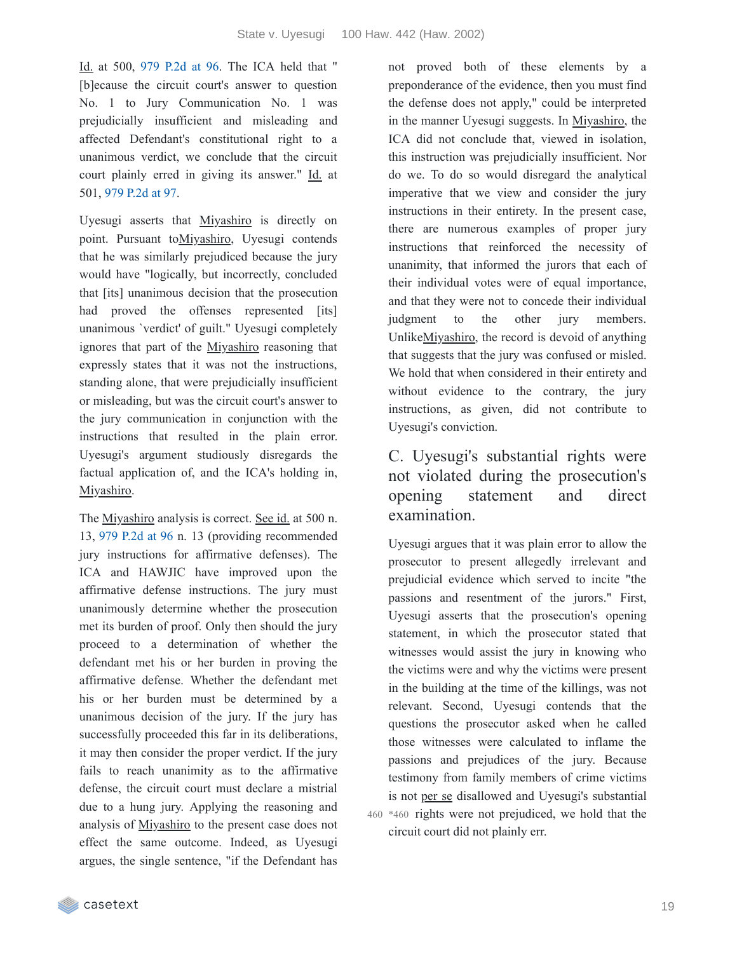Id. at 500, 979 [P.2d](https://casetext.com/case/state-v-miyashiro#p96) at 96. The ICA held that " [b]ecause the circuit court's answer to question No. 1 to Jury Communication No. 1 was prejudicially insufficient and misleading and affected Defendant's constitutional right to a unanimous verdict, we conclude that the circuit court plainly erred in giving its answer." Id. at 501, 979 [P.2d](https://casetext.com/case/state-v-miyashiro#p97) at 97.

Uyesugi asserts that Miyashiro is directly on point. Pursuant toMiyashiro, Uyesugi contends that he was similarly prejudiced because the jury would have "logically, but incorrectly, concluded that [its] unanimous decision that the prosecution had proved the offenses represented [its] unanimous `verdict' of guilt." Uyesugi completely ignores that part of the Miyashiro reasoning that expressly states that it was not the instructions, standing alone, that were prejudicially insufficient or misleading, but was the circuit court's answer to the jury communication in conjunction with the instructions that resulted in the plain error. Uyesugi's argument studiously disregards the factual application of, and the ICA's holding in, Miyashiro.

The Miyashiro analysis is correct. See id. at 500 n. 13, 979 [P.2d](https://casetext.com/case/state-v-miyashiro#p96) at 96 n. 13 (providing recommended jury instructions for affirmative defenses). The ICA and HAWJIC have improved upon the affirmative defense instructions. The jury must unanimously determine whether the prosecution met its burden of proof. Only then should the jury proceed to a determination of whether the defendant met his or her burden in proving the affirmative defense. Whether the defendant met his or her burden must be determined by a unanimous decision of the jury. If the jury has successfully proceeded this far in its deliberations, it may then consider the proper verdict. If the jury fails to reach unanimity as to the affirmative defense, the circuit court must declare a mistrial due to a hung jury. Applying the reasoning and analysis of Miyashiro to the present case does not effect the same outcome. Indeed, as Uyesugi argues, the single sentence, "if the Defendant has

not proved both of these elements by a preponderance of the evidence, then you must find the defense does not apply," could be interpreted in the manner Uyesugi suggests. In Miyashiro, the ICA did not conclude that, viewed in isolation, this instruction was prejudicially insufficient. Nor do we. To do so would disregard the analytical imperative that we view and consider the jury instructions in their entirety. In the present case, there are numerous examples of proper jury instructions that reinforced the necessity of unanimity, that informed the jurors that each of their individual votes were of equal importance, and that they were not to concede their individual judgment to the other jury members. UnlikeMiyashiro, the record is devoid of anything that suggests that the jury was confused or misled. We hold that when considered in their entirety and without evidence to the contrary, the jury instructions, as given, did not contribute to Uyesugi's conviction.

# C. Uyesugi's substantial rights were not violated during the prosecution's opening statement and direct examination.

Uyesugi argues that it was plain error to allow the prosecutor to present allegedly irrelevant and prejudicial evidence which served to incite "the passions and resentment of the jurors." First, Uyesugi asserts that the prosecution's opening statement, in which the prosecutor stated that witnesses would assist the jury in knowing who the victims were and why the victims were present in the building at the time of the killings, was not relevant. Second, Uyesugi contends that the questions the prosecutor asked when he called those witnesses were calculated to inflame the passions and prejudices of the jury. Because testimony from family members of crime victims is not per se disallowed and Uyesugi's substantial 460 \*460 rights were not prejudiced, we hold that the circuit court did not plainly err.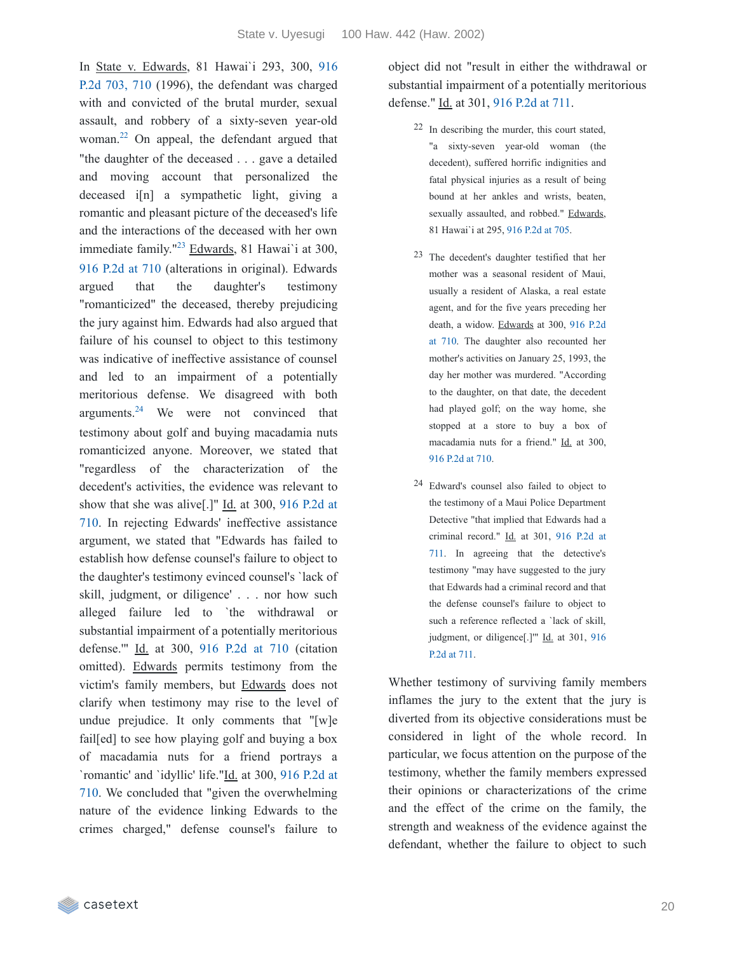In State v. Edwards, 81 Hawai`i 293, 300, 916 P.2d 703, 710 (1996), the [defendant](https://casetext.com/case/state-v-edwards-430#p710) was charged with and convicted of the brutal murder, sexual assault, and robbery of a sixty-seven year-old woman.<sup>[22](https://casetext.com/_print/doc/state-v-uyesugi?_printIncludeHighlights=false&_printIncludeKeyPassages=false&_printIsTwoColumn=true&_printEmail=&_printHighlightsKey=#b3721ae7-7834-43b2-9177-ce67f4f9c36c-fn22)</sup> On appeal, the defendant argued that "the daughter of the deceased . . . gave a detailed and moving account that personalized the deceased i<sup>[n]</sup> a sympathetic light, giving a romantic and pleasant picture of the deceased's life and the interactions of the deceased with her own immediate family."<sup>[23](https://casetext.com/_print/doc/state-v-uyesugi?_printIncludeHighlights=false&_printIncludeKeyPassages=false&_printIsTwoColumn=true&_printEmail=&_printHighlightsKey=#47907e0c-cb20-44bb-8a0d-34fd2e9f6eda-fn23)</sup> Edwards, 81 Hawai'i at 300, 916 [P.2d](https://casetext.com/case/state-v-edwards-430#p710) at 710 (alterations in original). Edwards argued that the daughter's testimony "romanticized" the deceased, thereby prejudicing the jury against him. Edwards had also argued that failure of his counsel to object to this testimony was indicative of ineffective assistance of counsel and led to an impairment of a potentially meritorious defense. We disagreed with both arguments. $24$  We were not convinced that testimony about golf and buying macadamia nuts romanticized anyone. Moreover, we stated that "regardless of the characterization of the decedent's activities, the evidence was relevant to show that she was alive[.]" Id. at 300, 916 P.2d at 710. In rejecting Edwards' [ineffective](https://casetext.com/case/state-v-edwards-430#p710) assistance argument, we stated that "Edwards has failed to establish how defense counsel's failure to object to the daughter's testimony evinced counsel's `lack of skill, judgment, or diligence' . . . nor how such alleged failure led to `the withdrawal or substantial impairment of a potentially meritorious defense.'" Id. at 300, 916 [P.2d](https://casetext.com/case/state-v-edwards-430#p710) at 710 (citation omitted). Edwards permits testimony from the victim's family members, but Edwards does not clarify when testimony may rise to the level of undue prejudice. It only comments that "[w]e fail[ed] to see how playing golf and buying a box of macadamia nuts for a friend portrays a `romantic' and `idyllic' life."Id. at 300, 916 P.2d at 710. We concluded that "given the [overwhelming](https://casetext.com/case/state-v-edwards-430#p710) nature of the evidence linking Edwards to the crimes charged," defense counsel's failure to

object did not "result in either the withdrawal or substantial impairment of a potentially meritorious defense." Id. at 301, 916 [P.2d](https://casetext.com/case/state-v-edwards-430#p711) at 711.

- 22 In describing the murder, this court stated, "a sixty-seven year-old woman (the decedent), suffered horrific indignities and fatal physical injuries as a result of being bound at her ankles and wrists, beaten, sexually assaulted, and robbed." Edwards, 81 Hawai`i at 295, 916 [P.2d](https://casetext.com/case/state-v-edwards-430#p705) at 705.
- 23 The decedent's daughter testified that her mother was a seasonal resident of Maui, usually a resident of Alaska, a real estate agent, and for the five years preceding her death, a widow. Edwards at 300, 916 P.2d at 710. The daughter also [recounted](https://casetext.com/case/state-v-edwards-430#p710) her mother's activities on January 25, 1993, the day her mother was murdered. "According to the daughter, on that date, the decedent had played golf; on the way home, she stopped at a store to buy a box of macadamia nuts for a friend." Id. at 300, 916 [P.2d](https://casetext.com/case/state-v-edwards-430#p710) at 710.
- 24 Edward's counsel also failed to object to the testimony of a Maui Police Department Detective "that implied that Edwards had a criminal record." Id. at 301, 916 P.2d at 711. In agreeing that the [detective's](https://casetext.com/case/state-v-edwards-430#p711) testimony "may have suggested to the jury that Edwards had a criminal record and that the defense counsel's failure to object to such a reference reflected a `lack of skill, judgment, or diligence[.]" Id. at 301, 916 P.2d at 711.

Whether testimony of surviving family members inflames the jury to the extent that the jury is diverted from its objective considerations must be considered in light of the whole record. In particular, we focus attention on the purpose of the testimony, whether the family members expressed their opinions or characterizations of the crime and the effect of the crime on the family, the strength and weakness of the evidence against the defendant, whether the failure to object to such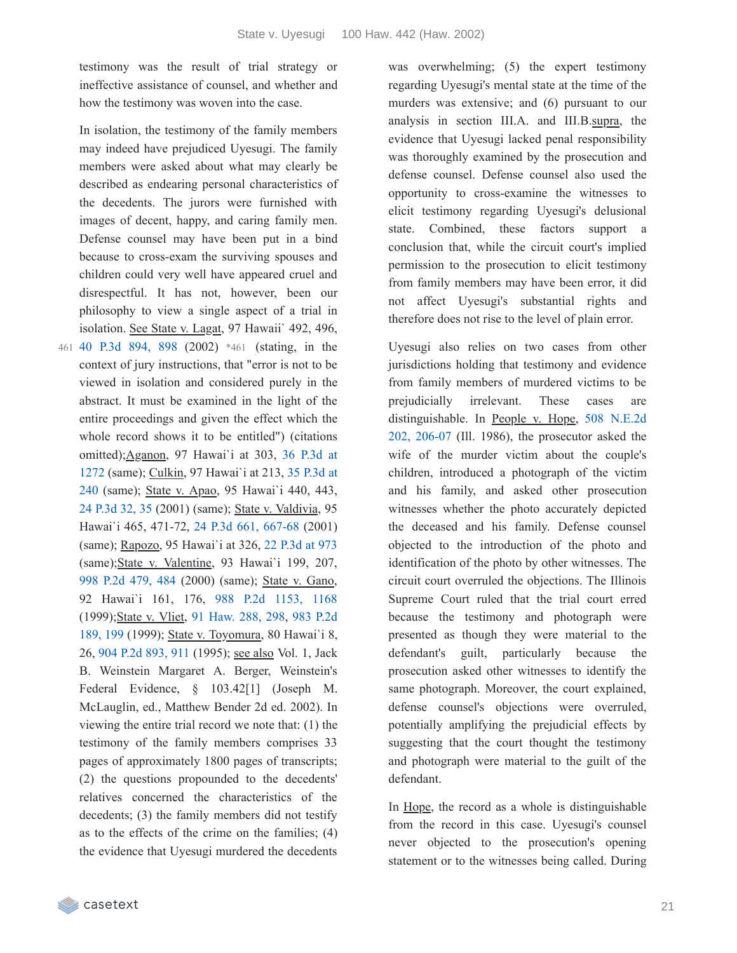testimony was the result of trial strategy or ineffective assistance of counsel, and whether and how the testimony was woven into the case.

In isolation, the testimony of the family members

may indeed have prejudiced Uyesugi. The family members were asked about what may clearly be described as endearing personal characteristics of the decedents. The jurors were furnished with images of decent, happy, and caring family men. Defense counsel may have been put in a bind because to cross-exam the surviving spouses and children could very well have appeared cruel and disrespectful. It has not, however, been our philosophy to view a single aspect of a trial in isolation. See State v. Lagat, 97 Hawaii` 492, 496, 40 P.3d [894,](https://casetext.com/case/state-v-lagat#p898) 898 (2002) \*461 (stating, in the 461 Uyesugi also relies on two cases from other context of jury instructions, that "error is not to be viewed in isolation and considered purely in the abstract. It must be examined in the light of the entire proceedings and given the effect which the whole record shows it to be entitled") (citations [omitted\);Aganon,](https://casetext.com/case/state-v-aganon-1#p1272) 97 Hawai`i at 303, 36 P.3d at 1272 (same); Culkin, 97 Hawai`i at 213, 35 P.3d at 240 (same); State v. Apao, 95 [Hawai`i](https://casetext.com/case/state-v-culkin-1#p240) 440, 443, 24 [P.3d](https://casetext.com/case/state-v-apao-1#p35) 32, 35 (2001) (same); State v. Valdivia, 95 Hawai`i 465, 471-72, 24 P.3d 661, [667-68](https://casetext.com/case/state-v-valdivia#p667) (2001) (same); Rapozo, 95 Hawai`i at 326, 22 [P.3d](https://casetext.com/case/state-v-rapoza-3#p973) at 973 (same);State v. Valentine, 93 Hawai`i 199, 207, 998 P.2d [479,](https://casetext.com/case/state-v-valentine-49#p484) 484 (2000) (same); State v. Gano, 92 Hawai`i 161, 176, 988 P.2d [1153,](https://casetext.com/case/state-v-gano-2#p1168) 1168 [\(1999\);State](https://casetext.com/case/state-v-vliet#p199) v. Vliet, 91 [Haw.](https://casetext.com/case/state-v-vliet#p298) 288, 298, 983 P.2d 189, 199 (1999); State v. Toyomura, 80 Hawai`i 8, 26, 904 P.2d [893,](https://casetext.com/case/state-v-toyomura#p911) 911 (1995); see also Vol. 1, Jack B. Weinstein Margaret A. Berger, Weinstein's Federal Evidence, § 103.42[1] (Joseph M. McLauglin, ed., Matthew Bender 2d ed. 2002). In viewing the entire trial record we note that: (1) the testimony of the family members comprises 33 pages of approximately 1800 pages of transcripts; (2) the questions propounded to the decedents' relatives concerned the characteristics of the decedents; (3) the family members did not testify as to the effects of the crime on the families; (4) the evidence that Uyesugi murdered the decedents

was overwhelming; (5) the expert testimony regarding Uyesugi's mental state at the time of the murders was extensive; and (6) pursuant to our analysis in section III.A. and III.B.supra, the evidence that Uyesugi lacked penal responsibility was thoroughly examined by the prosecution and defense counsel. Defense counsel also used the opportunity to cross-examine the witnesses to elicit testimony regarding Uyesugi's delusional state. Combined, these factors support a conclusion that, while the circuit court's implied permission to the prosecution to elicit testimony from family members may have been error, it did not affect Uyesugi's substantial rights and therefore does not rise to the level of plain error.

jurisdictions holding that testimony and evidence from family members of murdered victims to be prejudicially irrelevant. These cases are [distinguishable.](https://casetext.com/case/people-v-hope-29#p206) In People v. Hope, 508 N.E.2d 202, 206-07 (Ill. 1986), the prosecutor asked the wife of the murder victim about the couple's children, introduced a photograph of the victim and his family, and asked other prosecution witnesses whether the photo accurately depicted the deceased and his family. Defense counsel objected to the introduction of the photo and identification of the photo by other witnesses. The circuit court overruled the objections. The Illinois Supreme Court ruled that the trial court erred because the testimony and photograph were presented as though they were material to the defendant's guilt, particularly because the prosecution asked other witnesses to identify the same photograph. Moreover, the court explained, defense counsel's objections were overruled, potentially amplifying the prejudicial effects by suggesting that the court thought the testimony and photograph were material to the guilt of the defendant.

In Hope, the record as a whole is distinguishable from the record in this case. Uyesugi's counsel never objected to the prosecution's opening statement or to the witnesses being called. During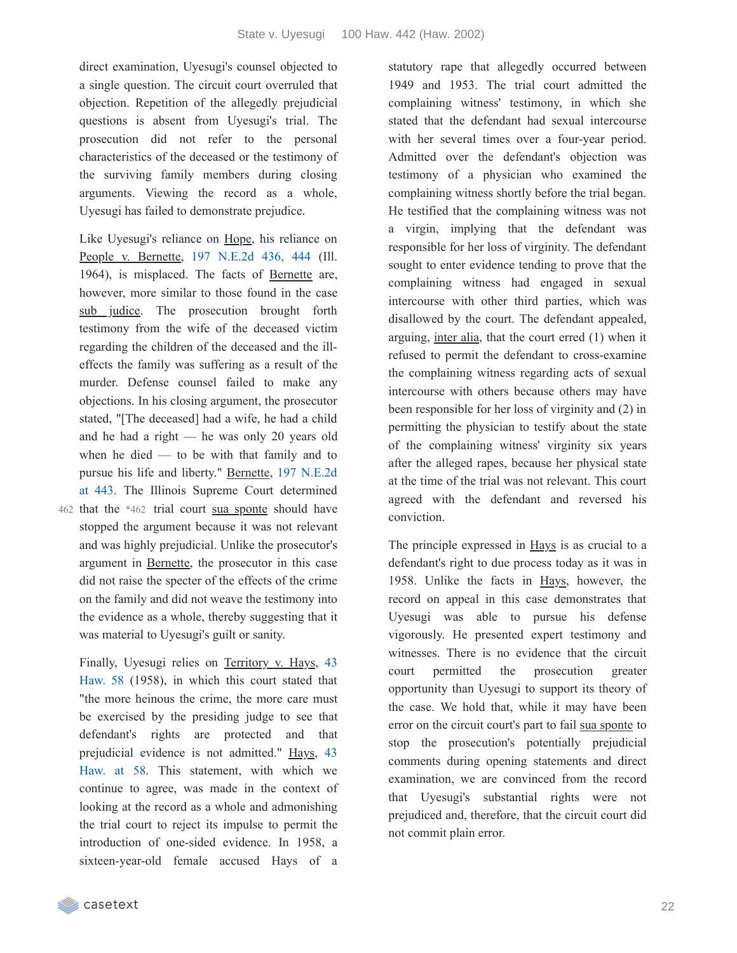direct examination, Uyesugi's counsel objected to a single question. The circuit court overruled that objection. Repetition of the allegedly prejudicial questions is absent from Uyesugi's trial. The prosecution did not refer to the personal characteristics of the deceased or the testimony of the surviving family members during closing arguments. Viewing the record as a whole, Uyesugi has failed to demonstrate prejudice.

Like Uyesugi's reliance on Hope, his reliance on People v. Bernette, 197 [N.E.2d](https://casetext.com/case/the-people-v-bernette-1#p444) 436, 444 (Ill. 1964), is misplaced. The facts of Bernette are, however, more similar to those found in the case sub judice. The prosecution brought forth testimony from the wife of the deceased victim regarding the children of the deceased and the illeffects the family was suffering as a result of the murder. Defense counsel failed to make any objections. In his closing argument, the prosecutor stated, "[The deceased] had a wife, he had a child and he had a right — he was only 20 years old when he died  $-$  to be with that family and to pursue his life and liberty." Bernette, 197 N.E.2d at 443. The Illinois Supreme Court [determined](https://casetext.com/case/the-people-v-bernette-1#p443)

462 that the \*462 trial court sua sponte should have stopped the argument because it was not relevant and was highly prejudicial. Unlike the prosecutor's argument in Bernette, the prosecutor in this case did not raise the specter of the effects of the crime on the family and did not weave the testimony into the evidence as a whole, thereby suggesting that it was material to Uyesugi's guilt or sanity.

Finally, Uyesugi relies on [Territory](https://casetext.com/case/territory-v-hays-aka-blanton) v. Hays, 43 Haw. 58 (1958), in which this court stated that "the more heinous the crime, the more care must be exercised by the presiding judge to see that defendant's rights are protected and that [prejudicial](https://casetext.com/case/territory-v-hays-aka-blanton#p58) evidence is not admitted." Hays, 43 Haw. at 58. This statement, with which we continue to agree, was made in the context of looking at the record as a whole and admonishing the trial court to reject its impulse to permit the introduction of one-sided evidence. In 1958, a sixteen-year-old female accused Hays of a

statutory rape that allegedly occurred between 1949 and 1953. The trial court admitted the complaining witness' testimony, in which she stated that the defendant had sexual intercourse with her several times over a four-year period. Admitted over the defendant's objection was testimony of a physician who examined the complaining witness shortly before the trial began. He testified that the complaining witness was not a virgin, implying that the defendant was responsible for her loss of virginity. The defendant sought to enter evidence tending to prove that the complaining witness had engaged in sexual intercourse with other third parties, which was disallowed by the court. The defendant appealed, arguing, inter alia, that the court erred (1) when it refused to permit the defendant to cross-examine the complaining witness regarding acts of sexual intercourse with others because others may have been responsible for her loss of virginity and (2) in permitting the physician to testify about the state of the complaining witness' virginity six years after the alleged rapes, because her physical state at the time of the trial was not relevant. This court agreed with the defendant and reversed his conviction.

The principle expressed in Hays is as crucial to a defendant's right to due process today as it was in 1958. Unlike the facts in Hays, however, the record on appeal in this case demonstrates that Uyesugi was able to pursue his defense vigorously. He presented expert testimony and witnesses. There is no evidence that the circuit court permitted the prosecution greater opportunity than Uyesugi to support its theory of the case. We hold that, while it may have been error on the circuit court's part to fail sua sponte to stop the prosecution's potentially prejudicial comments during opening statements and direct examination, we are convinced from the record that Uyesugi's substantial rights were not prejudiced and, therefore, that the circuit court did not commit plain error.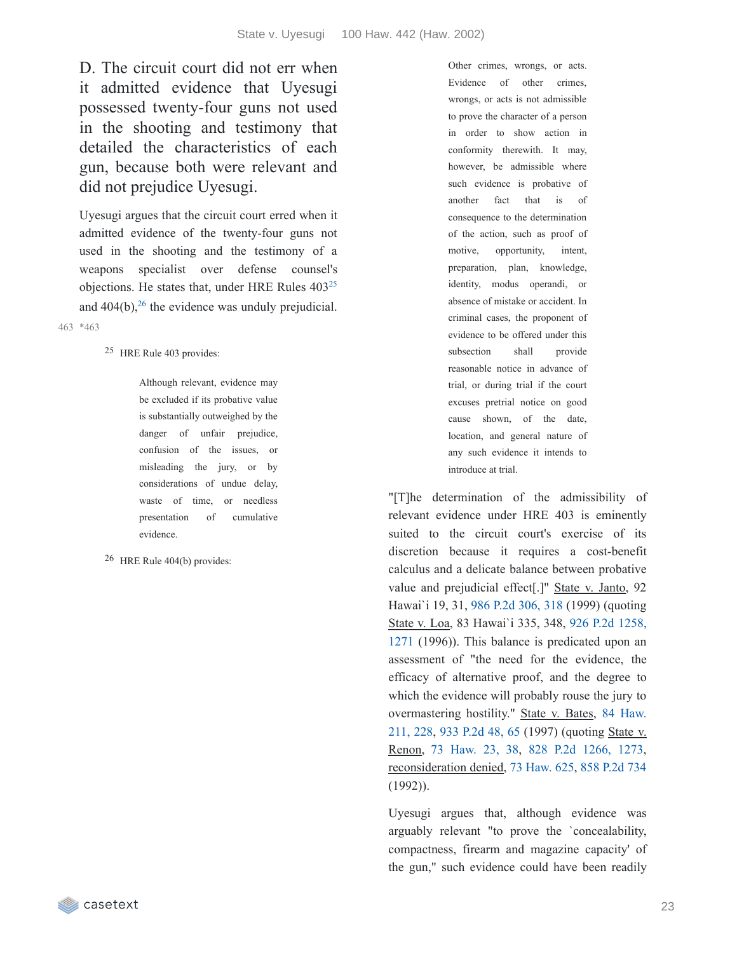D. The circuit court did not err when it admitted evidence that Uyesugi possessed twenty-four guns not used in the shooting and testimony that detailed the characteristics of each gun, because both were relevant and did not prejudice Uyesugi.

Uyesugi argues that the circuit court erred when it admitted evidence of the twenty-four guns not used in the shooting and the testimony of a weapons specialist over defense counsel's objections. He states that, under HRE Rules  $403^{25}$  $403^{25}$  $403^{25}$ and  $404(b)$ , <sup>[26](https://casetext.com/_print/doc/state-v-uyesugi?_printIncludeHighlights=false&_printIncludeKeyPassages=false&_printIsTwoColumn=true&_printEmail=&_printHighlightsKey=#54478afe-17e1-4618-bbf4-8280adfcdb22-fn26)</sup> the evidence was unduly prejudicial.

\*463 463

25 HRE Rule 403 provides:

Although relevant, evidence may be excluded if its probative value is substantially outweighed by the danger of unfair prejudice, confusion of the issues, or misleading the jury, or by considerations of undue delay, waste of time, or needless presentation of cumulative evidence.

26 HRE Rule 404(b) provides:

Other crimes, wrongs, or acts. Evidence of other crimes, wrongs, or acts is not admissible to prove the character of a person in order to show action in conformity therewith. It may, however, be admissible where such evidence is probative of another fact that is of consequence to the determination of the action, such as proof of motive, opportunity, intent, preparation, plan, knowledge, identity, modus operandi, or absence of mistake or accident. In criminal cases, the proponent of evidence to be offered under this subsection shall provide reasonable notice in advance of trial, or during trial if the court excuses pretrial notice on good cause shown, of the date, location, and general nature of any such evidence it intends to introduce at trial.

"[T]he determination of the admissibility of relevant evidence under HRE 403 is eminently suited to the circuit court's exercise of its discretion because it requires a cost-benefit calculus and a delicate balance between probative value and prejudicial effect[.]" State v. Janto, 92 Hawai`i 19, 31, 986 P.2d [306,](https://casetext.com/case/state-v-janto#p318) 318 (1999) (quoting State v. Loa, 83 Hawai`i 335, 348, 926 P.2d 1258, 1271 (1996)). This balance is [predicated](https://casetext.com/case/state-v-loa#p1271) upon an assessment of "the need for the evidence, the efficacy of alternative proof, and the degree to which the evidence will probably rouse the jury to [overmastering](https://casetext.com/case/state-v-bates-183#p228) hostility." State v. Bates, 84 Haw. 211, 228, 933 [P.2d](https://casetext.com/case/state-v-bates-183#p65) 48, 65 (1997) (quoting State v. Renon, 73 [Haw.](https://casetext.com/case/state-v-renon#p38) 23, 38, 828 P.2d [1266,](https://casetext.com/case/state-v-renon#p1273) 1273, reconsideration denied, 73 [Haw.](https://casetext.com/case/motions-for-reconsideration-1) 625, 858 [P.2d](https://casetext.com/case/motions-for-reconsideration-1) 734 (1992)).

Uyesugi argues that, although evidence was arguably relevant "to prove the `concealability, compactness, firearm and magazine capacity' of the gun," such evidence could have been readily

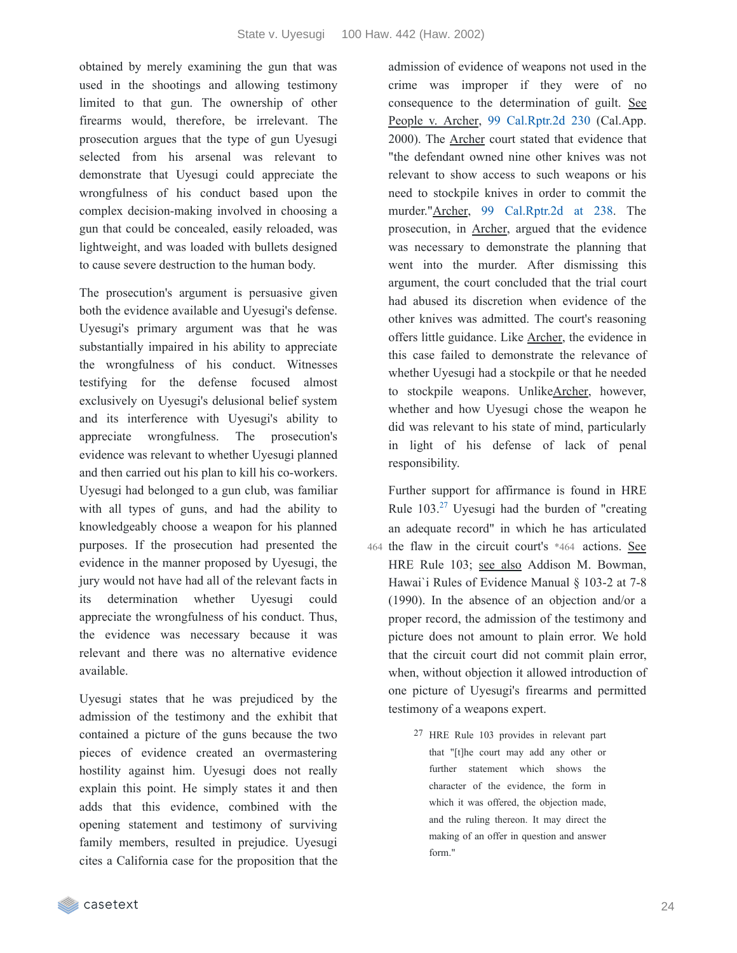obtained by merely examining the gun that was used in the shootings and allowing testimony limited to that gun. The ownership of other firearms would, therefore, be irrelevant. The prosecution argues that the type of gun Uyesugi selected from his arsenal was relevant to demonstrate that Uyesugi could appreciate the wrongfulness of his conduct based upon the complex decision-making involved in choosing a gun that could be concealed, easily reloaded, was lightweight, and was loaded with bullets designed to cause severe destruction to the human body.

The prosecution's argument is persuasive given both the evidence available and Uyesugi's defense. Uyesugi's primary argument was that he was substantially impaired in his ability to appreciate the wrongfulness of his conduct. Witnesses testifying for the defense focused almost exclusively on Uyesugi's delusional belief system and its interference with Uyesugi's ability to appreciate wrongfulness. The prosecution's evidence was relevant to whether Uyesugi planned and then carried out his plan to kill his co-workers. Uyesugi had belonged to a gun club, was familiar with all types of guns, and had the ability to knowledgeably choose a weapon for his planned purposes. If the prosecution had presented the evidence in the manner proposed by Uyesugi, the jury would not have had all of the relevant facts in its determination whether Uyesugi could appreciate the wrongfulness of his conduct. Thus, the evidence was necessary because it was relevant and there was no alternative evidence available.

Uyesugi states that he was prejudiced by the admission of the testimony and the exhibit that contained a picture of the guns because the two pieces of evidence created an overmastering hostility against him. Uyesugi does not really explain this point. He simply states it and then adds that this evidence, combined with the opening statement and testimony of surviving family members, resulted in prejudice. Uyesugi cites a California case for the proposition that the admission of evidence of weapons not used in the crime was improper if they were of no consequence to the determination of guilt. See People v. Archer, 99 [Cal.Rptr.2d](https://casetext.com/case/people-v-archer-16) 230 (Cal.App. 2000). The Archer court stated that evidence that "the defendant owned nine other knives was not relevant to show access to such weapons or his need to stockpile knives in order to commit the murder."Archer, 99 [Cal.Rptr.2d](https://casetext.com/case/people-v-archer-16#p238) at 238. The prosecution, in Archer, argued that the evidence was necessary to demonstrate the planning that went into the murder. After dismissing this argument, the court concluded that the trial court had abused its discretion when evidence of the other knives was admitted. The court's reasoning offers little guidance. Like Archer, the evidence in this case failed to demonstrate the relevance of whether Uyesugi had a stockpile or that he needed to stockpile weapons. UnlikeArcher, however, whether and how Uyesugi chose the weapon he did was relevant to his state of mind, particularly in light of his defense of lack of penal responsibility.

Further support for affirmance is found in HRE Rule  $103.^{27}$  $103.^{27}$  $103.^{27}$  Uyesugi had the burden of "creating an adequate record" in which he has articulated 464 the flaw in the circuit court's \*464 actions. See HRE Rule 103; see also Addison M. Bowman, Hawai`i Rules of Evidence Manual § 103-2 at 7-8 (1990). In the absence of an objection and/or a proper record, the admission of the testimony and picture does not amount to plain error. We hold that the circuit court did not commit plain error, when, without objection it allowed introduction of one picture of Uyesugi's firearms and permitted testimony of a weapons expert.

> 27 HRE Rule 103 provides in relevant part that "[t]he court may add any other or further statement which shows the character of the evidence, the form in which it was offered, the objection made, and the ruling thereon. It may direct the making of an offer in question and answer form."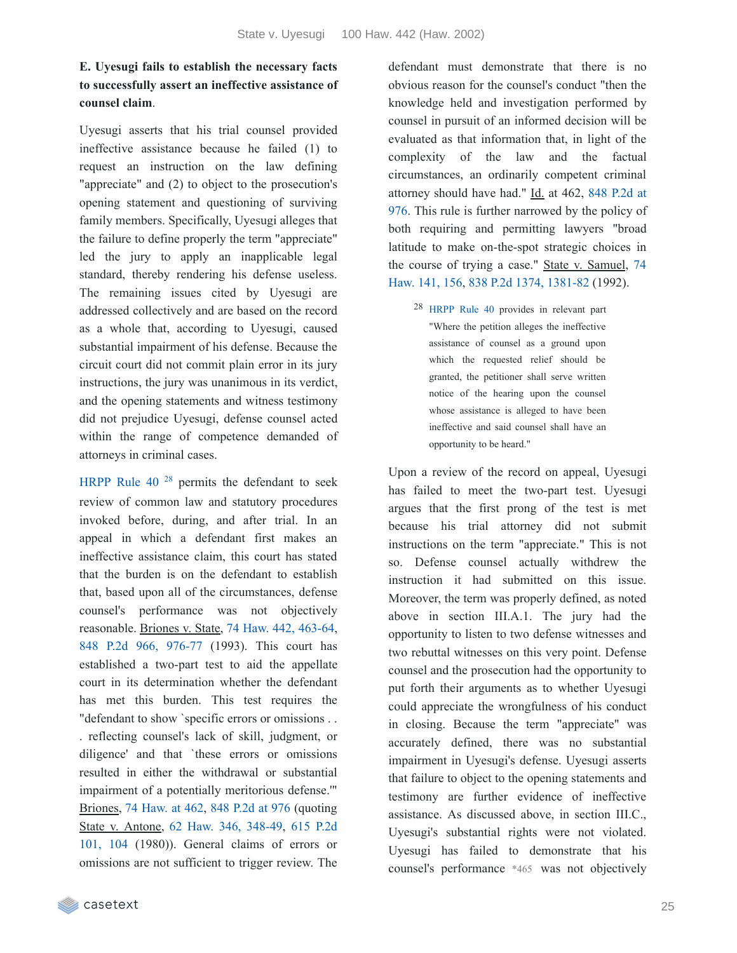### **E. Uyesugi fails to establish the necessary facts to successfully assert an ineffective assistance of counsel claim**.

Uyesugi asserts that his trial counsel provided ineffective assistance because he failed (1) to request an instruction on the law defining "appreciate" and (2) to object to the prosecution's opening statement and questioning of surviving family members. Specifically, Uyesugi alleges that the failure to define properly the term "appreciate" led the jury to apply an inapplicable legal standard, thereby rendering his defense useless. The remaining issues cited by Uyesugi are addressed collectively and are based on the record as a whole that, according to Uyesugi, caused substantial impairment of his defense. Because the circuit court did not commit plain error in its jury instructions, the jury was unanimous in its verdict, and the opening statements and witness testimony did not prejudice Uyesugi, defense counsel acted within the range of competence demanded of attorneys in criminal cases.

[HRPP](https://casetext.com/rule/hawaii-court-rules/hawaii-rules-of-penal-procedure/ix-supplementary-and-special-proceedings/rule-40-post-conviction-proceeding) Rule  $40^{28}$  $40^{28}$  $40^{28}$  permits the defendant to seek review of common law and statutory procedures invoked before, during, and after trial. In an appeal in which a defendant first makes an ineffective assistance claim, this court has stated that the burden is on the defendant to establish that, based upon all of the circumstances, defense counsel's performance was not objectively reasonable. Briones v. State, 74 Haw. 442, [463-64,](https://casetext.com/case/briones-v-state-19#p463) 848 P.2d 966, [976-77](https://casetext.com/case/briones-v-state-19#p976) (1993). This court has established a two-part test to aid the appellate court in its determination whether the defendant has met this burden. This test requires the "defendant to show `specific errors or omissions . . . reflecting counsel's lack of skill, judgment, or diligence' and that `these errors or omissions resulted in either the withdrawal or substantial impairment of a potentially meritorious defense.'" Briones, 74 [Haw.](https://casetext.com/case/briones-v-state-19#p462) at 462, 848 [P.2d](https://casetext.com/case/briones-v-state-19#p976) at 976 (quoting State v. Antone, 62 Haw. 346, [348-49,](https://casetext.com/case/state-v-antone-2#p348) 615 P.2d 101, 104 [\(1980\)\).](https://casetext.com/case/state-v-antone-2#p104) General claims of errors or omissions are not sufficient to trigger review. The

defendant must demonstrate that there is no obvious reason for the counsel's conduct "then the knowledge held and investigation performed by counsel in pursuit of an informed decision will be evaluated as that information that, in light of the complexity of the law and the factual circumstances, an ordinarily competent criminal attorney should have had." Id. at 462, 848 P.2d at 976. This rule is further [narrowed](https://casetext.com/case/briones-v-state-19#p976) by the policy of both requiring and permitting lawyers "broad latitude to make on-the-spot strategic choices in the course of trying a case." State v. Samuel, 74 Haw. 141, 156, 838 P.2d 1374, [1381-82](https://casetext.com/case/state-v-samuel-22#p156) (1992).

28 [HRPP](https://casetext.com/rule/hawaii-court-rules/hawaii-rules-of-penal-procedure/ix-supplementary-and-special-proceedings/rule-40-post-conviction-proceeding) Rule 40 provides in relevant part "Where the petition alleges the ineffective assistance of counsel as a ground upon which the requested relief should be granted, the petitioner shall serve written notice of the hearing upon the counsel whose assistance is alleged to have been ineffective and said counsel shall have an opportunity to be heard."

Upon a review of the record on appeal, Uyesugi has failed to meet the two-part test. Uyesugi argues that the first prong of the test is met because his trial attorney did not submit instructions on the term "appreciate." This is not so. Defense counsel actually withdrew the instruction it had submitted on this issue. Moreover, the term was properly defined, as noted above in section III.A.1. The jury had the opportunity to listen to two defense witnesses and two rebuttal witnesses on this very point. Defense counsel and the prosecution had the opportunity to put forth their arguments as to whether Uyesugi could appreciate the wrongfulness of his conduct in closing. Because the term "appreciate" was accurately defined, there was no substantial impairment in Uyesugi's defense. Uyesugi asserts that failure to object to the opening statements and testimony are further evidence of ineffective assistance. As discussed above, in section III.C., Uyesugi's substantial rights were not violated. Uyesugi has failed to demonstrate that his counsel's performance \*465 was not objectively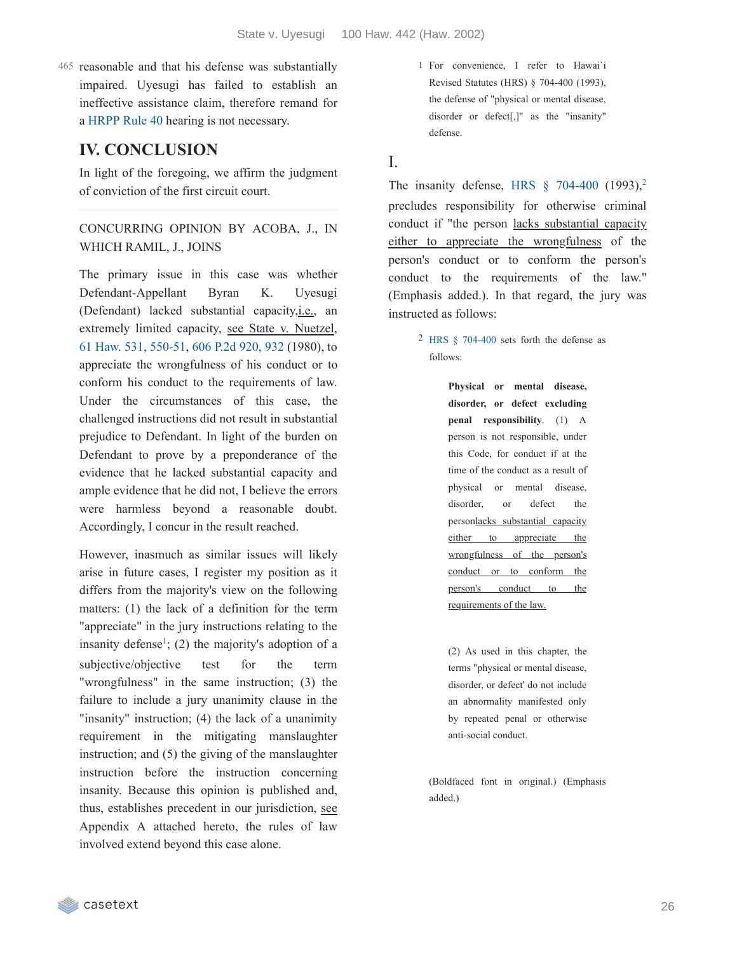465 reasonable and that his defense was substantially impaired. Uyesugi has failed to establish an ineffective assistance claim, therefore remand for a [HRPP](https://casetext.com/rule/hawaii-court-rules/hawaii-rules-of-penal-procedure/ix-supplementary-and-special-proceedings/rule-40-post-conviction-proceeding) Rule 40 hearing is not necessary.

## **IV. CONCLUSION**

In light of the foregoing, we affirm the judgment of conviction of the first circuit court.

CONCURRING OPINION BY ACOBA, J., IN WHICH RAMIL, J., JOINS

The primary issue in this case was whether Defendant-Appellant Byran K. Uyesugi (Defendant) lacked substantial capacity,i.e., an extremely limited capacity, see State v. Nuetzel, 61 Haw. 531, [550-51](https://casetext.com/case/state-v-nuetzel#p550), 606 P.2d [920,](https://casetext.com/case/state-v-nuetzel#p932) 932 (1980), to appreciate the wrongfulness of his conduct or to conform his conduct to the requirements of law. Under the circumstances of this case, the challenged instructions did not result in substantial prejudice to Defendant. In light of the burden on Defendant to prove by a preponderance of the evidence that he lacked substantial capacity and ample evidence that he did not, I believe the errors were harmless beyond a reasonable doubt. Accordingly, I concur in the result reached.

However, inasmuch as similar issues will likely arise in future cases, I register my position as it differs from the majority's view on the following matters: (1) the lack of a definition for the term "appreciate" in the jury instructions relating to the insanity defense<sup>[1](https://casetext.com/_print/doc/state-v-uyesugi?_printIncludeHighlights=false&_printIncludeKeyPassages=false&_printIsTwoColumn=true&_printEmail=&_printHighlightsKey=#b81f0058-828d-4d68-9691-33d5bf50070a-fn1)</sup>; (2) the majority's adoption of a subjective/objective test for the term "wrongfulness" in the same instruction; (3) the failure to include a jury unanimity clause in the "insanity" instruction; (4) the lack of a unanimity requirement in the mitigating manslaughter instruction; and (5) the giving of the manslaughter instruction before the instruction concerning insanity. Because this opinion is published and, thus, establishes precedent in our jurisdiction, see Appendix A attached hereto, the rules of law involved extend beyond this case alone.

1 For convenience, I refer to Hawai`i Revised Statutes (HRS) § 704-400 (1993), the defense of "physical or mental disease, disorder or defect[,]" as the "insanity" defense.

### I.

The insanity defense, HRS  $\S$  [704-400](https://casetext.com/statute/hawaii-revised-statutes/division-5-crimes-and-criminal-proceedings/title-37-hawaii-penal-code/chapter-704-penal-responsibility-and-fitness-to-proceed/section-704-400-physical-or-mental-disease-disorder-or-defect-excluding-penal-responsibility) (1993),<sup>[2](https://casetext.com/_print/doc/state-v-uyesugi?_printIncludeHighlights=false&_printIncludeKeyPassages=false&_printIsTwoColumn=true&_printEmail=&_printHighlightsKey=#1672e756-b71a-4c4c-9c12-2b51e60af5c0-fn2)</sup> precludes responsibility for otherwise criminal conduct if "the person lacks substantial capacity either to appreciate the wrongfulness of the person's conduct or to conform the person's conduct to the requirements of the law." (Emphasis added.). In that regard, the jury was instructed as follows:

> 2 HRS § [704-400](https://casetext.com/statute/hawaii-revised-statutes/division-5-crimes-and-criminal-proceedings/title-37-hawaii-penal-code/chapter-704-penal-responsibility-and-fitness-to-proceed/section-704-400-physical-or-mental-disease-disorder-or-defect-excluding-penal-responsibility) sets forth the defense as follows:

> > **Physical or mental disease, disorder, or defect excluding penal responsibility**. (1) A person is not responsible, under this Code, for conduct if at the time of the conduct as a result of physical or mental disease, disorder, or defect the personlacks substantial capacity either to appreciate the wrongfulness of the person's conduct or to conform the person's conduct to the requirements of the law.

(2) As used in this chapter, the terms "physical or mental disease, disorder, or defect' do not include an abnormality manifested only by repeated penal or otherwise anti-social conduct.

(Boldfaced font in original.) (Emphasis added.)

casetext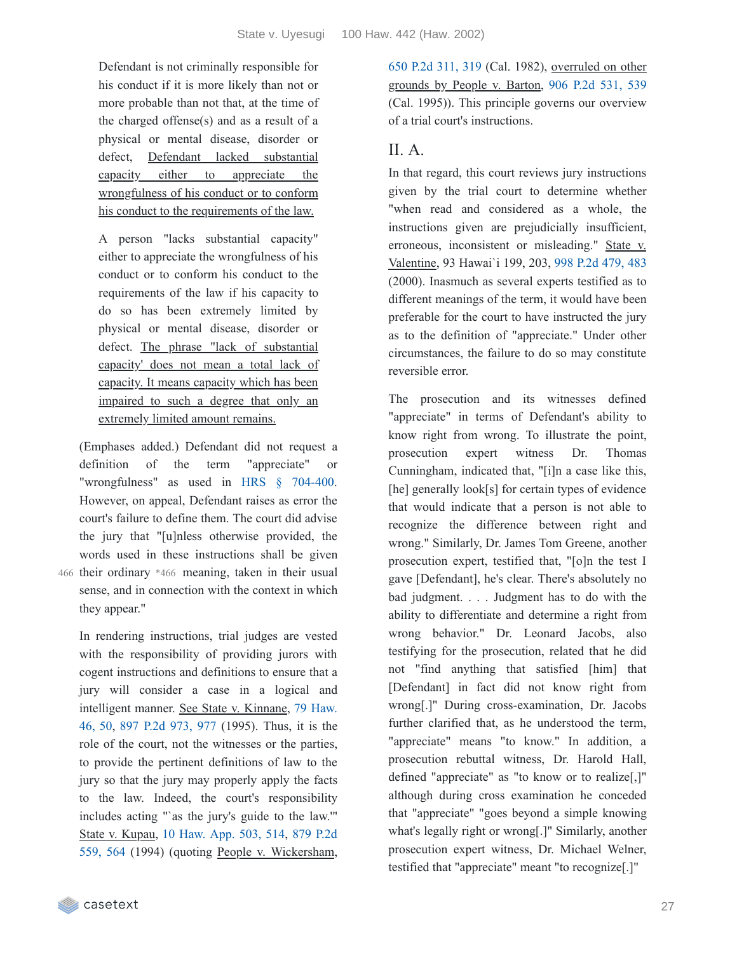Defendant is not criminally responsible for his conduct if it is more likely than not or more probable than not that, at the time of the charged offense(s) and as a result of a physical or mental disease, disorder or defect, Defendant lacked substantial capacity either to appreciate the wrongfulness of his conduct or to conform his conduct to the requirements of the law.

A person "lacks substantial capacity" either to appreciate the wrongfulness of his conduct or to conform his conduct to the requirements of the law if his capacity to do so has been extremely limited by physical or mental disease, disorder or defect. The phrase "lack of substantial capacity' does not mean a total lack of capacity. It means capacity which has been impaired to such a degree that only an extremely limited amount remains.

(Emphases added.) Defendant did not request a definition of the term "appreciate" or "wrongfulness" as used in HRS § [704-400.](https://casetext.com/statute/hawaii-revised-statutes/division-5-crimes-and-criminal-proceedings/title-37-hawaii-penal-code/chapter-704-penal-responsibility-and-fitness-to-proceed/section-704-400-physical-or-mental-disease-disorder-or-defect-excluding-penal-responsibility) However, on appeal, Defendant raises as error the court's failure to define them. The court did advise the jury that "[u]nless otherwise provided, the words used in these instructions shall be given 466 their ordinary \*466 meaning, taken in their usual

sense, and in connection with the context in which they appear."

In rendering instructions, trial judges are vested with the responsibility of providing jurors with cogent instructions and definitions to ensure that a jury will consider a case in a logical and [intelligent](https://casetext.com/case/state-v-kinnane-1#p50) manner. See State v. Kinnane, 79 Haw. 46, 50, 897 P.2d [973,](https://casetext.com/case/state-v-kinnane-1#p977) 977 (1995). Thus, it is the role of the court, not the witnesses or the parties, to provide the pertinent definitions of law to the jury so that the jury may properly apply the facts to the law. Indeed, the court's responsibility includes acting "`as the jury's guide to the law.'" State v. Kupau, 10 [Haw.](https://casetext.com/case/state-v-kupau#p514) App. 503, 514, 879 P.2d 559, 564 (1994) (quoting People v. [Wickersham,](https://casetext.com/case/state-v-kupau#p564) 650 P.2d [311,](https://casetext.com/case/people-v-wickersham-2#p319) 319 (Cal. 1982), overruled on other grounds by People v. Barton, 906 P.2d [531,](https://casetext.com/case/people-v-barton-6#p539) 539 (Cal. 1995)). This principle governs our overview of a trial court's instructions.

### $II. A.$

In that regard, this court reviews jury instructions given by the trial court to determine whether "when read and considered as a whole, the instructions given are prejudicially insufficient, erroneous, inconsistent or misleading." State v. Valentine, 93 Hawai`i 199, 203, 998 P.2d [479,](https://casetext.com/case/state-v-valentine-49#p483) 483 (2000). Inasmuch as several experts testified as to different meanings of the term, it would have been preferable for the court to have instructed the jury as to the definition of "appreciate." Under other circumstances, the failure to do so may constitute reversible error.

The prosecution and its witnesses defined "appreciate" in terms of Defendant's ability to know right from wrong. To illustrate the point, prosecution expert witness Dr. Thomas Cunningham, indicated that, "[i]n a case like this, [he] generally look[s] for certain types of evidence that would indicate that a person is not able to recognize the difference between right and wrong." Similarly, Dr. James Tom Greene, another prosecution expert, testified that, "[o]n the test I gave [Defendant], he's clear. There's absolutely no bad judgment. . . . Judgment has to do with the ability to differentiate and determine a right from wrong behavior." Dr. Leonard Jacobs, also testifying for the prosecution, related that he did not "find anything that satisfied [him] that [Defendant] in fact did not know right from wrong[.]" During cross-examination, Dr. Jacobs further clarified that, as he understood the term, "appreciate" means "to know." In addition, a prosecution rebuttal witness, Dr. Harold Hall, defined "appreciate" as "to know or to realize[,]" although during cross examination he conceded that "appreciate" "goes beyond a simple knowing what's legally right or wrong[.]" Similarly, another prosecution expert witness, Dr. Michael Welner, testified that "appreciate" meant "to recognize[.]"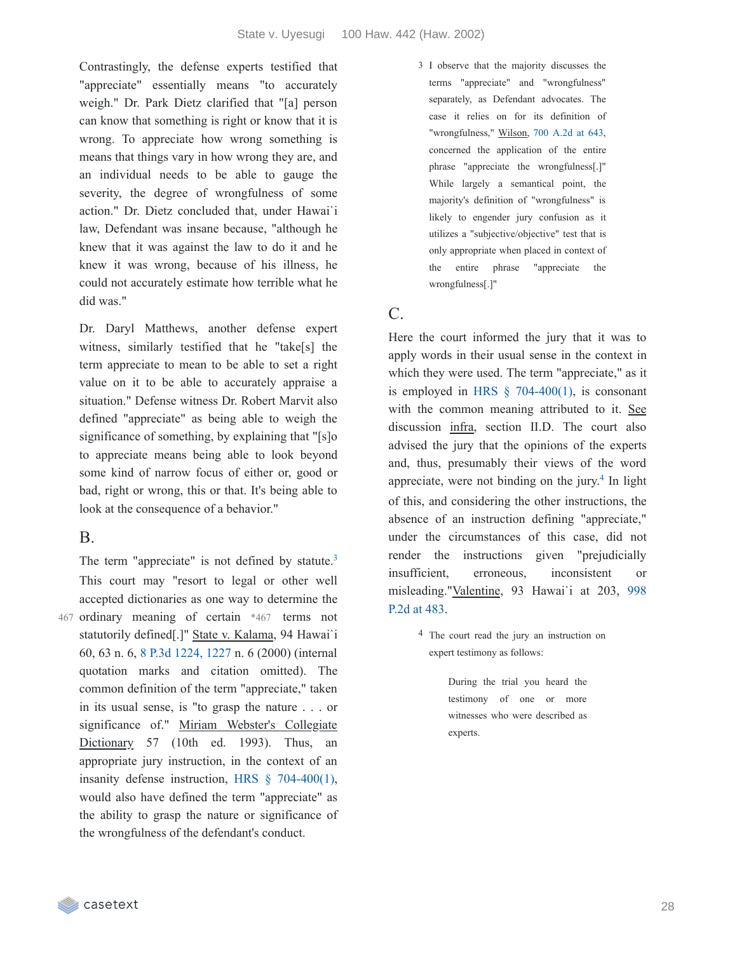Contrastingly, the defense experts testified that "appreciate" essentially means "to accurately weigh." Dr. Park Dietz clarified that "[a] person can know that something is right or know that it is wrong. To appreciate how wrong something is means that things vary in how wrong they are, and an individual needs to be able to gauge the severity, the degree of wrongfulness of some action." Dr. Dietz concluded that, under Hawai`i law, Defendant was insane because, "although he knew that it was against the law to do it and he knew it was wrong, because of his illness, he could not accurately estimate how terrible what he did was."

Dr. Daryl Matthews, another defense expert witness, similarly testified that he "take[s] the term appreciate to mean to be able to set a right value on it to be able to accurately appraise a situation." Defense witness Dr. Robert Marvit also defined "appreciate" as being able to weigh the significance of something, by explaining that "[s]o to appreciate means being able to look beyond some kind of narrow focus of either or, good or bad, right or wrong, this or that. It's being able to look at the consequence of a behavior."

### B.

The term "appreciate" is not defined by statute.<sup>[3](https://casetext.com/_print/doc/state-v-uyesugi?_printIncludeHighlights=false&_printIncludeKeyPassages=false&_printIsTwoColumn=true&_printEmail=&_printHighlightsKey=#b9782427-2e31-46e7-94e8-8bc4ad0b1c45-fn3)</sup> This court may "resort to legal or other well accepted dictionaries as one way to determine the 467 ordinary meaning of certain \*467 terms not statutorily defined[.]" State v. Kalama, 94 Hawai`i 60, 63 n. 6, 8 P.3d [1224,](https://casetext.com/case/state-v-kalama-1#p1227) 1227 n. 6 (2000) (internal quotation marks and citation omitted). The common definition of the term "appreciate," taken in its usual sense, is "to grasp the nature . . . or significance of." Miriam Webster's Collegiate Dictionary 57 (10th ed. 1993). Thus, an appropriate jury instruction, in the context of an insanity defense instruction, HRS § [704-400\(1\),](https://casetext.com/statute/hawaii-revised-statutes/division-5-crimes-and-criminal-proceedings/title-37-hawaii-penal-code/chapter-704-penal-responsibility-and-fitness-to-proceed/section-704-400-physical-or-mental-disease-disorder-or-defect-excluding-penal-responsibility) would also have defined the term "appreciate" as the ability to grasp the nature or significance of the wrongfulness of the defendant's conduct.

3 I observe that the majority discusses the terms "appreciate" and "wrongfulness" separately, as Defendant advocates. The case it relies on for its definition of "wrongfulness," Wilson, 700 [A.2d](https://casetext.com/case/state-v-wilson-1091#p643) at 643, concerned the application of the entire phrase "appreciate the wrongfulness[.]" While largely a semantical point, the majority's definition of "wrongfulness" is likely to engender jury confusion as it utilizes a "subjective/objective" test that is only appropriate when placed in context of the entire phrase "appreciate the wrongfulness[.]"

# C.

Here the court informed the jury that it was to apply words in their usual sense in the context in which they were used. The term "appreciate," as it is employed in HRS  $\S$  [704-400\(1\),](https://casetext.com/statute/hawaii-revised-statutes/division-5-crimes-and-criminal-proceedings/title-37-hawaii-penal-code/chapter-704-penal-responsibility-and-fitness-to-proceed/section-704-400-physical-or-mental-disease-disorder-or-defect-excluding-penal-responsibility) is consonant with the common meaning attributed to it. See discussion infra, section II.D. The court also advised the jury that the opinions of the experts and, thus, presumably their views of the word appreciate, were not binding on the jury. $4$  In light of this, and considering the other instructions, the absence of an instruction defining "appreciate," under the circumstances of this case, did not render the instructions given "prejudicially insufficient, erroneous, inconsistent or [misleading."Valentine,](https://casetext.com/case/state-v-valentine-49#p483) 93 Hawai`i at 203, 998 P.2d at 483.

> 4 The court read the jury an instruction on expert testimony as follows:

> > During the trial you heard the testimony of one or more witnesses who were described as experts.

casetext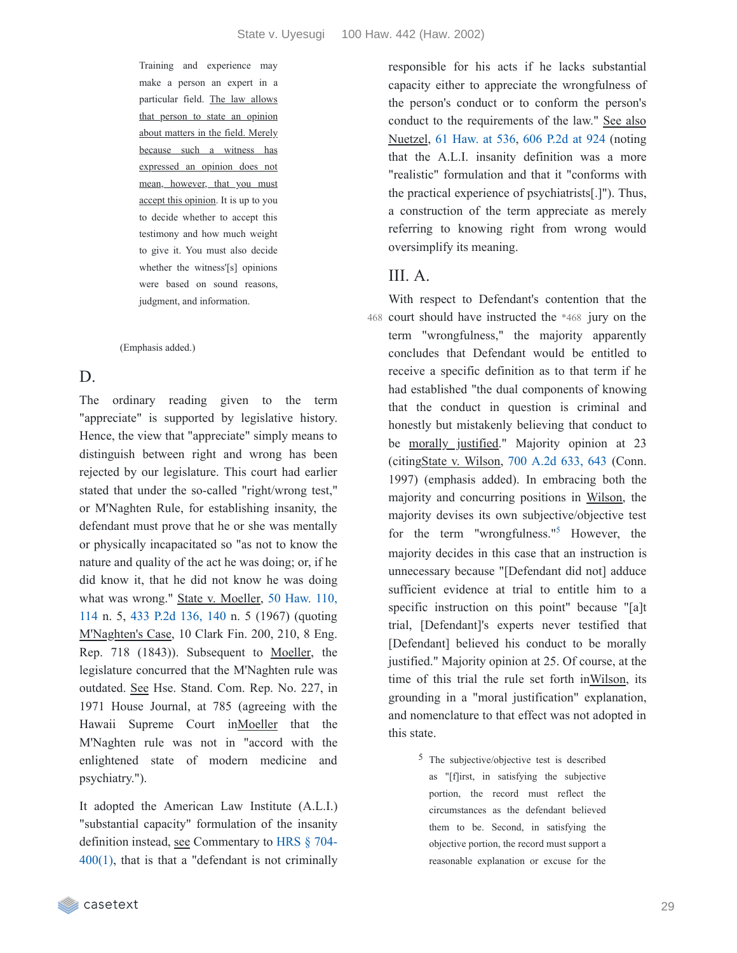Training and experience may make a person an expert in a particular field. The law allows that person to state an opinion about matters in the field. Merely because such a witness has expressed an opinion does not mean, however, that you must accept this opinion. It is up to you to decide whether to accept this testimony and how much weight to give it. You must also decide whether the witness'[s] opinions were based on sound reasons, judgment, and information.

(Emphasis added.)

### D.

The ordinary reading given to the term "appreciate" is supported by legislative history. Hence, the view that "appreciate" simply means to distinguish between right and wrong has been rejected by our legislature. This court had earlier stated that under the so-called "right/wrong test," or M'Naghten Rule, for establishing insanity, the defendant must prove that he or she was mentally or physically incapacitated so "as not to know the nature and quality of the act he was doing; or, if he did know it, that he did not know he was doing what was wrong." State v. [Moeller,](https://casetext.com/case/state-v-moeller-12#p114) 50 Haw. 110, 114 n. 5, 433 P.2d [136,](https://casetext.com/case/state-v-moeller-12#p140) 140 n. 5 (1967) (quoting M'Naghten's Case, 10 Clark Fin. 200, 210, 8 Eng. Rep. 718 (1843)). Subsequent to Moeller, the legislature concurred that the M'Naghten rule was outdated. See Hse. Stand. Com. Rep. No. 227, in 1971 House Journal, at 785 (agreeing with the Hawaii Supreme Court inMoeller that the M'Naghten rule was not in "accord with the enlightened state of modern medicine and psychiatry.").

It adopted the American Law Institute (A.L.I.) "substantial capacity" formulation of the insanity definition instead, see [Commentary](https://casetext.com/statute/hawaii-revised-statutes/division-5-crimes-and-criminal-proceedings/title-37-hawaii-penal-code/chapter-704-penal-responsibility-and-fitness-to-proceed/section-704-400-physical-or-mental-disease-disorder-or-defect-excluding-penal-responsibility) to HRS § 704-  $400(1)$ , that is that a "defendant is not criminally responsible for his acts if he lacks substantial capacity either to appreciate the wrongfulness of the person's conduct or to conform the person's conduct to the requirements of the law." See also Nuetzel, 61 [Haw.](https://casetext.com/case/state-v-nuetzel#p536) at 536, 606 [P.2d](https://casetext.com/case/state-v-nuetzel#p924) at 924 (noting that the A.L.I. insanity definition was a more "realistic" formulation and that it "conforms with the practical experience of psychiatrists[.]"). Thus, a construction of the term appreciate as merely referring to knowing right from wrong would oversimplify its meaning.

#### III. A.

With respect to Defendant's contention that the 468 court should have instructed the \*468 jury on the term "wrongfulness," the majority apparently concludes that Defendant would be entitled to receive a specific definition as to that term if he had established "the dual components of knowing that the conduct in question is criminal and honestly but mistakenly believing that conduct to be morally justified." Majority opinion at 23 (citingState v. Wilson, 700 [A.2d](https://casetext.com/case/state-v-wilson-1091#p643) 633, 643 (Conn. 1997) (emphasis added). In embracing both the majority and concurring positions in Wilson, the majority devises its own subjective/objective test for the term "wrongfulness."<sup>[5](https://casetext.com/_print/doc/state-v-uyesugi?_printIncludeHighlights=false&_printIncludeKeyPassages=false&_printIsTwoColumn=true&_printEmail=&_printHighlightsKey=#9ca195db-45b3-49a3-9bb8-30064cb23dae-fn5)</sup> However, the majority decides in this case that an instruction is unnecessary because "[Defendant did not] adduce sufficient evidence at trial to entitle him to a specific instruction on this point" because "[a]t trial, [Defendant]'s experts never testified that [Defendant] believed his conduct to be morally justified." Majority opinion at 25. Of course, at the time of this trial the rule set forth inWilson, its grounding in a "moral justification" explanation, and nomenclature to that effect was not adopted in this state.

> 5 The subjective/objective test is described as "[f]irst, in satisfying the subjective portion, the record must reflect the circumstances as the defendant believed them to be. Second, in satisfying the objective portion, the record must support a reasonable explanation or excuse for the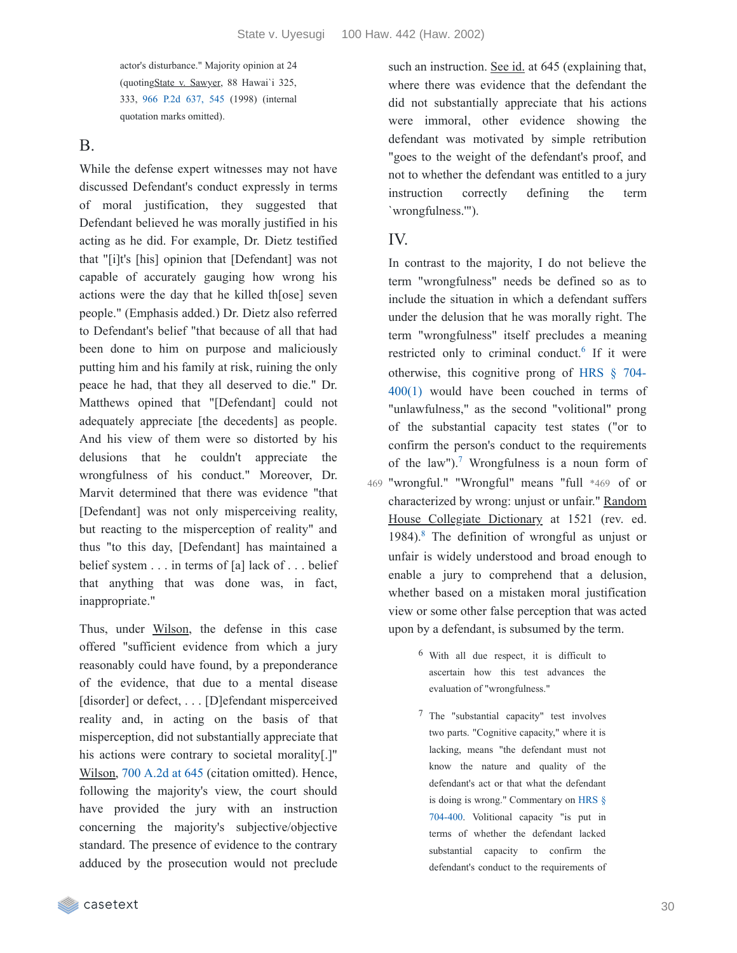actor's disturbance." Majority opinion at 24 (quotingState v. Sawyer, 88 Hawai`i 325, 333, 966 P.2d [637,](https://casetext.com/case/state-v-sawyer-75#p545) 545 (1998) (internal quotation marks omitted).

B.

While the defense expert witnesses may not have discussed Defendant's conduct expressly in terms of moral justification, they suggested that Defendant believed he was morally justified in his acting as he did. For example, Dr. Dietz testified that "[i]t's [his] opinion that [Defendant] was not capable of accurately gauging how wrong his actions were the day that he killed th[ose] seven people." (Emphasis added.) Dr. Dietz also referred to Defendant's belief "that because of all that had been done to him on purpose and maliciously putting him and his family at risk, ruining the only peace he had, that they all deserved to die." Dr. Matthews opined that "[Defendant] could not adequately appreciate [the decedents] as people. And his view of them were so distorted by his delusions that he couldn't appreciate the wrongfulness of his conduct." Moreover, Dr. Marvit determined that there was evidence "that [Defendant] was not only misperceiving reality, but reacting to the misperception of reality" and thus "to this day, [Defendant] has maintained a belief system . . . in terms of [a] lack of . . . belief that anything that was done was, in fact, inappropriate."

Thus, under Wilson, the defense in this case offered "sufficient evidence from which a jury reasonably could have found, by a preponderance of the evidence, that due to a mental disease [disorder] or defect, . . . [D]efendant misperceived reality and, in acting on the basis of that misperception, did not substantially appreciate that his actions were contrary to societal morality[.]" Wilson, 700 [A.2d](https://casetext.com/case/state-v-wilson-1091#p645) at 645 (citation omitted). Hence, following the majority's view, the court should have provided the jury with an instruction concerning the majority's subjective/objective standard. The presence of evidence to the contrary adduced by the prosecution would not preclude such an instruction. See id. at 645 (explaining that, where there was evidence that the defendant the did not substantially appreciate that his actions were immoral, other evidence showing the defendant was motivated by simple retribution "goes to the weight of the defendant's proof, and not to whether the defendant was entitled to a jury instruction correctly defining the term `wrongfulness.'").

#### IV.

In contrast to the majority, I do not believe the term "wrongfulness" needs be defined so as to include the situation in which a defendant suffers under the delusion that he was morally right. The term "wrongfulness" itself precludes a meaning restricted only to criminal conduct.<sup>[6](https://casetext.com/_print/doc/state-v-uyesugi?_printIncludeHighlights=false&_printIncludeKeyPassages=false&_printIsTwoColumn=true&_printEmail=&_printHighlightsKey=#dc684ef2-8d2d-4309-b587-6f14781ce0e8-fn6)</sup> If it were [otherwise,](https://casetext.com/statute/hawaii-revised-statutes/division-5-crimes-and-criminal-proceedings/title-37-hawaii-penal-code/chapter-704-penal-responsibility-and-fitness-to-proceed/section-704-400-physical-or-mental-disease-disorder-or-defect-excluding-penal-responsibility) this cognitive prong of HRS § 704- 400(1) would have been couched in terms of "unlawfulness," as the second "volitional" prong of the substantial capacity test states ("or to confirm the person's conduct to the requirements of the law").<sup>[7](https://casetext.com/_print/doc/state-v-uyesugi?_printIncludeHighlights=false&_printIncludeKeyPassages=false&_printIsTwoColumn=true&_printEmail=&_printHighlightsKey=#8bf06be9-65ce-42c0-af91-81cb62b3df8c-fn7)</sup> Wrongfulness is a noun form of 469 "wrongful." "Wrongful" means "full \*469 of or characterized by wrong: unjust or unfair." Random House Collegiate Dictionary at 1521 (rev. ed. 19[8](https://casetext.com/_print/doc/state-v-uyesugi?_printIncludeHighlights=false&_printIncludeKeyPassages=false&_printIsTwoColumn=true&_printEmail=&_printHighlightsKey=#d85efd88-cb1a-4884-bc90-43e8bc1aa90d-fn8)4).<sup>8</sup> The definition of wrongful as unjust or unfair is widely understood and broad enough to enable a jury to comprehend that a delusion, whether based on a mistaken moral justification view or some other false perception that was acted upon by a defendant, is subsumed by the term.

- 6 With all due respect, it is difficult to ascertain how this test advances the evaluation of "wrongfulness."
- 7 The "substantial capacity" test involves two parts. "Cognitive capacity," where it is lacking, means "the defendant must not know the nature and quality of the defendant's act or that what the defendant is doing is wrong." [Commentary](https://casetext.com/statute/hawaii-revised-statutes/division-5-crimes-and-criminal-proceedings/title-37-hawaii-penal-code/chapter-704-penal-responsibility-and-fitness-to-proceed/section-704-400-physical-or-mental-disease-disorder-or-defect-excluding-penal-responsibility) on HRS § 704-400. Volitional capacity "is put in terms of whether the defendant lacked substantial capacity to confirm the defendant's conduct to the requirements of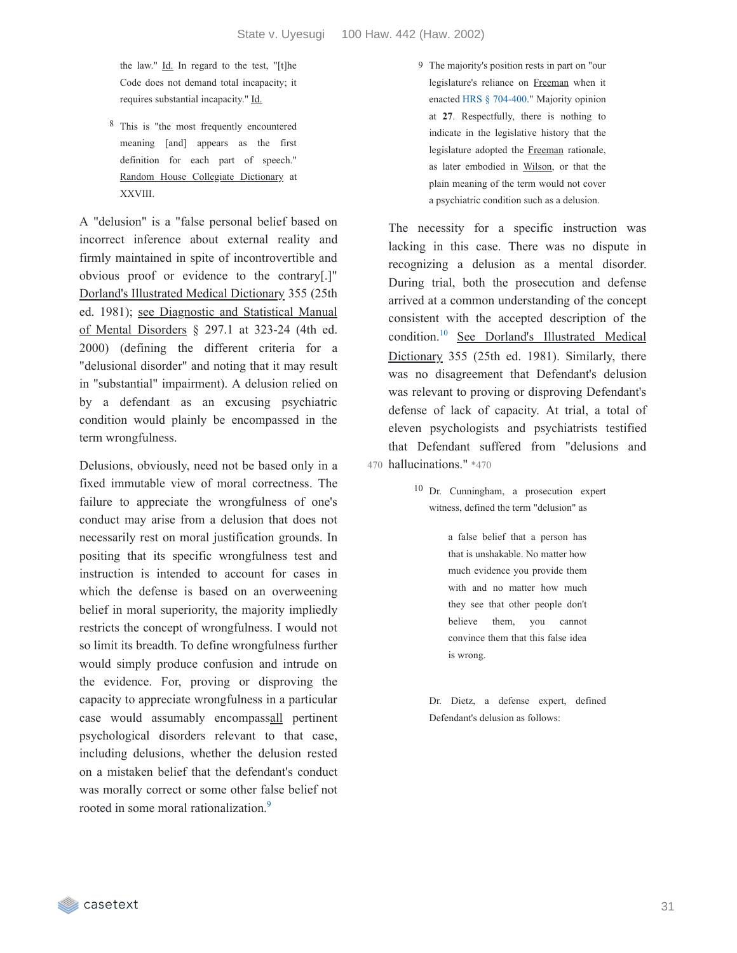the law." Id. In regard to the test, "[t]he Code does not demand total incapacity; it requires substantial incapacity." Id.

8 This is "the most frequently encountered meaning [and] appears as the first definition for each part of speech." Random House Collegiate Dictionary at XXVIII.

A "delusion" is a "false personal belief based on incorrect inference about external reality and firmly maintained in spite of incontrovertible and obvious proof or evidence to the contrary[.]" Dorland's Illustrated Medical Dictionary 355 (25th ed. 1981); see Diagnostic and Statistical Manual of Mental Disorders § 297.1 at 323-24 (4th ed. 2000) (defining the different criteria for a "delusional disorder" and noting that it may result in "substantial" impairment). A delusion relied on by a defendant as an excusing psychiatric condition would plainly be encompassed in the term wrongfulness.

Delusions, obviously, need not be based only in a fixed immutable view of moral correctness. The failure to appreciate the wrongfulness of one's conduct may arise from a delusion that does not necessarily rest on moral justification grounds. In positing that its specific wrongfulness test and instruction is intended to account for cases in which the defense is based on an overweening belief in moral superiority, the majority impliedly restricts the concept of wrongfulness. I would not so limit its breadth. To define wrongfulness further would simply produce confusion and intrude on the evidence. For, proving or disproving the capacity to appreciate wrongfulness in a particular case would assumably encompassall pertinent psychological disorders relevant to that case, including delusions, whether the delusion rested on a mistaken belief that the defendant's conduct was morally correct or some other false belief not rooted in some moral rationalization.<sup>[9](https://casetext.com/_print/doc/state-v-uyesugi?_printIncludeHighlights=false&_printIncludeKeyPassages=false&_printIsTwoColumn=true&_printEmail=&_printHighlightsKey=#3c293fd8-18d2-4783-9e93-f14a0df0342a-fn9)</sup>

9 The majority's position rests in part on "our legislature's reliance on Freeman when it enacted HRS § [704-400.](https://casetext.com/statute/hawaii-revised-statutes/division-5-crimes-and-criminal-proceedings/title-37-hawaii-penal-code/chapter-704-penal-responsibility-and-fitness-to-proceed/section-704-400-physical-or-mental-disease-disorder-or-defect-excluding-penal-responsibility)" Majority opinion at **27**. Respectfully, there is nothing to indicate in the legislative history that the legislature adopted the Freeman rationale, as later embodied in Wilson, or that the plain meaning of the term would not cover a psychiatric condition such as a delusion.

The necessity for a specific instruction was lacking in this case. There was no dispute in recognizing a delusion as a mental disorder. During trial, both the prosecution and defense arrived at a common understanding of the concept consistent with the accepted description of the condition.<sup>[10](https://casetext.com/_print/doc/state-v-uyesugi?_printIncludeHighlights=false&_printIncludeKeyPassages=false&_printIsTwoColumn=true&_printEmail=&_printHighlightsKey=#d06e80e7-61d9-4cf3-a0d2-307d6f0df830-fn10)</sup> See Dorland's Illustrated Medical Dictionary 355 (25th ed. 1981). Similarly, there was no disagreement that Defendant's delusion was relevant to proving or disproving Defendant's defense of lack of capacity. At trial, a total of eleven psychologists and psychiatrists testified that Defendant suffered from "delusions and 470 hallucinations." \*470

> 10 Dr. Cunningham, a prosecution expert witness, defined the term "delusion" as

> > a false belief that a person has that is unshakable. No matter how much evidence you provide them with and no matter how much they see that other people don't believe them, you cannot convince them that this false idea is wrong.

Dr. Dietz, a defense expert, defined Defendant's delusion as follows: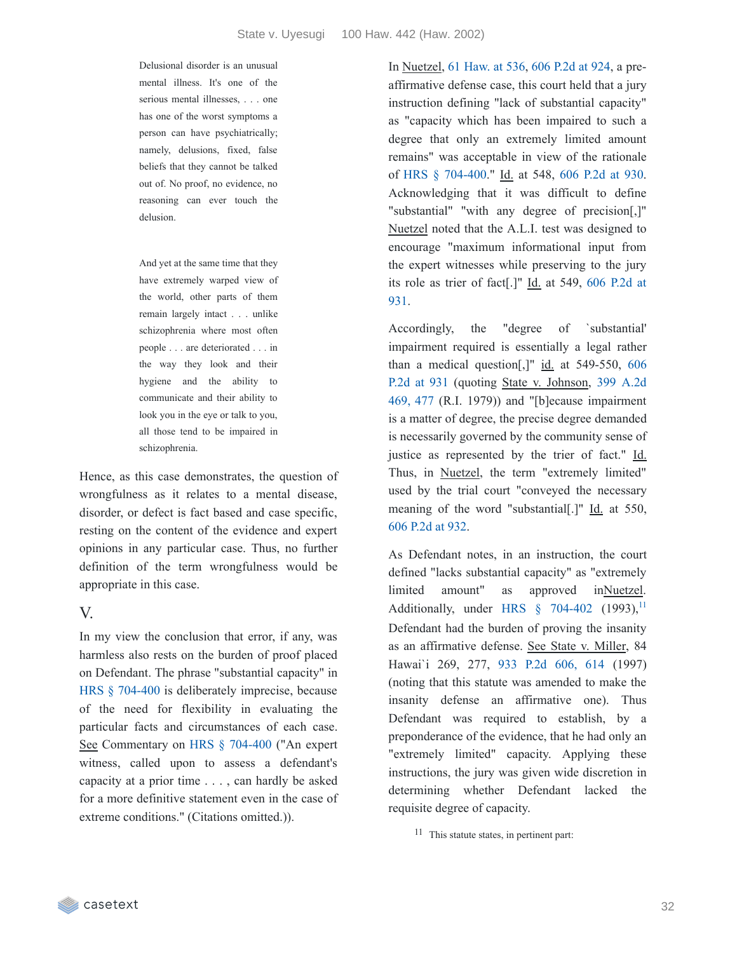Delusional disorder is an unusual mental illness. It's one of the serious mental illnesses, . . . one has one of the worst symptoms a person can have psychiatrically; namely, delusions, fixed, false beliefs that they cannot be talked out of. No proof, no evidence, no reasoning can ever touch the delusion.

And yet at the same time that they have extremely warped view of the world, other parts of them remain largely intact . . . unlike schizophrenia where most often people . . . are deteriorated . . . in the way they look and their hygiene and the ability to communicate and their ability to look you in the eye or talk to you, all those tend to be impaired in schizophrenia.

Hence, as this case demonstrates, the question of wrongfulness as it relates to a mental disease, disorder, or defect is fact based and case specific, resting on the content of the evidence and expert opinions in any particular case. Thus, no further definition of the term wrongfulness would be appropriate in this case.

#### V.

In my view the conclusion that error, if any, was harmless also rests on the burden of proof placed on Defendant. The phrase "substantial capacity" in HRS § [704-400](https://casetext.com/statute/hawaii-revised-statutes/division-5-crimes-and-criminal-proceedings/title-37-hawaii-penal-code/chapter-704-penal-responsibility-and-fitness-to-proceed/section-704-400-physical-or-mental-disease-disorder-or-defect-excluding-penal-responsibility) is deliberately imprecise, because of the need for flexibility in evaluating the particular facts and circumstances of each case. See Commentary on HRS § [704-400](https://casetext.com/statute/hawaii-revised-statutes/division-5-crimes-and-criminal-proceedings/title-37-hawaii-penal-code/chapter-704-penal-responsibility-and-fitness-to-proceed/section-704-400-physical-or-mental-disease-disorder-or-defect-excluding-penal-responsibility) ("An expert witness, called upon to assess a defendant's capacity at a prior time . . . , can hardly be asked for a more definitive statement even in the case of extreme conditions." (Citations omitted.)).

In Nuetzel, 61 [Haw.](https://casetext.com/case/state-v-nuetzel#p536) at 536, 606 [P.2d](https://casetext.com/case/state-v-nuetzel#p924) at 924, a preaffirmative defense case, this court held that a jury instruction defining "lack of substantial capacity" as "capacity which has been impaired to such a degree that only an extremely limited amount remains" was acceptable in view of the rationale of HRS § [704-400](https://casetext.com/statute/hawaii-revised-statutes/division-5-crimes-and-criminal-proceedings/title-37-hawaii-penal-code/chapter-704-penal-responsibility-and-fitness-to-proceed/section-704-400-physical-or-mental-disease-disorder-or-defect-excluding-penal-responsibility)." Id. at 548, 606 [P.2d](https://casetext.com/case/state-v-nuetzel#p930) at 930. Acknowledging that it was difficult to define "substantial" "with any degree of precision[,]" Nuetzel noted that the A.L.I. test was designed to encourage "maximum informational input from the expert witnesses while preserving to the jury its role as trier of [fact\[.\]"](https://casetext.com/case/state-v-nuetzel#p931) Id. at 549, 606 P.2d at 931.

Accordingly, the "degree of `substantial' impairment required is essentially a legal rather than a medical [question\[,\]"](https://casetext.com/case/state-v-nuetzel#p931) id. at 549-550, 606 P.2d at 931 (quoting State v. Johnson, 399 A.2d 469, 477 (R.I. 1979)) and "[b]ecause [impairment](https://casetext.com/case/state-v-johnson-2618#p477) is a matter of degree, the precise degree demanded is necessarily governed by the community sense of justice as represented by the trier of fact." Id. Thus, in Nuetzel, the term "extremely limited" used by the trial court "conveyed the necessary meaning of the word "substantial[.]" Id. at 550, 606 [P.2d](https://casetext.com/case/state-v-nuetzel#p932) at 932.

As Defendant notes, in an instruction, the court defined "lacks substantial capacity" as "extremely limited amount" as approved inNuetzel. Additionally, under HRS  $§$  [704-402](https://casetext.com/statute/hawaii-revised-statutes/division-5-crimes-and-criminal-proceedings/title-37-hawaii-penal-code/chapter-704-penal-responsibility-and-fitness-to-proceed/section-704-402-physical-or-mental-disease-disorder-or-defect-excluding-responsibility-is-an-affirmative-defense-form-of-verdict-and-judgment-when-finding-of-irresponsibility-is-made) (1993),<sup>[11](https://casetext.com/_print/doc/state-v-uyesugi?_printIncludeHighlights=false&_printIncludeKeyPassages=false&_printIsTwoColumn=true&_printEmail=&_printHighlightsKey=#fcb05da0-604c-40c0-a992-eee028b3070b-fn11)</sup> Defendant had the burden of proving the insanity as an affirmative defense. See State v. Miller, 84 Hawai`i 269, 277, 933 P.2d [606,](https://casetext.com/case/state-v-miller-1047#p614) 614 (1997) (noting that this statute was amended to make the insanity defense an affirmative one). Thus Defendant was required to establish, by a preponderance of the evidence, that he had only an "extremely limited" capacity. Applying these instructions, the jury was given wide discretion in determining whether Defendant lacked the requisite degree of capacity.

11 This statute states, in pertinent part: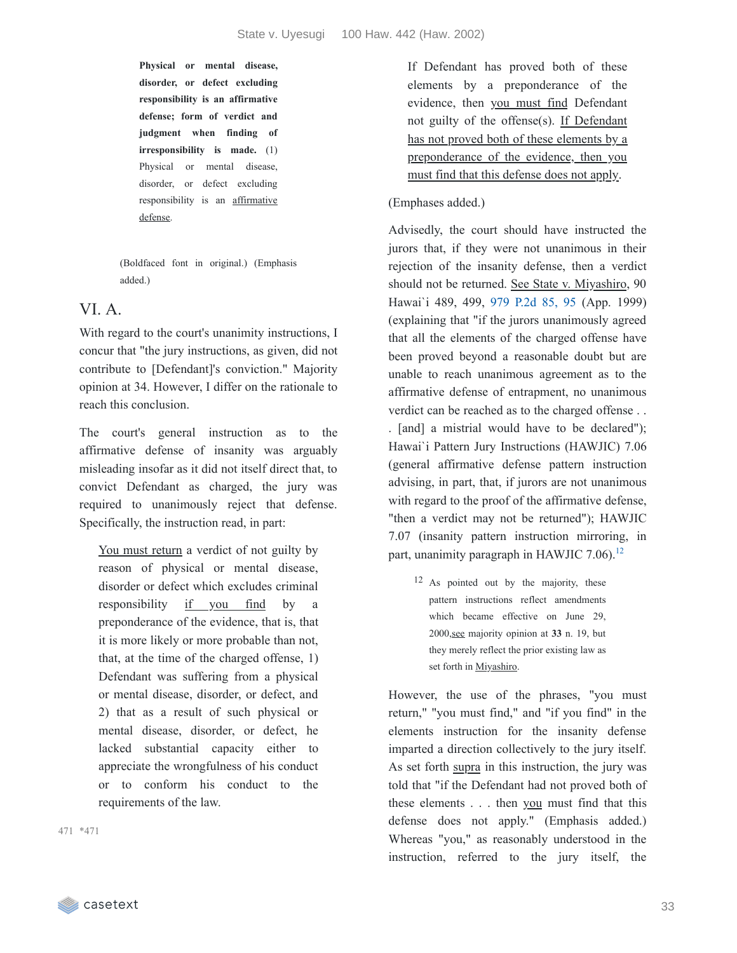**Physical or mental disease, disorder, or defect excluding responsibility is an affirmative defense; form of verdict and judgment when finding of irresponsibility is made.** (1) Physical or mental disease, disorder, or defect excluding responsibility is an affirmative defense.

(Boldfaced font in original.) (Emphasis added.)

### VI. A.

With regard to the court's unanimity instructions, I concur that "the jury instructions, as given, did not contribute to [Defendant]'s conviction." Majority opinion at 34. However, I differ on the rationale to reach this conclusion.

The court's general instruction as to the affirmative defense of insanity was arguably misleading insofar as it did not itself direct that, to convict Defendant as charged, the jury was required to unanimously reject that defense. Specifically, the instruction read, in part:

You must return a verdict of not guilty by reason of physical or mental disease, disorder or defect which excludes criminal responsibility if you find by a preponderance of the evidence, that is, that it is more likely or more probable than not, that, at the time of the charged offense, 1) Defendant was suffering from a physical or mental disease, disorder, or defect, and 2) that as a result of such physical or mental disease, disorder, or defect, he lacked substantial capacity either to appreciate the wrongfulness of his conduct or to conform his conduct to the requirements of the law.

\*471 471

If Defendant has proved both of these elements by a preponderance of the evidence, then you must find Defendant not guilty of the offense(s). If Defendant has not proved both of these elements by a preponderance of the evidence, then you must find that this defense does not apply.

#### (Emphases added.)

Advisedly, the court should have instructed the jurors that, if they were not unanimous in their rejection of the insanity defense, then a verdict should not be returned. See State v. Miyashiro, 90 Hawai`i 489, 499, 979 [P.2d](https://casetext.com/case/state-v-miyashiro#p95) 85, 95 (App. 1999) (explaining that "if the jurors unanimously agreed that all the elements of the charged offense have been proved beyond a reasonable doubt but are unable to reach unanimous agreement as to the affirmative defense of entrapment, no unanimous verdict can be reached as to the charged offense . . . [and] a mistrial would have to be declared"); Hawai`i Pattern Jury Instructions (HAWJIC) 7.06 (general affirmative defense pattern instruction advising, in part, that, if jurors are not unanimous with regard to the proof of the affirmative defense, "then a verdict may not be returned"); HAWJIC 7.07 (insanity pattern instruction mirroring, in part, unanimity paragraph in HAWJIC 7.06).<sup>[12](https://casetext.com/_print/doc/state-v-uyesugi?_printIncludeHighlights=false&_printIncludeKeyPassages=false&_printIsTwoColumn=true&_printEmail=&_printHighlightsKey=#156148c7-8a5d-42e2-8420-b215208cce10-fn12)</sup>

12 As pointed out by the majority, these pattern instructions reflect amendments which became effective on June 29, 2000,see majority opinion at **33** n. 19, but they merely reflect the prior existing law as set forth in Miyashiro.

However, the use of the phrases, "you must return," "you must find," and "if you find" in the elements instruction for the insanity defense imparted a direction collectively to the jury itself. As set forth supra in this instruction, the jury was told that "if the Defendant had not proved both of these elements . . . then you must find that this defense does not apply." (Emphasis added.) Whereas "you," as reasonably understood in the instruction, referred to the jury itself, the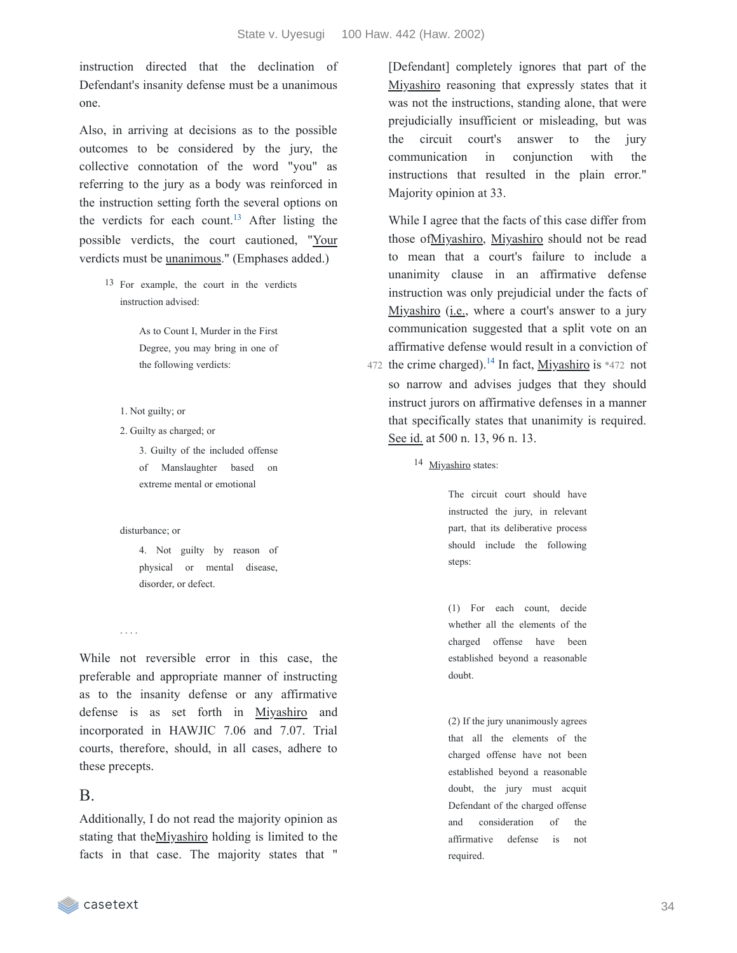instruction directed that the declination of Defendant's insanity defense must be a unanimous one.

Also, in arriving at decisions as to the possible outcomes to be considered by the jury, the collective connotation of the word "you" as referring to the jury as a body was reinforced in the instruction setting forth the several options on the verdicts for each count.<sup>[13](https://casetext.com/_print/doc/state-v-uyesugi?_printIncludeHighlights=false&_printIncludeKeyPassages=false&_printIsTwoColumn=true&_printEmail=&_printHighlightsKey=#a756ad68-953f-4c72-ba4b-848186bb2387-fn13)</sup> After listing the possible verdicts, the court cautioned, "Your verdicts must be unanimous." (Emphases added.)

> 13 For example, the court in the verdicts instruction advised:

> > As to Count I, Murder in the First Degree, you may bring in one of the following verdicts:

- 1. Not guilty; or
- 2. Guilty as charged; or

3. Guilty of the included offense of Manslaughter based on extreme mental or emotional

disturbance; or

4. Not guilty by reason of physical or mental disease, disorder, or defect.

. . . .

While not reversible error in this case, the preferable and appropriate manner of instructing as to the insanity defense or any affirmative defense is as set forth in Miyashiro and incorporated in HAWJIC 7.06 and 7.07. Trial courts, therefore, should, in all cases, adhere to these precepts.

#### B.

Additionally, I do not read the majority opinion as stating that theMiyashiro holding is limited to the facts in that case. The majority states that "

[Defendant] completely ignores that part of the Miyashiro reasoning that expressly states that it was not the instructions, standing alone, that were prejudicially insufficient or misleading, but was the circuit court's answer to the jury communication in conjunction with the instructions that resulted in the plain error." Majority opinion at 33.

While I agree that the facts of this case differ from those ofMiyashiro, Miyashiro should not be read to mean that a court's failure to include a unanimity clause in an affirmative defense instruction was only prejudicial under the facts of Miyashiro (*i.e.*, where a court's answer to a jury communication suggested that a split vote on an affirmative defense would result in a conviction of 472 the crime charged).<sup>[14](https://casetext.com/_print/doc/state-v-uyesugi?_printIncludeHighlights=false&_printIncludeKeyPassages=false&_printIsTwoColumn=true&_printEmail=&_printHighlightsKey=#5198f438-07b3-4bfd-96d1-4771d4245b5d-fn14)</sup> In fact, Miyashiro is \*472 not so narrow and advises judges that they should instruct jurors on affirmative defenses in a manner that specifically states that unanimity is required. See id. at 500 n. 13, 96 n. 13.

14 Miyashiro states:

The circuit court should have instructed the jury, in relevant part, that its deliberative process should include the following steps:

(1) For each count, decide whether all the elements of the charged offense have been established beyond a reasonable doubt.

(2) If the jury unanimously agrees that all the elements of the charged offense have not been established beyond a reasonable doubt, the jury must acquit Defendant of the charged offense and consideration of the affirmative defense is not required.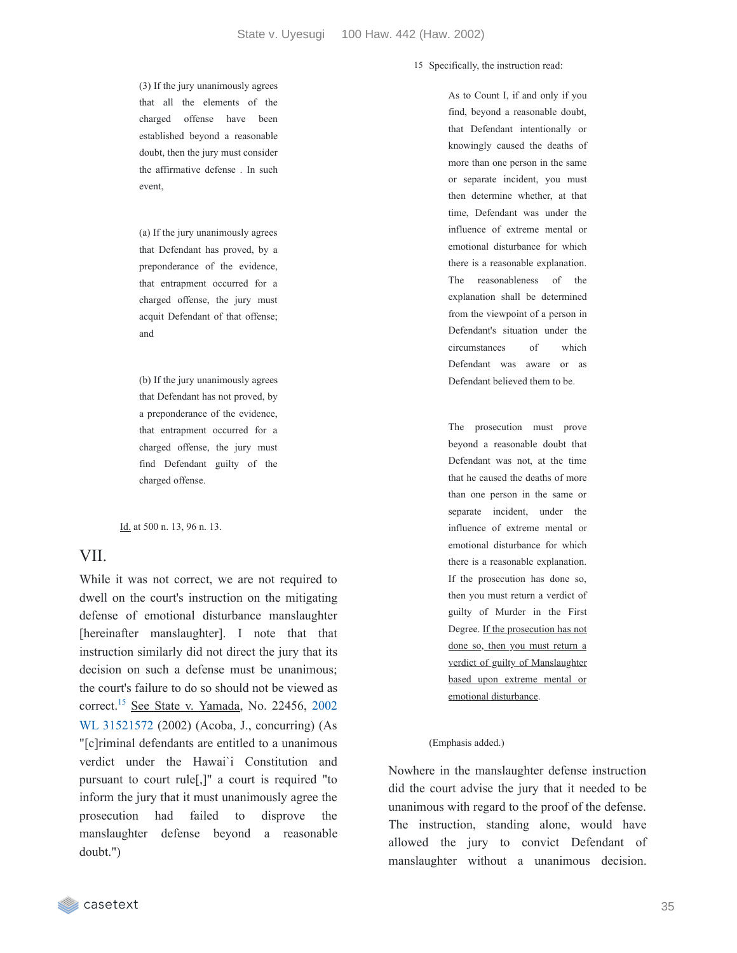(3) If the jury unanimously agrees that all the elements of the charged offense have been established beyond a reasonable doubt, then the jury must consider the affirmative defense . In such event,

(a) If the jury unanimously agrees that Defendant has proved, by a preponderance of the evidence, that entrapment occurred for a charged offense, the jury must acquit Defendant of that offense; and

(b) If the jury unanimously agrees that Defendant has not proved, by a preponderance of the evidence, that entrapment occurred for a charged offense, the jury must find Defendant guilty of the charged offense.

Id. at 500 n. 13, 96 n. 13.

#### VII.

While it was not correct, we are not required to dwell on the court's instruction on the mitigating defense of emotional disturbance manslaughter [hereinafter manslaughter]. I note that that instruction similarly did not direct the jury that its decision on such a defense must be unanimous; the court's failure to do so should not be viewed as correct.<sup>[15](https://casetext.com/_print/doc/state-v-uyesugi?_printIncludeHighlights=false&_printIncludeKeyPassages=false&_printIsTwoColumn=true&_printEmail=&_printHighlightsKey=#671a53da-1708-487c-80fe-c1094db41285-fn15)</sup> See State v. Yamada, No. 22456, 2002 WL 31521572 (2002) (Acoba, J., [concurring\)](https://casetext.com/case/state-v-yamada-2) (As "[c]riminal defendants are entitled to a unanimous verdict under the Hawai`i Constitution and pursuant to court rule[,]" a court is required "to inform the jury that it must unanimously agree the prosecution had failed to disprove the manslaughter defense beyond a reasonable doubt.")

15 Specifically, the instruction read:

As to Count I, if and only if you find, beyond a reasonable doubt, that Defendant intentionally or knowingly caused the deaths of more than one person in the same or separate incident, you must then determine whether, at that time, Defendant was under the influence of extreme mental or emotional disturbance for which there is a reasonable explanation. The reasonableness of the explanation shall be determined from the viewpoint of a person in Defendant's situation under the circumstances of which Defendant was aware or as Defendant believed them to be.

The prosecution must prove beyond a reasonable doubt that Defendant was not, at the time that he caused the deaths of more than one person in the same or separate incident, under the influence of extreme mental or emotional disturbance for which there is a reasonable explanation. If the prosecution has done so, then you must return a verdict of guilty of Murder in the First Degree. If the prosecution has not done so, then you must return a verdict of guilty of Manslaughter based upon extreme mental or emotional disturbance.

#### (Emphasis added.)

Nowhere in the manslaughter defense instruction did the court advise the jury that it needed to be unanimous with regard to the proof of the defense. The instruction, standing alone, would have allowed the jury to convict Defendant of manslaughter without a unanimous decision.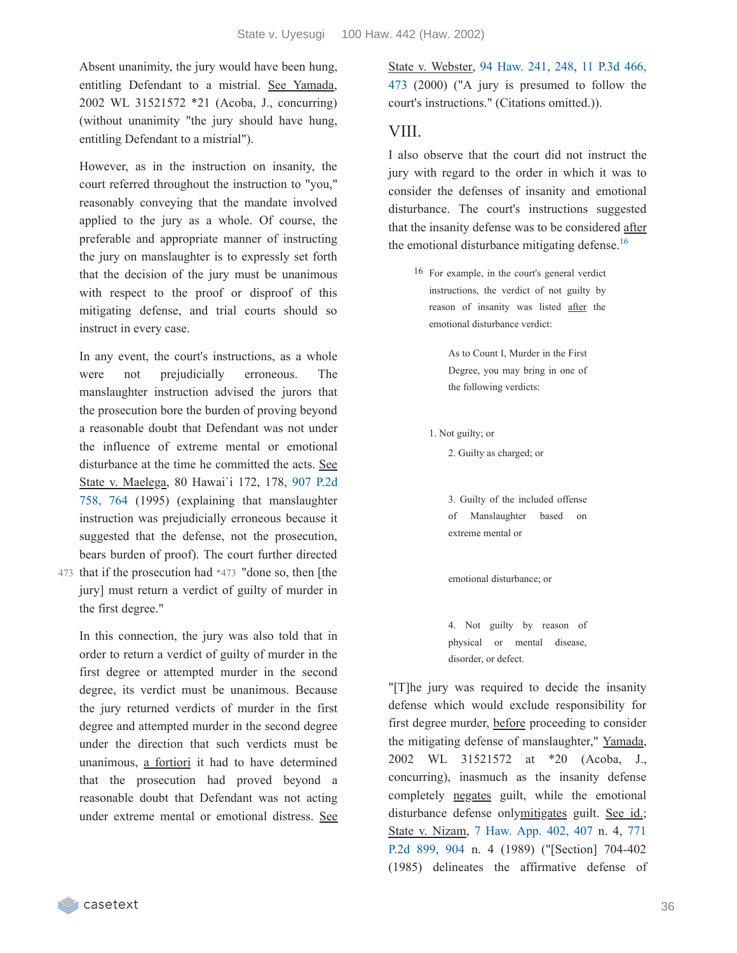Absent unanimity, the jury would have been hung, entitling Defendant to a mistrial. See Yamada, 2002 WL 31521572 \*21 (Acoba, J., concurring) (without unanimity "the jury should have hung, entitling Defendant to a mistrial").

However, as in the instruction on insanity, the court referred throughout the instruction to "you," reasonably conveying that the mandate involved applied to the jury as a whole. Of course, the preferable and appropriate manner of instructing the jury on manslaughter is to expressly set forth that the decision of the jury must be unanimous with respect to the proof or disproof of this mitigating defense, and trial courts should so instruct in every case.

In any event, the court's instructions, as a whole were not prejudicially erroneous. The manslaughter instruction advised the jurors that the prosecution bore the burden of proving beyond a reasonable doubt that Defendant was not under the influence of extreme mental or emotional disturbance at the time he committed the acts. See State v. Maelega, 80 Hawai`i 172, 178, 907 P.2d 758, 764 (1995) (explaining that [manslaughter](https://casetext.com/case/state-v-maelega#p764) instruction was prejudicially erroneous because it suggested that the defense, not the prosecution, bears burden of proof). The court further directed

473 that if the prosecution had \*473 "done so, then [the jury] must return a verdict of guilty of murder in the first degree."

In this connection, the jury was also told that in order to return a verdict of guilty of murder in the first degree or attempted murder in the second degree, its verdict must be unanimous. Because the jury returned verdicts of murder in the first degree and attempted murder in the second degree under the direction that such verdicts must be unanimous, a fortiori it had to have determined that the prosecution had proved beyond a reasonable doubt that Defendant was not acting under extreme mental or emotional distress. See State v. Webster, 94 [Haw.](https://casetext.com/case/state-v-webster-62#p248) 241, 248, 11 P.3d 466, 473 (2000) ("A jury is [presumed](https://casetext.com/case/state-v-webster-62#p473) to follow the court's instructions." (Citations omitted.)).

#### VIII.

I also observe that the court did not instruct the jury with regard to the order in which it was to consider the defenses of insanity and emotional disturbance. The court's instructions suggested that the insanity defense was to be considered after the emotional disturbance mitigating defense. [16](https://casetext.com/_print/doc/state-v-uyesugi?_printIncludeHighlights=false&_printIncludeKeyPassages=false&_printIsTwoColumn=true&_printEmail=&_printHighlightsKey=#d4128206-5e91-4abf-8114-9aae5999d888-fn16)

16 For example, in the court's general verdict instructions, the verdict of not guilty by reason of insanity was listed after the emotional disturbance verdict:

> As to Count I, Murder in the First Degree, you may bring in one of the following verdicts:

1. Not guilty; or

2. Guilty as charged; or

3. Guilty of the included offense of Manslaughter based on extreme mental or

emotional disturbance; or

4. Not guilty by reason of physical or mental disease, disorder, or defect.

"[T]he jury was required to decide the insanity defense which would exclude responsibility for first degree murder, before proceeding to consider the mitigating defense of manslaughter," Yamada, 2002 WL 31521572 at \*20 (Acoba, J., concurring), inasmuch as the insanity defense completely negates guilt, while the emotional disturbance defense onlymitigates guilt. See id.; State v. Nizam, 7 [Haw.](https://casetext.com/case/state-v-nizam#p407) App. 402, 407 n. 4, 771 P.2d 899, 904 n. 4 (1989) [\("\[Section\]](https://casetext.com/case/state-v-nizam#p904) 704-402 (1985) delineates the affirmative defense of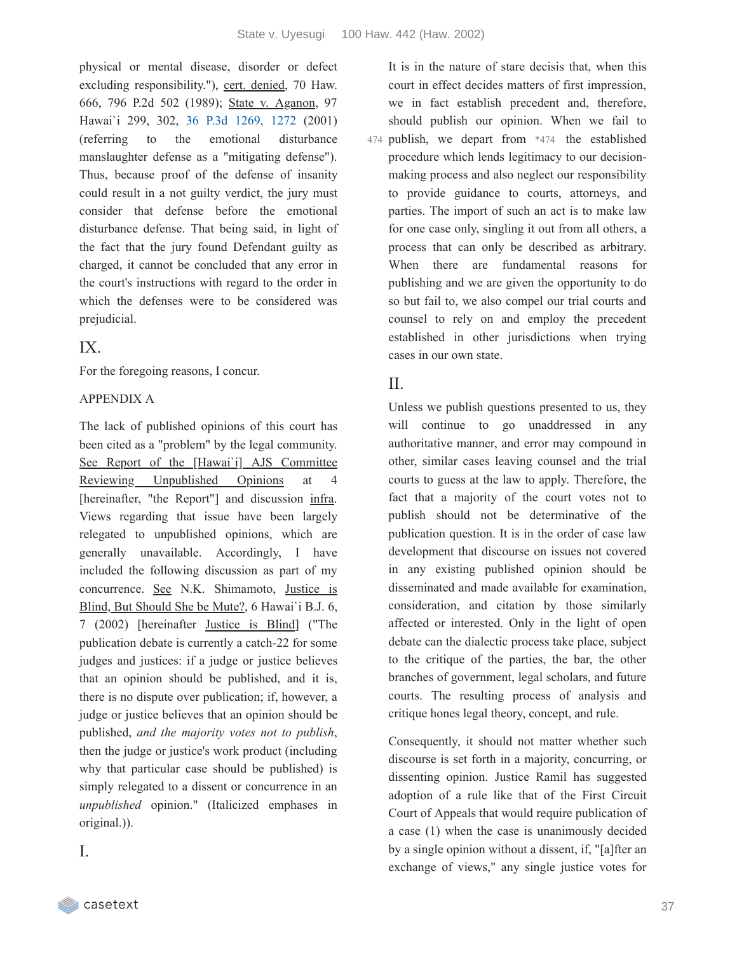physical or mental disease, disorder or defect excluding responsibility."), cert. denied, 70 Haw. 666, 796 P.2d 502 (1989); State v. Aganon, 97 Hawai`i 299, 302, 36 P.3d [1269,](https://casetext.com/case/state-v-aganon-1#p1272) 1272 (2001) (referring to the emotional disturbance manslaughter defense as a "mitigating defense"). Thus, because proof of the defense of insanity could result in a not guilty verdict, the jury must consider that defense before the emotional disturbance defense. That being said, in light of the fact that the jury found Defendant guilty as charged, it cannot be concluded that any error in the court's instructions with regard to the order in which the defenses were to be considered was prejudicial.

# IX.

For the foregoing reasons, I concur.

### APPENDIX A

The lack of published opinions of this court has been cited as a "problem" by the legal community. See Report of the [Hawai`i] AJS Committee Reviewing Unpublished Opinions at 4 [hereinafter, "the Report"] and discussion infra. Views regarding that issue have been largely relegated to unpublished opinions, which are generally unavailable. Accordingly, I have included the following discussion as part of my concurrence. See N.K. Shimamoto, Justice is Blind, But Should She be Mute?, 6 Hawai`i B.J. 6, 7 (2002) [hereinafter Justice is Blind] ("The publication debate is currently a catch-22 for some judges and justices: if a judge or justice believes that an opinion should be published, and it is, there is no dispute over publication; if, however, a judge or justice believes that an opinion should be published, *and the majority votes not to publish*, then the judge or justice's work product (including why that particular case should be published) is simply relegated to a dissent or concurrence in an *unpublished* opinion." (Italicized emphases in original.)).

I.

It is in the nature of stare decisis that, when this court in effect decides matters of first impression, we in fact establish precedent and, therefore, should publish our opinion. When we fail to publish, we depart from \*474 the established 474 procedure which lends legitimacy to our decisionmaking process and also neglect our responsibility to provide guidance to courts, attorneys, and parties. The import of such an act is to make law for one case only, singling it out from all others, a process that can only be described as arbitrary. When there are fundamental reasons for publishing and we are given the opportunity to do so but fail to, we also compel our trial courts and counsel to rely on and employ the precedent established in other jurisdictions when trying cases in our own state.

### II.

Unless we publish questions presented to us, they will continue to go unaddressed in any authoritative manner, and error may compound in other, similar cases leaving counsel and the trial courts to guess at the law to apply. Therefore, the fact that a majority of the court votes not to publish should not be determinative of the publication question. It is in the order of case law development that discourse on issues not covered in any existing published opinion should be disseminated and made available for examination, consideration, and citation by those similarly affected or interested. Only in the light of open debate can the dialectic process take place, subject to the critique of the parties, the bar, the other branches of government, legal scholars, and future courts. The resulting process of analysis and critique hones legal theory, concept, and rule.

Consequently, it should not matter whether such discourse is set forth in a majority, concurring, or dissenting opinion. Justice Ramil has suggested adoption of a rule like that of the First Circuit Court of Appeals that would require publication of a case (1) when the case is unanimously decided by a single opinion without a dissent, if, "[a]fter an exchange of views," any single justice votes for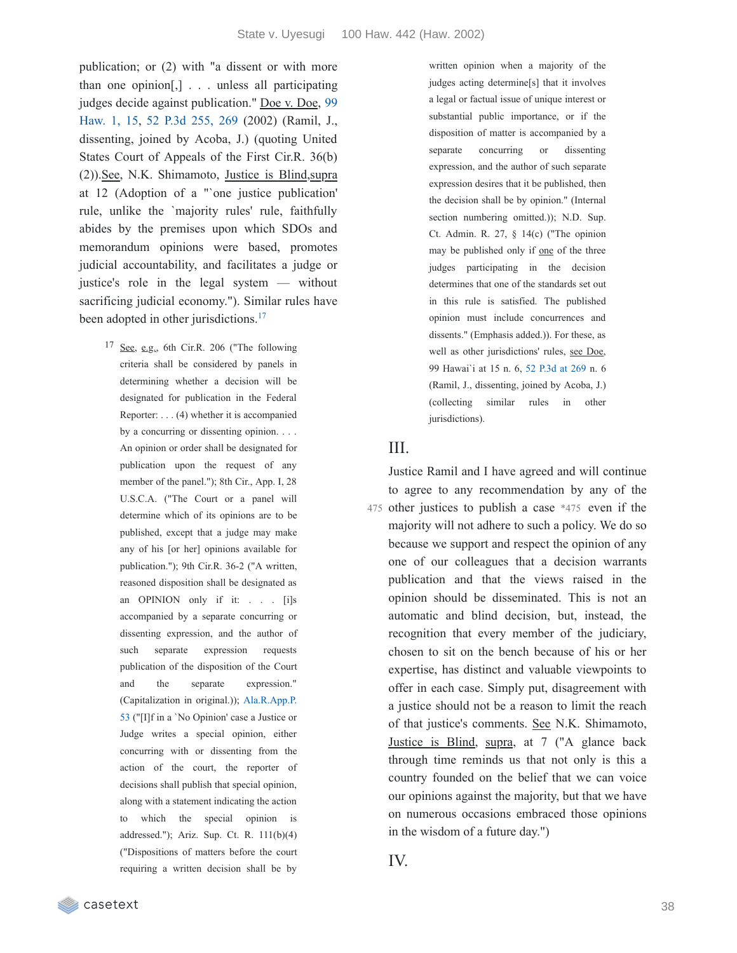publication; or (2) with "a dissent or with more than one opinion[,] . . . unless all participating judges decide against [publication."](https://casetext.com/case/doe-v-doe-64#p15) Doe v. Doe, 99 Haw. 1, 15, 52 P.3d [255,](https://casetext.com/case/doe-v-doe-64#p269) 269 (2002) (Ramil, J., dissenting, joined by Acoba, J.) (quoting United States Court of Appeals of the First Cir.R. 36(b) (2)).See, N.K. Shimamoto, Justice is Blind,supra at 12 (Adoption of a "`one justice publication' rule, unlike the `majority rules' rule, faithfully abides by the premises upon which SDOs and memorandum opinions were based, promotes judicial accountability, and facilitates a judge or justice's role in the legal system — without sacrificing judicial economy."). Similar rules have been adopted in other jurisdictions.<sup>[17](https://casetext.com/_print/doc/state-v-uyesugi?_printIncludeHighlights=false&_printIncludeKeyPassages=false&_printIsTwoColumn=true&_printEmail=&_printHighlightsKey=#20bf2b5f-c136-4ea4-90e1-4cfe933f5c32-fn17)</sup>

 $17$  See, e.g., 6th Cir.R. 206 ("The following criteria shall be considered by panels in determining whether a decision will be designated for publication in the Federal Reporter: . . . (4) whether it is accompanied by a concurring or dissenting opinion. . . . An opinion or order shall be designated for publication upon the request of any member of the panel."); 8th Cir., App. I, 28 U.S.C.A. ("The Court or a panel will determine which of its opinions are to be published, except that a judge may make any of his [or her] opinions available for publication."); 9th Cir.R. 36-2 ("A written, reasoned disposition shall be designated as an OPINION only if it: . . . [i]s accompanied by a separate concurring or dissenting expression, and the author of such separate expression requests publication of the disposition of the Court and the separate expression." [\(Capitalization](https://casetext.com/rule/alabama-court-rules/alabama-rules-of-appellate-procedure/rule-53-opinions-and-no-opinion-cases-of-the-supreme-court-and-the-court-of-civil-appeals) in original.)); Ala.R.App.P. 53 ("[I]f in a `No Opinion' case a Justice or Judge writes a special opinion, either concurring with or dissenting from the action of the court, the reporter of decisions shall publish that special opinion, along with a statement indicating the action to which the special opinion is addressed."); Ariz. Sup. Ct. R. 111(b)(4) ("Dispositions of matters before the court requiring a written decision shall be by

written opinion when a majority of the judges acting determine[s] that it involves a legal or factual issue of unique interest or substantial public importance, or if the disposition of matter is accompanied by a separate concurring or dissenting expression, and the author of such separate expression desires that it be published, then the decision shall be by opinion." (Internal section numbering omitted.)); N.D. Sup. Ct. Admin. R. 27, § 14(c) ("The opinion may be published only if one of the three judges participating in the decision determines that one of the standards set out in this rule is satisfied. The published opinion must include concurrences and dissents." (Emphasis added.)). For these, as well as other jurisdictions' rules, see Doe, 99 Hawai`i at 15 n. 6, 52 [P.3d](https://casetext.com/case/doe-v-doe-64#p269) at 269 n. 6 (Ramil, J., dissenting, joined by Acoba, J.) (collecting similar rules in other jurisdictions).

### III.

Justice Ramil and I have agreed and will continue to agree to any recommendation by any of the 475 other justices to publish a case \*475 even if the majority will not adhere to such a policy. We do so because we support and respect the opinion of any one of our colleagues that a decision warrants publication and that the views raised in the opinion should be disseminated. This is not an automatic and blind decision, but, instead, the recognition that every member of the judiciary, chosen to sit on the bench because of his or her expertise, has distinct and valuable viewpoints to offer in each case. Simply put, disagreement with a justice should not be a reason to limit the reach of that justice's comments. See N.K. Shimamoto, Justice is Blind, supra, at 7 ("A glance back through time reminds us that not only is this a country founded on the belief that we can voice our opinions against the majority, but that we have on numerous occasions embraced those opinions in the wisdom of a future day.")

IV.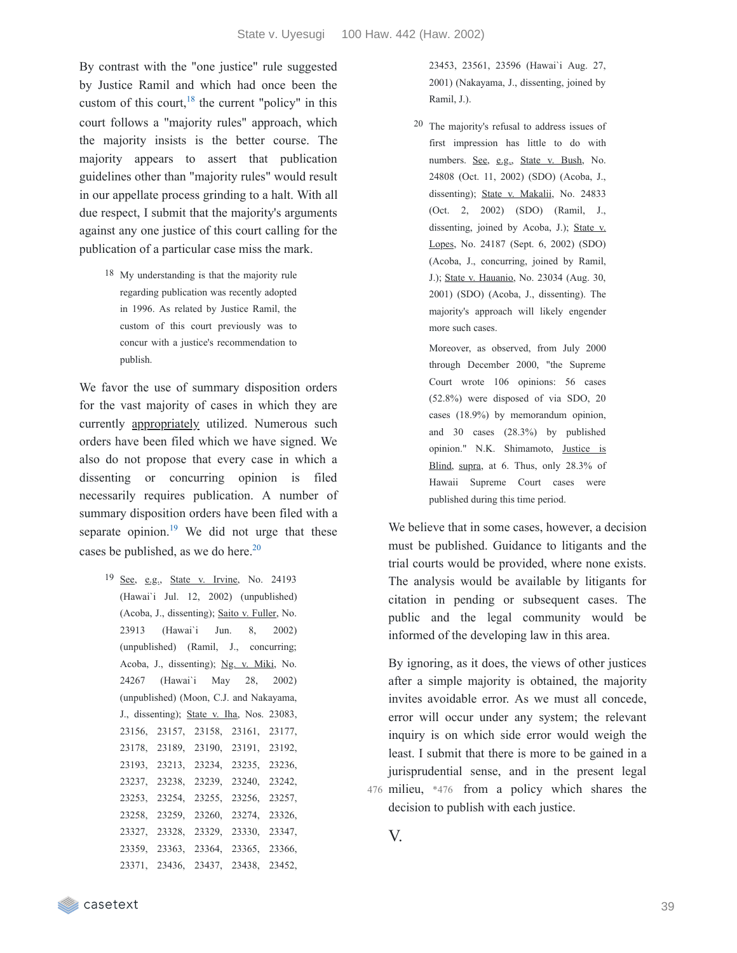By contrast with the "one justice" rule suggested by Justice Ramil and which had once been the custom of this court,  $18$  the current "policy" in this court follows a "majority rules" approach, which the majority insists is the better course. The majority appears to assert that publication guidelines other than "majority rules" would result in our appellate process grinding to a halt. With all due respect, I submit that the majority's arguments against any one justice of this court calling for the publication of a particular case miss the mark.

> <sup>18</sup> My understanding is that the majority rule regarding publication was recently adopted in 1996. As related by Justice Ramil, the custom of this court previously was to concur with a justice's recommendation to publish.

We favor the use of summary disposition orders for the vast majority of cases in which they are currently **appropriately** utilized. Numerous such orders have been filed which we have signed. We also do not propose that every case in which a dissenting or concurring opinion is filed necessarily requires publication. A number of summary disposition orders have been filed with a separate opinion.<sup>[19](https://casetext.com/_print/doc/state-v-uyesugi?_printIncludeHighlights=false&_printIncludeKeyPassages=false&_printIsTwoColumn=true&_printEmail=&_printHighlightsKey=#d9e2b64a-500c-40ba-9f44-5118aaf1ea71-fn19)</sup> We did not urge that these cases be published, as we do here. [20](https://casetext.com/_print/doc/state-v-uyesugi?_printIncludeHighlights=false&_printIncludeKeyPassages=false&_printIsTwoColumn=true&_printEmail=&_printHighlightsKey=#dd4d3f18-eb66-456d-8cbc-8d23451b123d-fn20)

 $19$  See, e.g., State v. Irvine, No. 24193 (Hawai`i Jul. 12, 2002) (unpublished) (Acoba, J., dissenting); Saito v. Fuller, No. 23913 (Hawai`i Jun. 8, 2002) (unpublished) (Ramil, J., concurring; Acoba, J., dissenting); Ng. v. Miki, No. 24267 (Hawai`i May 28, 2002) (unpublished) (Moon, C.J. and Nakayama, J., dissenting); State v. Iha, Nos. 23083, 23156, 23157, 23158, 23161, 23177, 23178, 23189, 23190, 23191, 23192, 23193, 23213, 23234, 23235, 23236, 23237, 23238, 23239, 23240, 23242, 23253, 23254, 23255, 23256, 23257, 23258, 23259, 23260, 23274, 23326, 23327, 23328, 23329, 23330, 23347, 23359, 23363, 23364, 23365, 23366, 23371, 23436, 23437, 23438, 23452,

23453, 23561, 23596 (Hawai`i Aug. 27, 2001) (Nakayama, J., dissenting, joined by Ramil, J.).

20 The majority's refusal to address issues of first impression has little to do with numbers. See, e.g., State v. Bush, No. 24808 (Oct. 11, 2002) (SDO) (Acoba, J., dissenting); State v. Makalii, No. 24833 (Oct. 2, 2002) (SDO) (Ramil, J., dissenting, joined by Acoba, J.); State v. Lopes, No. 24187 (Sept. 6, 2002) (SDO) (Acoba, J., concurring, joined by Ramil, J.); State v. Hauanio, No. 23034 (Aug. 30, 2001) (SDO) (Acoba, J., dissenting). The majority's approach will likely engender more such cases.

Moreover, as observed, from July 2000 through December 2000, "the Supreme Court wrote 106 opinions: 56 cases (52.8%) were disposed of via SDO, 20 cases (18.9%) by memorandum opinion, and 30 cases (28.3%) by published opinion." N.K. Shimamoto, Justice is Blind, supra, at 6. Thus, only 28.3% of Hawaii Supreme Court cases were published during this time period.

We believe that in some cases, however, a decision must be published. Guidance to litigants and the trial courts would be provided, where none exists. The analysis would be available by litigants for citation in pending or subsequent cases. The public and the legal community would be informed of the developing law in this area.

By ignoring, as it does, the views of other justices after a simple majority is obtained, the majority invites avoidable error. As we must all concede, error will occur under any system; the relevant inquiry is on which side error would weigh the least. I submit that there is more to be gained in a jurisprudential sense, and in the present legal

- milieu, \*476 from a policy which shares the 476 decision to publish with each justice.
	- V.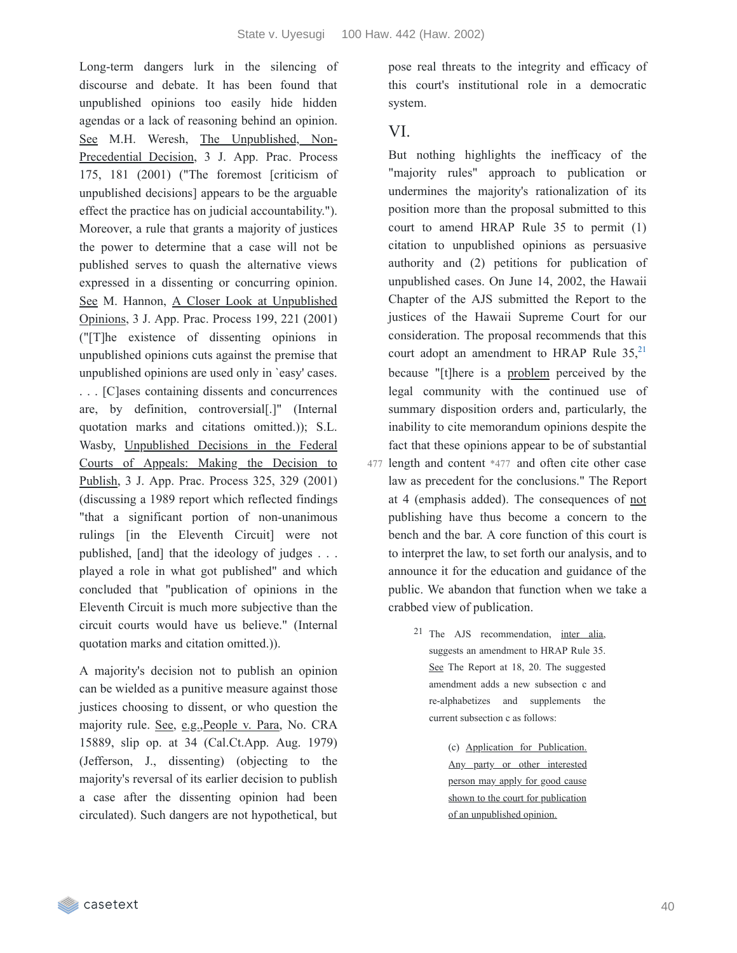Long-term dangers lurk in the silencing of discourse and debate. It has been found that unpublished opinions too easily hide hidden agendas or a lack of reasoning behind an opinion. See M.H. Weresh, The Unpublished, Non-Precedential Decision, 3 J. App. Prac. Process 175, 181 (2001) ("The foremost [criticism of unpublished decisions] appears to be the arguable effect the practice has on judicial accountability."). Moreover, a rule that grants a majority of justices the power to determine that a case will not be published serves to quash the alternative views expressed in a dissenting or concurring opinion. See M. Hannon, A Closer Look at Unpublished Opinions, 3 J. App. Prac. Process 199, 221 (2001) ("[T]he existence of dissenting opinions in unpublished opinions cuts against the premise that unpublished opinions are used only in `easy' cases. . . . [C]ases containing dissents and concurrences are, by definition, controversial[.]" (Internal quotation marks and citations omitted.)); S.L. Wasby, Unpublished Decisions in the Federal Courts of Appeals: Making the Decision to Publish, 3 J. App. Prac. Process 325, 329 (2001) (discussing a 1989 report which reflected findings "that a significant portion of non-unanimous rulings [in the Eleventh Circuit] were not published, [and] that the ideology of judges . . . played a role in what got published" and which concluded that "publication of opinions in the Eleventh Circuit is much more subjective than the circuit courts would have us believe." (Internal quotation marks and citation omitted.)).

A majority's decision not to publish an opinion can be wielded as a punitive measure against those justices choosing to dissent, or who question the majority rule. See, e.g.,People v. Para, No. CRA 15889, slip op. at 34 (Cal.Ct.App. Aug. 1979) (Jefferson, J., dissenting) (objecting to the majority's reversal of its earlier decision to publish a case after the dissenting opinion had been circulated). Such dangers are not hypothetical, but pose real threats to the integrity and efficacy of this court's institutional role in a democratic system.

### VI.

But nothing highlights the inefficacy of the "majority rules" approach to publication or undermines the majority's rationalization of its position more than the proposal submitted to this court to amend HRAP Rule 35 to permit (1) citation to unpublished opinions as persuasive authority and (2) petitions for publication of unpublished cases. On June 14, 2002, the Hawaii Chapter of the AJS submitted the Report to the justices of the Hawaii Supreme Court for our consideration. The proposal recommends that this court adopt an amendment to HRAP Rule  $35,^{21}$  $35,^{21}$  $35,^{21}$ because "[t]here is a problem perceived by the legal community with the continued use of summary disposition orders and, particularly, the inability to cite memorandum opinions despite the fact that these opinions appear to be of substantial

- 477 length and content \*477 and often cite other case law as precedent for the conclusions." The Report at 4 (emphasis added). The consequences of not publishing have thus become a concern to the bench and the bar. A core function of this court is to interpret the law, to set forth our analysis, and to announce it for the education and guidance of the public. We abandon that function when we take a crabbed view of publication.
	- 21 The AJS recommendation, inter alia, suggests an amendment to HRAP Rule 35. See The Report at 18, 20. The suggested amendment adds a new subsection c and re-alphabetizes and supplements the current subsection c as follows:
		- (c) Application for Publication. Any party or other interested person may apply for good cause shown to the court for publication of an unpublished opinion.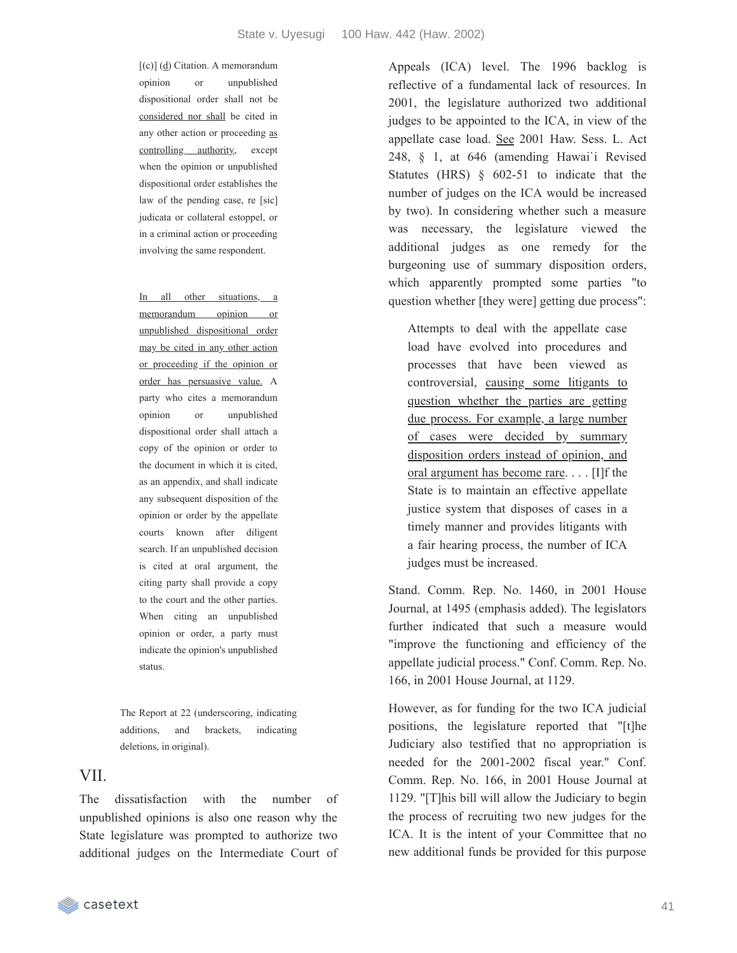[(c)] (d) Citation. A memorandum opinion or unpublished dispositional order shall not be considered nor shall be cited in any other action or proceeding as controlling authority, except when the opinion or unpublished dispositional order establishes the law of the pending case, re [sic] judicata or collateral estoppel, or in a criminal action or proceeding involving the same respondent.

In all other situations, a memorandum opinion or unpublished dispositional order may be cited in any other action or proceeding if the opinion or order has persuasive value. A party who cites a memorandum opinion or unpublished dispositional order shall attach a copy of the opinion or order to the document in which it is cited, as an appendix, and shall indicate any subsequent disposition of the opinion or order by the appellate courts known after diligent search. If an unpublished decision is cited at oral argument, the citing party shall provide a copy to the court and the other parties. When citing an unpublished opinion or order, a party must indicate the opinion's unpublished status.

The Report at 22 (underscoring, indicating additions, and brackets, indicating deletions, in original).

#### VII.

The dissatisfaction with the number of unpublished opinions is also one reason why the State legislature was prompted to authorize two additional judges on the Intermediate Court of Appeals (ICA) level. The 1996 backlog is reflective of a fundamental lack of resources. In 2001, the legislature authorized two additional judges to be appointed to the ICA, in view of the appellate case load. See 2001 Haw. Sess. L. Act 248, § 1, at 646 (amending Hawai`i Revised Statutes (HRS) § 602-51 to indicate that the number of judges on the ICA would be increased by two). In considering whether such a measure was necessary, the legislature viewed the additional judges as one remedy for the burgeoning use of summary disposition orders, which apparently prompted some parties "to question whether [they were] getting due process":

Attempts to deal with the appellate case load have evolved into procedures and processes that have been viewed as controversial, causing some litigants to question whether the parties are getting due process. For example, a large number of cases were decided by summary disposition orders instead of opinion, and oral argument has become rare. . . . [I]f the State is to maintain an effective appellate justice system that disposes of cases in a timely manner and provides litigants with a fair hearing process, the number of ICA judges must be increased.

Stand. Comm. Rep. No. 1460, in 2001 House Journal, at 1495 (emphasis added). The legislators further indicated that such a measure would "improve the functioning and efficiency of the appellate judicial process." Conf. Comm. Rep. No. 166, in 2001 House Journal, at 1129.

However, as for funding for the two ICA judicial positions, the legislature reported that "[t]he Judiciary also testified that no appropriation is needed for the 2001-2002 fiscal year." Conf. Comm. Rep. No. 166, in 2001 House Journal at 1129. "[T]his bill will allow the Judiciary to begin the process of recruiting two new judges for the ICA. It is the intent of your Committee that no new additional funds be provided for this purpose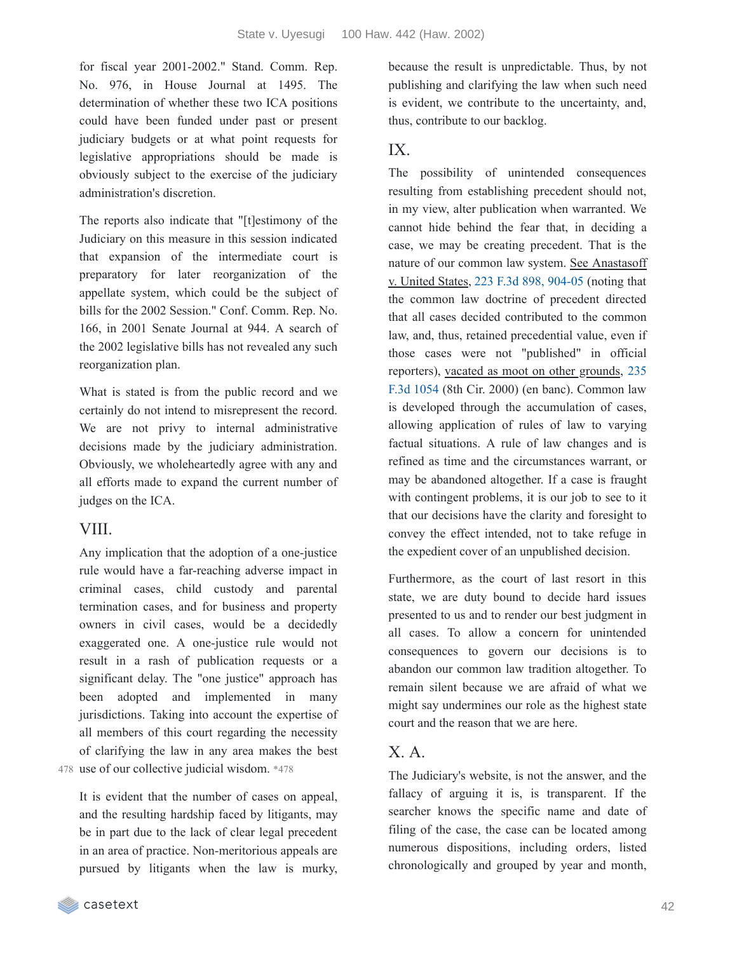for fiscal year 2001-2002." Stand. Comm. Rep. No. 976, in House Journal at 1495. The determination of whether these two ICA positions could have been funded under past or present judiciary budgets or at what point requests for legislative appropriations should be made is obviously subject to the exercise of the judiciary administration's discretion.

The reports also indicate that "[t]estimony of the Judiciary on this measure in this session indicated that expansion of the intermediate court is preparatory for later reorganization of the appellate system, which could be the subject of bills for the 2002 Session." Conf. Comm. Rep. No. 166, in 2001 Senate Journal at 944. A search of the 2002 legislative bills has not revealed any such reorganization plan.

What is stated is from the public record and we certainly do not intend to misrepresent the record. We are not privy to internal administrative decisions made by the judiciary administration. Obviously, we wholeheartedly agree with any and all efforts made to expand the current number of judges on the ICA.

#### VIII.

Any implication that the adoption of a one-justice rule would have a far-reaching adverse impact in criminal cases, child custody and parental termination cases, and for business and property owners in civil cases, would be a decidedly exaggerated one. A one-justice rule would not result in a rash of publication requests or a significant delay. The "one justice" approach has been adopted and implemented in many jurisdictions. Taking into account the expertise of all members of this court regarding the necessity of clarifying the law in any area makes the best 478 use of our collective judicial wisdom. \*478

It is evident that the number of cases on appeal, and the resulting hardship faced by litigants, may be in part due to the lack of clear legal precedent in an area of practice. Non-meritorious appeals are pursued by litigants when the law is murky, because the result is unpredictable. Thus, by not publishing and clarifying the law when such need is evident, we contribute to the uncertainty, and, thus, contribute to our backlog.

### IX.

The possibility of unintended consequences resulting from establishing precedent should not, in my view, alter publication when warranted. We cannot hide behind the fear that, in deciding a case, we may be creating precedent. That is the nature of our common law system. See Anastasoff v. United States, 223 F.3d 898, [904-05](https://casetext.com/case/anastasoff-v-us-2#p904) (noting that the common law doctrine of precedent directed that all cases decided contributed to the common law, and, thus, retained precedential value, even if those cases were not "published" in official [reporters\),](https://casetext.com/case/anastasoff-v-us) vacated as moot on other grounds, 235 F.3d 1054 (8th Cir. 2000) (en banc). Common law is developed through the accumulation of cases, allowing application of rules of law to varying factual situations. A rule of law changes and is refined as time and the circumstances warrant, or may be abandoned altogether. If a case is fraught with contingent problems, it is our job to see to it that our decisions have the clarity and foresight to convey the effect intended, not to take refuge in the expedient cover of an unpublished decision.

Furthermore, as the court of last resort in this state, we are duty bound to decide hard issues presented to us and to render our best judgment in all cases. To allow a concern for unintended consequences to govern our decisions is to abandon our common law tradition altogether. To remain silent because we are afraid of what we might say undermines our role as the highest state court and the reason that we are here.

### $X.A.$

The Judiciary's website, is not the answer, and the fallacy of arguing it is, is transparent. If the searcher knows the specific name and date of filing of the case, the case can be located among numerous dispositions, including orders, listed chronologically and grouped by year and month,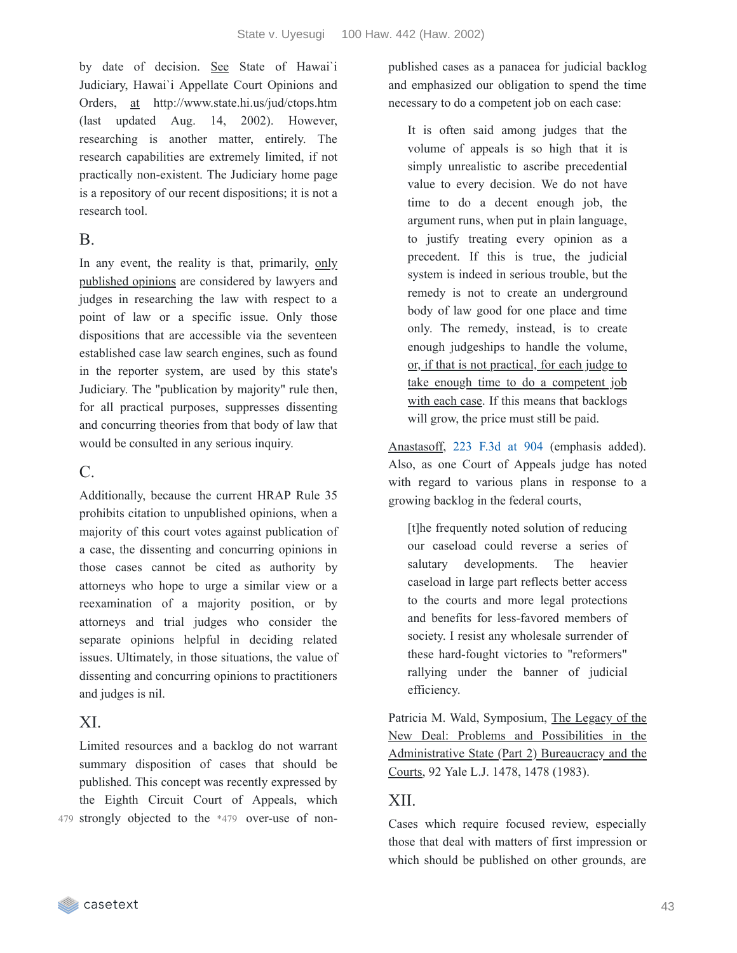by date of decision. See State of Hawai`i Judiciary, Hawai`i Appellate Court Opinions and Orders, at http://www.state.hi.us/jud/ctops.htm (last updated Aug. 14, 2002). However, researching is another matter, entirely. The research capabilities are extremely limited, if not practically non-existent. The Judiciary home page is a repository of our recent dispositions; it is not a research tool.

### B.

In any event, the reality is that, primarily, only published opinions are considered by lawyers and judges in researching the law with respect to a point of law or a specific issue. Only those dispositions that are accessible via the seventeen established case law search engines, such as found in the reporter system, are used by this state's Judiciary. The "publication by majority" rule then, for all practical purposes, suppresses dissenting and concurring theories from that body of law that would be consulted in any serious inquiry.

## $C<sub>c</sub>$

Additionally, because the current HRAP Rule 35 prohibits citation to unpublished opinions, when a majority of this court votes against publication of a case, the dissenting and concurring opinions in those cases cannot be cited as authority by attorneys who hope to urge a similar view or a reexamination of a majority position, or by attorneys and trial judges who consider the separate opinions helpful in deciding related issues. Ultimately, in those situations, the value of dissenting and concurring opinions to practitioners and judges is nil.

## XI.

Limited resources and a backlog do not warrant summary disposition of cases that should be published. This concept was recently expressed by the Eighth Circuit Court of Appeals, which 479 strongly objected to the \*479 over-use of nonpublished cases as a panacea for judicial backlog and emphasized our obligation to spend the time necessary to do a competent job on each case:

It is often said among judges that the volume of appeals is so high that it is simply unrealistic to ascribe precedential value to every decision. We do not have time to do a decent enough job, the argument runs, when put in plain language, to justify treating every opinion as a precedent. If this is true, the judicial system is indeed in serious trouble, but the remedy is not to create an underground body of law good for one place and time only. The remedy, instead, is to create enough judgeships to handle the volume, or, if that is not practical, for each judge to take enough time to do a competent job with each case. If this means that backlogs will grow, the price must still be paid.

Anastasoff, 223 [F.3d](https://casetext.com/case/anastasoff-v-us-2#p904) at 904 (emphasis added). Also, as one Court of Appeals judge has noted with regard to various plans in response to a growing backlog in the federal courts,

[t]he frequently noted solution of reducing our caseload could reverse a series of salutary developments. The heavier caseload in large part reflects better access to the courts and more legal protections and benefits for less-favored members of society. I resist any wholesale surrender of these hard-fought victories to "reformers" rallying under the banner of judicial efficiency.

Patricia M. Wald, Symposium, The Legacy of the New Deal: Problems and Possibilities in the Administrative State (Part 2) Bureaucracy and the Courts, 92 Yale L.J. 1478, 1478 (1983).

# XII.

Cases which require focused review, especially those that deal with matters of first impression or which should be published on other grounds, are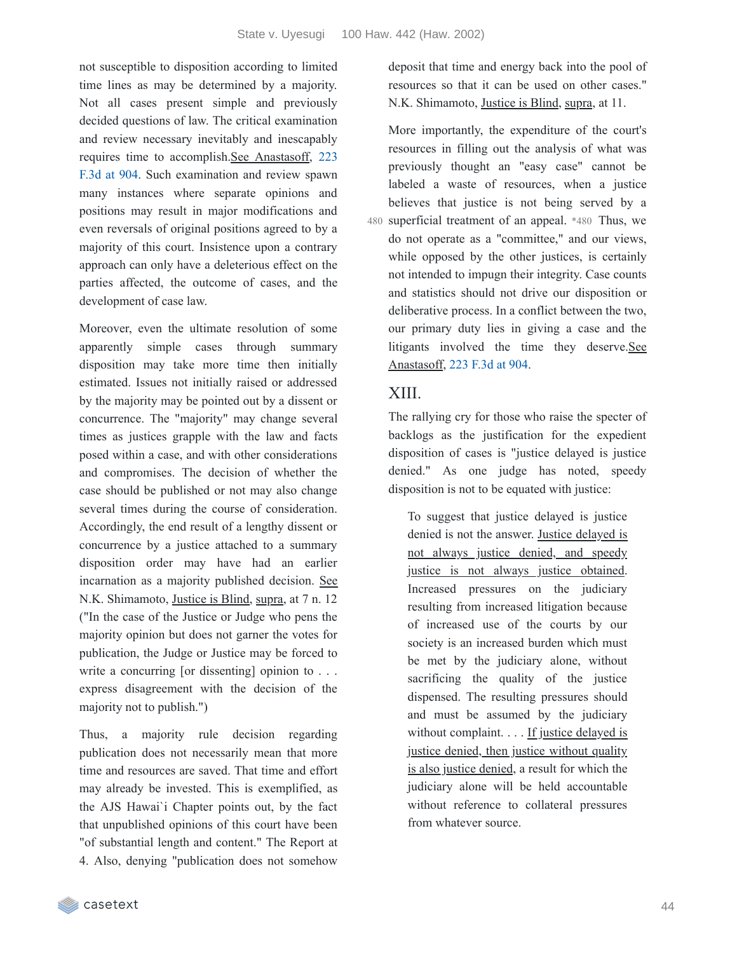not susceptible to disposition according to limited time lines as may be determined by a majority. Not all cases present simple and previously decided questions of law. The critical examination and review necessary inevitably and inescapably requires time to [accomplish.See](https://casetext.com/case/anastasoff-v-us-2#p904) Anastasoff, 223 F.3d at 904. Such examination and review spawn many instances where separate opinions and positions may result in major modifications and even reversals of original positions agreed to by a majority of this court. Insistence upon a contrary approach can only have a deleterious effect on the parties affected, the outcome of cases, and the development of case law.

Moreover, even the ultimate resolution of some apparently simple cases through summary disposition may take more time then initially estimated. Issues not initially raised or addressed by the majority may be pointed out by a dissent or concurrence. The "majority" may change several times as justices grapple with the law and facts posed within a case, and with other considerations and compromises. The decision of whether the case should be published or not may also change several times during the course of consideration. Accordingly, the end result of a lengthy dissent or concurrence by a justice attached to a summary disposition order may have had an earlier incarnation as a majority published decision. See N.K. Shimamoto, Justice is Blind, supra, at 7 n. 12 ("In the case of the Justice or Judge who pens the majority opinion but does not garner the votes for publication, the Judge or Justice may be forced to write a concurring [or dissenting] opinion to . . . express disagreement with the decision of the majority not to publish.")

Thus, a majority rule decision regarding publication does not necessarily mean that more time and resources are saved. That time and effort may already be invested. This is exemplified, as the AJS Hawai`i Chapter points out, by the fact that unpublished opinions of this court have been "of substantial length and content." The Report at 4. Also, denying "publication does not somehow

deposit that time and energy back into the pool of resources so that it can be used on other cases." N.K. Shimamoto, Justice is Blind, supra, at 11.

More importantly, the expenditure of the court's resources in filling out the analysis of what was previously thought an "easy case" cannot be labeled a waste of resources, when a justice believes that justice is not being served by a 480 superficial treatment of an appeal. \*480 Thus, we do not operate as a "committee," and our views, while opposed by the other justices, is certainly not intended to impugn their integrity. Case counts and statistics should not drive our disposition or deliberative process. In a conflict between the two, our primary duty lies in giving a case and the litigants involved the time they deserve.See Anastasoff, 223 [F.3d](https://casetext.com/case/anastasoff-v-us-2#p904) at 904.

### XIII.

The rallying cry for those who raise the specter of backlogs as the justification for the expedient disposition of cases is "justice delayed is justice denied." As one judge has noted, speedy disposition is not to be equated with justice:

To suggest that justice delayed is justice denied is not the answer. Justice delayed is not always justice denied, and speedy justice is not always justice obtained. Increased pressures on the judiciary resulting from increased litigation because of increased use of the courts by our society is an increased burden which must be met by the judiciary alone, without sacrificing the quality of the justice dispensed. The resulting pressures should and must be assumed by the judiciary without complaint. . . . If justice delayed is justice denied, then justice without quality is also justice denied, a result for which the judiciary alone will be held accountable without reference to collateral pressures from whatever source.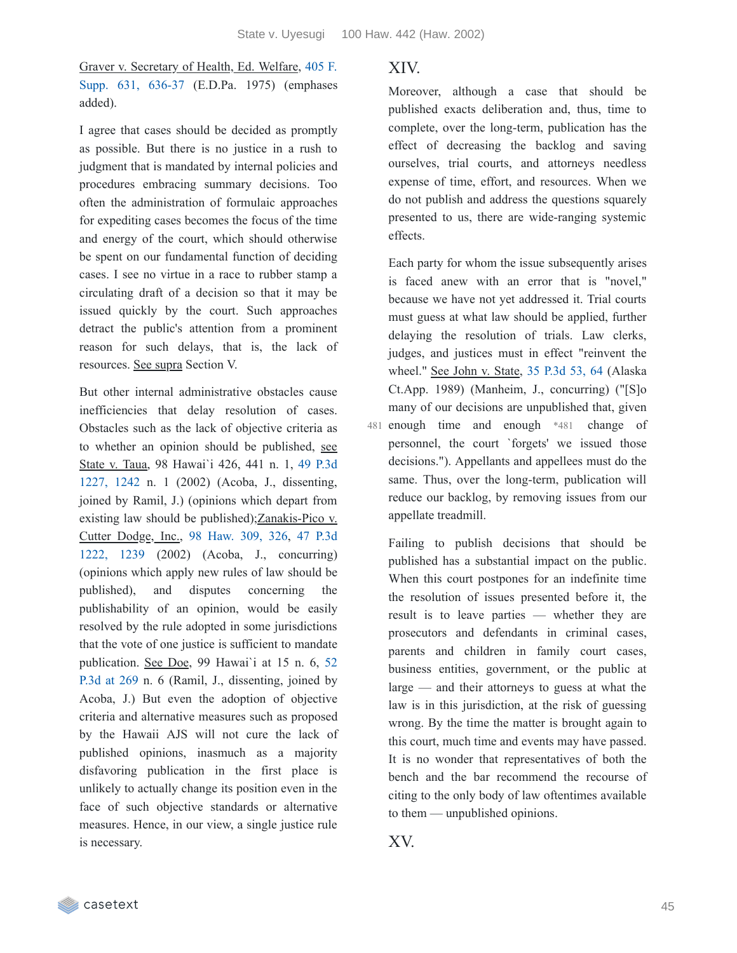Graver v. Secretary of Health, Ed. Welfare, 405 F. Supp. 631, 636-37 (E.D.Pa. 1975) [\(emphases](https://casetext.com/case/graver-v-secretary-of-health-ed-welf#p636) added).

I agree that cases should be decided as promptly as possible. But there is no justice in a rush to judgment that is mandated by internal policies and procedures embracing summary decisions. Too often the administration of formulaic approaches for expediting cases becomes the focus of the time and energy of the court, which should otherwise be spent on our fundamental function of deciding cases. I see no virtue in a race to rubber stamp a circulating draft of a decision so that it may be issued quickly by the court. Such approaches detract the public's attention from a prominent reason for such delays, that is, the lack of resources. See supra Section V.

But other internal administrative obstacles cause inefficiencies that delay resolution of cases. Obstacles such as the lack of objective criteria as to whether an opinion should be published, see State v. Taua, 98 Hawai`i 426, 441 n. 1, 49 P.3d 1227, 1242 n. 1 (2002) (Acoba, J., [dissenting,](https://casetext.com/case/state-v-taua-1#p1242) joined by Ramil, J.) (opinions which depart from existing law should be published);Zanakis-Pico v. Cutter Dodge, Inc., 98 [Haw.](https://casetext.com/case/zanakis-pico-v-cutter-dodge-inc#p326) 309, 326, 47 P.3d 1222, 1239 (2002) (Acoba, J., [concurring\)](https://casetext.com/case/zanakis-pico-v-cutter-dodge-inc#p1239) (opinions which apply new rules of law should be published), and disputes concerning the publishability of an opinion, would be easily resolved by the rule adopted in some jurisdictions that the vote of one justice is sufficient to mandate [publication.](https://casetext.com/case/doe-v-doe-64#p269) See Doe, 99 Hawai`i at 15 n. 6, 52 P.3d at 269 n. 6 (Ramil, J., dissenting, joined by Acoba, J.) But even the adoption of objective criteria and alternative measures such as proposed by the Hawaii AJS will not cure the lack of published opinions, inasmuch as a majority disfavoring publication in the first place is unlikely to actually change its position even in the face of such objective standards or alternative measures. Hence, in our view, a single justice rule is necessary.

#### XIV.

Moreover, although a case that should be published exacts deliberation and, thus, time to complete, over the long-term, publication has the effect of decreasing the backlog and saving ourselves, trial courts, and attorneys needless expense of time, effort, and resources. When we do not publish and address the questions squarely presented to us, there are wide-ranging systemic effects.

Each party for whom the issue subsequently arises is faced anew with an error that is "novel," because we have not yet addressed it. Trial courts must guess at what law should be applied, further delaying the resolution of trials. Law clerks, judges, and justices must in effect "reinvent the wheel." See John v. State, 35 [P.3d](https://casetext.com/case/john-v-state-42#p64) 53, 64 (Alaska Ct.App. 1989) (Manheim, J., concurring) ("[S]o many of our decisions are unpublished that, given 481 enough time and enough \*481 change of personnel, the court `forgets' we issued those decisions."). Appellants and appellees must do the same. Thus, over the long-term, publication will reduce our backlog, by removing issues from our appellate treadmill.

Failing to publish decisions that should be published has a substantial impact on the public. When this court postpones for an indefinite time the resolution of issues presented before it, the result is to leave parties — whether they are prosecutors and defendants in criminal cases, parents and children in family court cases, business entities, government, or the public at large — and their attorneys to guess at what the law is in this jurisdiction, at the risk of guessing wrong. By the time the matter is brought again to this court, much time and events may have passed. It is no wonder that representatives of both the bench and the bar recommend the recourse of citing to the only body of law oftentimes available to them — unpublished opinions.